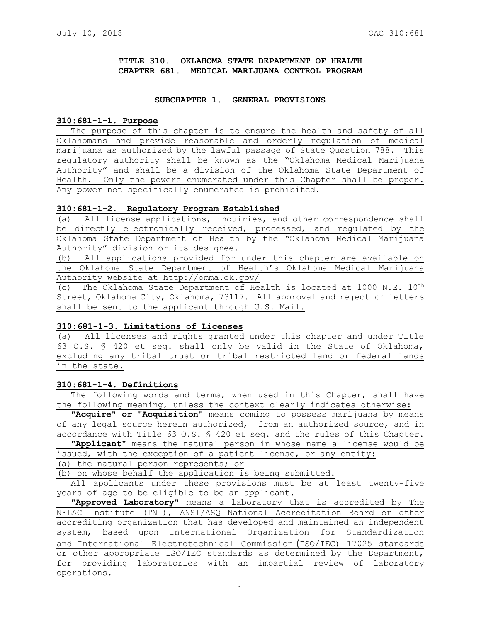# **TITLE 310. OKLAHOMA STATE DEPARTMENT OF HEALTH CHAPTER 681. MEDICAL MARIJUANA CONTROL PROGRAM**

### **SUBCHAPTER 1. GENERAL PROVISIONS**

#### **310:681-1-1. Purpose**

The purpose of this chapter is to ensure the health and safety of all Oklahomans and provide reasonable and orderly regulation of medical marijuana as authorized by the lawful passage of State Question 788. This regulatory authority shall be known as the "Oklahoma Medical Marijuana Authority" and shall be a division of the Oklahoma State Department of Health. Only the powers enumerated under this Chapter shall be proper. Any power not specifically enumerated is prohibited.

### **310:681-1-2. Regulatory Program Established**

(a) All license applications, inquiries, and other correspondence shall be directly electronically received, processed, and regulated by the Oklahoma State Department of Health by the "Oklahoma Medical Marijuana Authority" division or its designee.

(b) All applications provided for under this chapter are available on the Oklahoma State Department of Health's Oklahoma Medical Marijuana Authority website at http://omma.ok.gov/

(c) The Oklahoma State Department of Health is located at 1000 N.E. 10<sup>th</sup> Street, Oklahoma City, Oklahoma, 73117. All approval and rejection letters shall be sent to the applicant through U.S. Mail.

# **310:681-1-3. Limitations of Licenses**

(a) All licenses and rights granted under this chapter and under Title 63 O.S. § 420 et seq. shall only be valid in the State of Oklahoma, excluding any tribal trust or tribal restricted land or federal lands in the state.

# **310:681-1-4. Definitions**

The following words and terms, when used in this Chapter, shall have the following meaning, unless the context clearly indicates otherwise:

**"Acquire" or "Acquisition"** means coming to possess marijuana by means of any legal source herein authorized, from an authorized source, and in accordance with Title 63 O.S. § 420 et seq. and the rules of this Chapter.

**"Applicant"** means the natural person in whose name a license would be issued, with the exception of a patient license, or any entity:

(a) the natural person represents; or

(b) on whose behalf the application is being submitted.

All applicants under these provisions must be at least twenty-five years of age to be eligible to be an applicant.

**"Approved Laboratory**" means a laboratory that is accredited by The NELAC Institute (TNI), ANSI/ASQ National Accreditation Board or other accrediting organization that has developed and maintained an independent system, based upon International Organization for Standardization and International Electrotechnical Commission (ISO/IEC) 17025 standards or other appropriate ISO/IEC standards as determined by the Department, for providing laboratories with an impartial review of laboratory operations.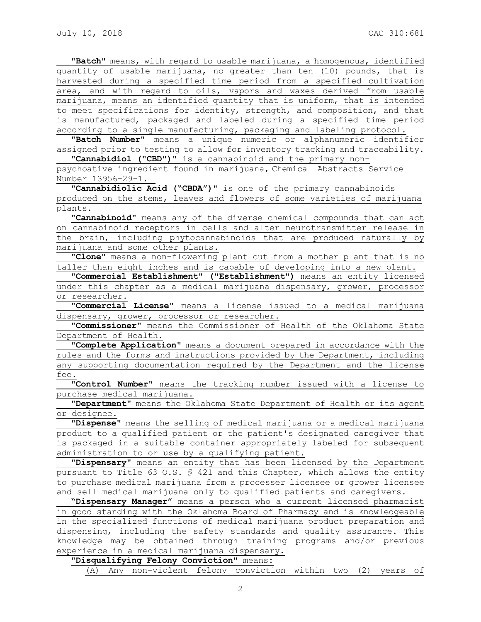**"Batch"** means, with regard to usable marijuana, a homogenous, identified quantity of usable marijuana, no greater than ten (10) pounds, that is harvested during a specified time period from a specified cultivation area, and with regard to oils, vapors and waxes derived from usable marijuana, means an identified quantity that is uniform, that is intended to meet specifications for identity, strength, and composition, and that is manufactured, packaged and labeled during a specified time period according to a single manufacturing, packaging and labeling protocol.

**"Batch Number"** means a unique numeric or alphanumeric identifier assigned prior to testing to allow for inventory tracking and traceability.

**"Cannabidiol ("CBD")"** is a cannabinoid and the primary non-

psychoative ingredient found in marijuana, Chemical Abstracts Service Number 13956-29-1.

**"Cannabidiolic Acid ("CBDA")"** is one of the primary cannabinoids produced on the stems, leaves and flowers of some varieties of marijuana plants.

**"Cannabinoid"** means any of the diverse chemical compounds that can act on cannabinoid receptors in cells and alter neurotransmitter release in the brain, including phytocannabinoids that are produced naturally by marijuana and some other plants.

**"Clone"** means a non-flowering plant cut from a mother plant that is no taller than eight inches and is capable of developing into a new plant.

**"Commercial Establishment" ("Establishment")** means an entity licensed under this chapter as a medical marijuana dispensary, grower, processor or researcher.

"**Commercial License"** means a license issued to a medical marijuana dispensary, grower, processor or researcher.

**"Commissioner"** means the Commissioner of Health of the Oklahoma State Department of Health.

**"Complete Application"** means a document prepared in accordance with the rules and the forms and instructions provided by the Department, including any supporting documentation required by the Department and the license fee.

**"Control Number"** means the tracking number issued with a license to purchase medical marijuana.

**"Department"** means the Oklahoma State Department of Health or its agent or designee.

**"Dispense"** means the selling of medical marijuana or a medical marijuana product to a qualified patient or the patient's designated caregiver that is packaged in a suitable container appropriately labeled for subsequent administration to or use by a qualifying patient.

**"Dispensary"** means an entity that has been licensed by the Department pursuant to Title 63 O.S. § 421 and this Chapter, which allows the entity to purchase medical marijuana from a processer licensee or grower licensee and sell medical marijuana only to qualified patients and caregivers.

**"Dispensary Manager"** means a person who a current licensed pharmacist in good standing with the Oklahoma Board of Pharmacy and is knowledgeable in the specialized functions of medical marijuana product preparation and dispensing, including the safety standards and quality assurance. This knowledge may be obtained through training programs and/or previous experience in a medical marijuana dispensary.

**"Disqualifying Felony Conviction"** means:

(A) Any non-violent felony conviction within two (2) years of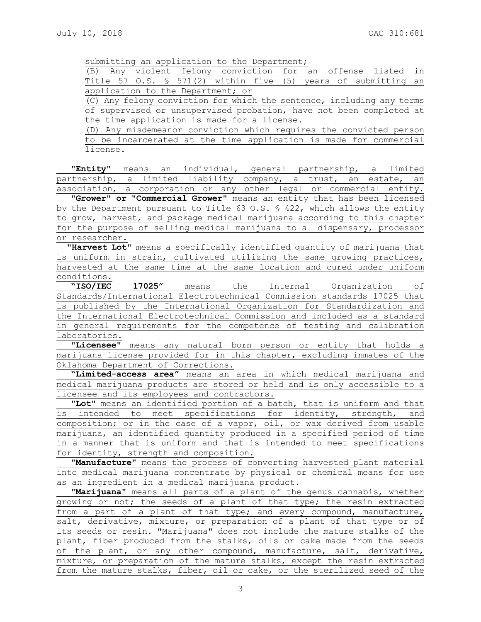submitting an application to the Department;

|  |  |                                   |  |  |  | (B) Any violent felony conviction for an offense listed in                |  |
|--|--|-----------------------------------|--|--|--|---------------------------------------------------------------------------|--|
|  |  |                                   |  |  |  | Title 57 O.S. $\frac{1}{5}$ 571(2) within five (5) years of submitting an |  |
|  |  | application to the Department; or |  |  |  |                                                                           |  |

(C) Any felony conviction for which the sentence, including any terms of supervised or unsupervised probation, have not been completed at the time application is made for a license.

(D) Any misdemeanor conviction which requires the convicted person to be incarcerated at the time application is made for commercial license.

**"Entity"** means an individual, general partnership, a limited partnership, a limited liability company, a trust, an estate, an association, a corporation or any other legal or commercial entity.

**"Grower" or "Commercial Grower"** means an entity that has been licensed by the Department pursuant to Title 63 O.S. § 422, which allows the entity to grow, harvest, and package medical marijuana according to this chapter for the purpose of selling medical marijuana to a dispensary, processor or researcher.

**"Harvest Lot**" means a specifically identified quantity of marijuana that is uniform in strain, cultivated utilizing the same growing practices, harvested at the same time at the same location and cured under uniform conditions.

**"ISO/IEC 17025"** means the Internal Organization of Standards/International Electrotechnical Commission standards 17025 that is published by the International Organization for Standardization and the International Electrotechnical Commission and included as a standard in general requirements for the competence of testing and calibration laboratories.

**"Licensee"** means any natural born person or entity that holds a marijuana license provided for in this chapter, excluding inmates of the Oklahoma Department of Corrections.

**"Limited-access area"** means an area in which medical marijuana and medical marijuana products are stored or held and is only accessible to a licensee and its employees and contractors.

**"Lot"** means an identified portion of a batch, that is uniform and that intended to meet specifications for identity, strength, and composition; or in the case of a vapor, oil, or wax derived from usable marijuana, an identified quantity produced in a specified period of time in a manner that is uniform and that is intended to meet specifications for identity, strength and composition.

**"Manufacture"** means the process of converting harvested plant material into medical marijuana concentrate by physical or chemical means for use as an ingredient in a medical marijuana product.

**"Marijuana"** means all parts of a plant of the genus cannabis, whether growing or not; the seeds of a plant of that type; the resin extracted from a part of a plant of that type; and every compound, manufacture, salt, derivative, mixture, or preparation of a plant of that type or of its seeds or resin. "Marijuana" does not include the mature stalks of the plant, fiber produced from the stalks, oils or cake made from the seeds of the plant, or any other compound, manufacture, salt, derivative, mixture, or preparation of the mature stalks, except the resin extracted from the mature stalks, fiber, oil or cake, or the sterilized seed of the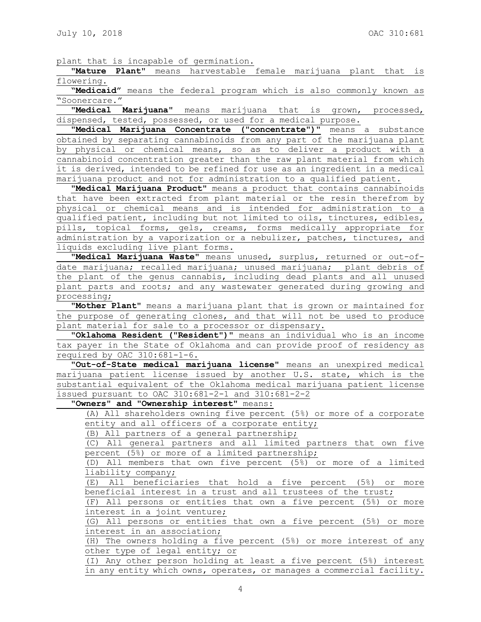plant that is incapable of germination**.**

**"Mature Plant"** means harvestable female marijuana plant that is flowering.

**"Medicaid"** means the federal program which is also commonly known as "Soonercare."

**"Medical Marijuana"** means marijuana that is grown, processed, dispensed, tested, possessed, or used for a medical purpose.

**"Medical Marijuana Concentrate ("concentrate")"** means a substance obtained by separating cannabinoids from any part of the marijuana plant by physical or chemical means, so as to deliver a product with a cannabinoid concentration greater than the raw plant material from which it is derived, intended to be refined for use as an ingredient in a medical marijuana product and not for administration to a qualified patient.

**"Medical Marijuana Product"** means a product that contains cannabinoids that have been extracted from plant material or the resin therefrom by physical or chemical means and is intended for administration to a qualified patient, including but not limited to oils, tinctures, edibles, pills, topical forms, gels, creams, forms medically appropriate for administration by a vaporization or a nebulizer, patches, tinctures, and liquids excluding live plant forms.

**"Medical Marijuana Waste"** means unused, surplus, returned or out-ofdate marijuana; recalled marijuana; unused marijuana; plant debris of the plant of the genus cannabis, including dead plants and all unused plant parts and roots; and any wastewater generated during growing and processing;

**"Mother Plant"** means a marijuana plant that is grown or maintained for the purpose of generating clones, and that will not be used to produce plant material for sale to a processor or dispensary.

**"Oklahoma Resident ("Resident")"** means an individual who is an income tax payer in the State of Oklahoma and can provide proof of residency as required by OAC 310:681-1-6.

**"Out-of-State medical marijuana license"** means an unexpired medical marijuana patient license issued by another U.S. state, which is the substantial equivalent of the Oklahoma medical marijuana patient license issued pursuant to OAC 310:681-2-1 and 310:681-2-2

**"Owners" and "Ownership interest"** means:

(A) All shareholders owning five percent (5%) or more of a corporate entity and all officers of a corporate entity;

(B) All partners of a general partnership;

(C) All general partners and all limited partners that own five percent (5%) or more of a limited partnership;

(D) All members that own five percent (5%) or more of a limited liability company;

(E) All beneficiaries that hold a five percent (5%) or more beneficial interest in a trust and all trustees of the trust;

(F) All persons or entities that own a five percent (5%) or more interest in a joint venture;

(G) All persons or entities that own a five percent (5%) or more interest in an association;

(H) The owners holding a five percent (5%) or more interest of any other type of legal entity; or

(I) Any other person holding at least a five percent (5%) interest in any entity which owns, operates, or manages a commercial facility.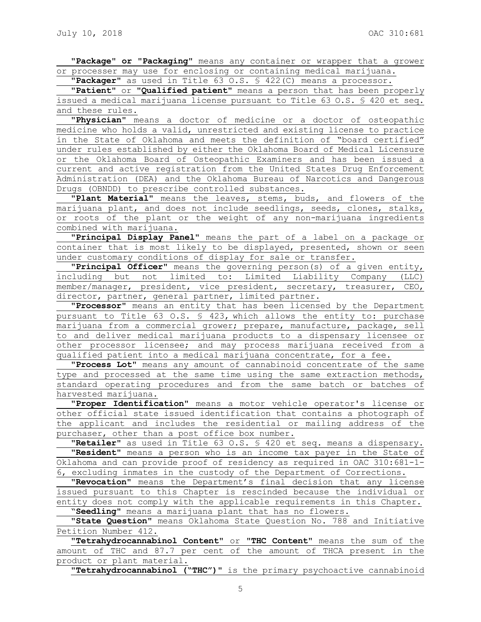**"Package" or "Packaging"** means any container or wrapper that a grower or processer may use for enclosing or containing medical marijuana.

**"Packager"** as used in Title 63 O.S. § 422(C) means a processor.

**"Patient"** or **"Qualified patient"** means a person that has been properly issued a medical marijuana license pursuant to Title 63 O.S. § 420 et seq. and these rules.

**"Physician**" means a doctor of medicine or a doctor of osteopathic medicine who holds a valid, unrestricted and existing license to practice in the State of Oklahoma and meets the definition of "board certified" under rules established by either the Oklahoma Board of Medical Licensure or the Oklahoma Board of Osteopathic Examiners and has been issued a current and active registration from the United States Drug Enforcement Administration (DEA) and the Oklahoma Bureau of Narcotics and Dangerous Drugs (OBNDD) to prescribe controlled substances.

**"Plant Material"** means the leaves, stems, buds, and flowers of the marijuana plant, and does not include seedlings, seeds, clones, stalks, or roots of the plant or the weight of any non-marijuana ingredients combined with marijuana.

**"Principal Display Panel"** means the part of a label on a package or container that is most likely to be displayed, presented, shown or seen under customary conditions of display for sale or transfer.

**"Principal Officer"** means the governing person(s) of a given entity, including but not limited to: Limited Liability Company (LLC) member/manager, president, vice president, secretary, treasurer, CEO, director, partner, general partner, limited partner.

**"Processor"** means an entity that has been licensed by the Department pursuant to Title 63 O.S. § 423, which allows the entity to: purchase marijuana from a commercial grower; prepare, manufacture, package, sell to and deliver medical marijuana products to a dispensary licensee or other processor licensee; and may process marijuana received from a qualified patient into a medical marijuana concentrate, for a fee.

**"Process Lot"** means any amount of cannabinoid concentrate of the same type and processed at the same time using the same extraction methods, standard operating procedures and from the same batch or batches of harvested marijuana.

**"Proper Identification"** means a motor vehicle operator's license or other official state issued identification that contains a photograph of the applicant and includes the residential or mailing address of the purchaser, other than a post office box number.

**"Retailer"** as used in Title 63 O.S. § 420 et seq. means a dispensary. "**Resident"** means a person who is an income tax payer in the State of Oklahoma and can provide proof of residency as required in OAC 310:681-1- 6, excluding inmates in the custody of the Department of Corrections.

**"Revocation**" means the Department's final decision that any license issued pursuant to this Chapter is rescinded because the individual or entity does not comply with the applicable requirements in this Chapter. "**Seedling"** means a marijuana plant that has no flowers.

**"State Question"** means Oklahoma State Question No. 788 and Initiative Petition Number 412.

**"Tetrahydrocannabinol Content"** or **"THC Content"** means the sum of the amount of THC and 87.7 per cent of the amount of THCA present in the product or plant material.

**"Tetrahydrocannabinol ("THC")"** is the primary psychoactive cannabinoid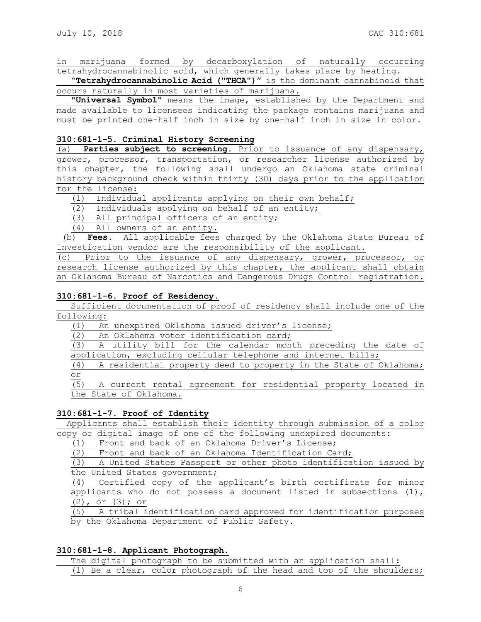in marijuana formed by decarboxylation of naturally occurring tetrahydrocannabinolic acid, which generally takes place by heating.

"**Tetrahydrocannabinolic Acid ("THCA")"** is the dominant cannabinoid that occurs naturally in most varieties of marijuana.

**"Universal Symbol"** means the image, established by the Department and made available to licensees indicating the package contains marijuana and must be printed one-half inch in size by one-half inch in size in color.

## **310:681-1-5. Criminal History Screening**

(a) **Parties subject to screening.** Prior to issuance of any dispensary, grower, processor, transportation, or researcher license authorized by this chapter, the following shall undergo an Oklahoma state criminal history background check within thirty (30) days prior to the application for the license:

(1) Individual applicants applying on their own behalf;

(2) Individuals applying on behalf of an entity;

(3) All principal officers of an entity;

(4) All owners of an entity.

(b) **Fees.** All applicable fees charged by the Oklahoma State Bureau of Investigation vendor are the responsibility of the applicant.

(c) Prior to the issuance of any dispensary, grower, processor, or research license authorized by this chapter, the applicant shall obtain an Oklahoma Bureau of Narcotics and Dangerous Drugs Control registration.

## **310:681-1-6. Proof of Residency.**

Sufficient documentation of proof of residency shall include one of the following:

(1) An unexpired Oklahoma issued driver's license;

(2) An Oklahoma voter identification card;

(3) A utility bill for the calendar month preceding the date of application, excluding cellular telephone and internet bills;

(4) A residential property deed to property in the State of Oklahoma; or

(5) A current rental agreement for residential property located in the State of Oklahoma.

## **310:681-1-7. Proof of Identity**

 Applicants shall establish their identity through submission of a color copy or digital image of one of the following unexpired documents:

(1) Front and back of an Oklahoma Driver's License;

(2) Front and back of an Oklahoma Identification Card;

(3) A United States Passport or other photo identification issued by the United States government;

(4) Certified copy of the applicant's birth certificate for minor applicants who do not possess a document listed in subsections  $(1)$ , (2), or (3); or

(5) A tribal identification card approved for identification purposes by the Oklahoma Department of Public Safety.

## **310:681-1-8. Applicant Photograph.**

The digital photograph to be submitted with an application shall: (1) Be a clear, color photograph of the head and top of the shoulders;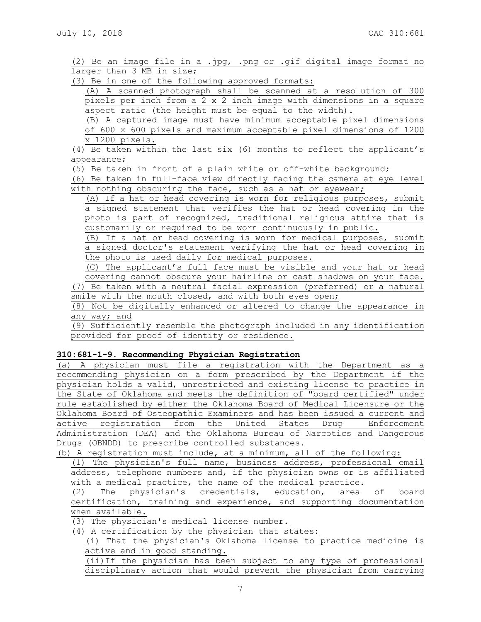(2) Be an image file in a .jpg, .png or .gif digital image format no larger than 3 MB in size;

(3) Be in one of the following approved formats:

(A) A scanned photograph shall be scanned at a resolution of 300 pixels per inch from a 2 x 2 inch image with dimensions in a square aspect ratio (the height must be equal to the width).

(B) A captured image must have minimum acceptable pixel dimensions of 600 x 600 pixels and maximum acceptable pixel dimensions of 1200 x 1200 pixels.

(4) Be taken within the last six (6) months to reflect the applicant's appearance;

(5) Be taken in front of a plain white or off-white background;

(6) Be taken in full-face view directly facing the camera at eye level with nothing obscuring the face, such as a hat or eyewear;

(A) If a hat or head covering is worn for religious purposes, submit a signed statement that verifies the hat or head covering in the photo is part of recognized, traditional religious attire that is customarily or required to be worn continuously in public.

(B) If a hat or head covering is worn for medical purposes, submit a signed doctor's statement verifying the hat or head covering in the photo is used daily for medical purposes.

(C) The applicant's full face must be visible and your hat or head covering cannot obscure your hairline or cast shadows on your face. (7) Be taken with a neutral facial expression (preferred) or a natural smile with the mouth closed, and with both eyes open;

(8) Not be digitally enhanced or altered to change the appearance in any way; and

(9) Sufficiently resemble the photograph included in any identification provided for proof of identity or residence.

# **310:681-1-9. Recommending Physician Registration**

(a) A physician must file a registration with the Department as a recommending physician on a form prescribed by the Department if the physician holds a valid, unrestricted and existing license to practice in the State of Oklahoma and meets the definition of "board certified" under rule established by either the Oklahoma Board of Medical Licensure or the Oklahoma Board of Osteopathic Examiners and has been issued a current and active registration from the United States Drug Enforcement Administration (DEA) and the Oklahoma Bureau of Narcotics and Dangerous Drugs (OBNDD) to prescribe controlled substances.

(b) A registration must include, at a minimum, all of the following:

(1) The physician's full name, business address, professional email address, telephone numbers and, if the physician owns or is affiliated with a medical practice, the name of the medical practice.

(2) The physician's credentials, education, area of board certification, training and experience, and supporting documentation when available.

(3) The physician's medical license number.

(4) A certification by the physician that states:

(i) That the physician's Oklahoma license to practice medicine is active and in good standing.

(ii)If the physician has been subject to any type of professional disciplinary action that would prevent the physician from carrying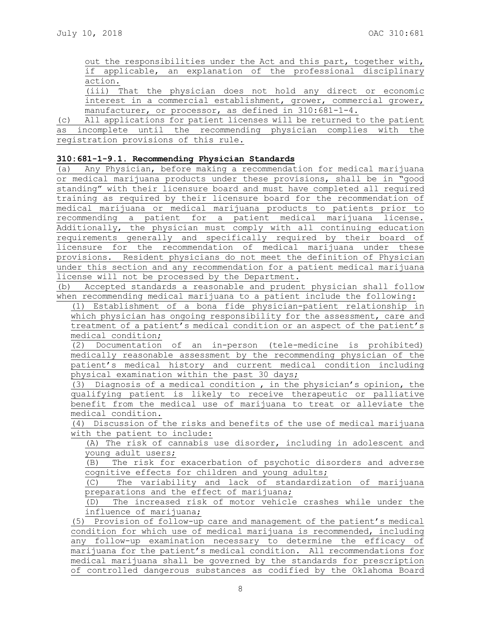out the responsibilities under the Act and this part, together with, if applicable, an explanation of the professional disciplinary action.

(iii) That the physician does not hold any direct or economic interest in a commercial establishment, grower, commercial grower, manufacturer, or processor, as defined in 310:681-1-4.

(c) All applications for patient licenses will be returned to the patient as incomplete until the recommending physician complies with the registration provisions of this rule.

## **310:681-1-9.1. Recommending Physician Standards**

(a) Any Physician, before making a recommendation for medical marijuana or medical marijuana products under these provisions, shall be in "good standing" with their licensure board and must have completed all required training as required by their licensure board for the recommendation of medical marijuana or medical marijuana products to patients prior to recommending a patient for a patient medical marijuana license. Additionally, the physician must comply with all continuing education requirements generally and specifically required by their board of licensure for the recommendation of medical marijuana under these provisions. Resident physicians do not meet the definition of Physician under this section and any recommendation for a patient medical marijuana license will not be processed by the Department.

(b) Accepted standards a reasonable and prudent physician shall follow when recommending medical marijuana to a patient include the following:

(1) Establishment of a bona fide physician-patient relationship in which physician has ongoing responsibility for the assessment, care and treatment of a patient's medical condition or an aspect of the patient's medical condition;

(2) Documentation of an in-person (tele-medicine is prohibited) medically reasonable assessment by the recommending physician of the patient's medical history and current medical condition including physical examination within the past 30 days;

(3) Diagnosis of a medical condition , in the physician's opinion, the qualifying patient is likely to receive therapeutic or palliative benefit from the medical use of marijuana to treat or alleviate the medical condition.

(4) Discussion of the risks and benefits of the use of medical marijuana with the patient to include:

(A) The risk of cannabis use disorder, including in adolescent and young adult users;

(B) The risk for exacerbation of psychotic disorders and adverse cognitive effects for children and young adults;

(C) The variability and lack of standardization of marijuana preparations and the effect of marijuana;

(D) The increased risk of motor vehicle crashes while under the influence of marijuana;

(5) Provision of follow-up care and management of the patient's medical condition for which use of medical marijuana is recommended, including any follow-up examination necessary to determine the efficacy of marijuana for the patient's medical condition. All recommendations for medical marijuana shall be governed by the standards for prescription of controlled dangerous substances as codified by the Oklahoma Board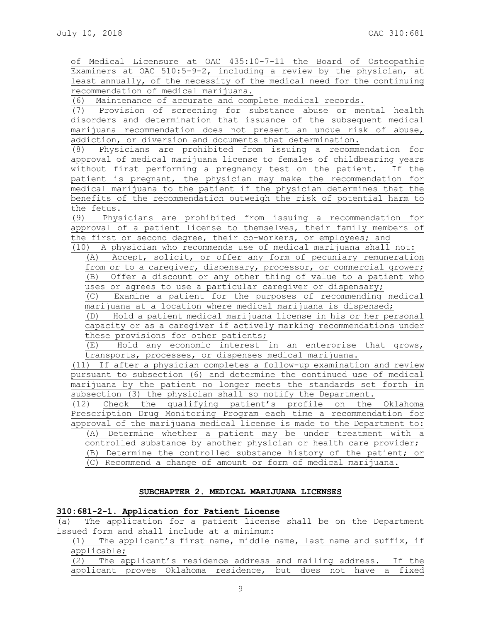of Medical Licensure at OAC 435:10-7-11 the Board of Osteopathic Examiners at OAC 510:5-9-2, including a review by the physician, at least annually, of the necessity of the medical need for the continuing recommendation of medical marijuana.

(6) Maintenance of accurate and complete medical records.

(7) Provision of screening for substance abuse or mental health disorders and determination that issuance of the subsequent medical marijuana recommendation does not present an undue risk of abuse, addiction, or diversion and documents that determination.

(8) Physicians are prohibited from issuing a recommendation for approval of medical marijuana license to females of childbearing years without first performing a pregnancy test on the patient. If the patient is pregnant, the physician may make the recommendation for medical marijuana to the patient if the physician determines that the benefits of the recommendation outweigh the risk of potential harm to the fetus.

(9) Physicians are prohibited from issuing a recommendation for approval of a patient license to themselves, their family members of the first or second degree, their co-workers, or employees; and

(10) A physician who recommends use of medical marijuana shall not: (A) Accept, solicit, or offer any form of pecuniary remuneration from or to a caregiver, dispensary, processor, or commercial grower; (B) Offer a discount or any other thing of value to a patient who uses or agrees to use a particular caregiver or dispensary;

(C) Examine a patient for the purposes of recommending medical marijuana at a location where medical marijuana is dispensed;

(D) Hold a patient medical marijuana license in his or her personal capacity or as a caregiver if actively marking recommendations under these provisions for other patients;

(E) Hold any economic interest in an enterprise that grows, transports, processes, or dispenses medical marijuana.

(11) If after a physician completes a follow-up examination and review pursuant to subsection (6) and determine the continued use of medical marijuana by the patient no longer meets the standards set forth in subsection (3) the physician shall so notify the Department.

(12) Check the qualifying patient's profile on the Oklahoma Prescription Drug Monitoring Program each time a recommendation for approval of the marijuana medical license is made to the Department to: (A) Determine whether a patient may be under treatment with a controlled substance by another physician or health care provider; (B) Determine the controlled substance history of the patient; or

(C) Recommend a change of amount or form of medical marijuana.

# **SUBCHAPTER 2. MEDICAL MARIJUANA LICENSES**

## **310:681-2-1. Application for Patient License**

(a) The application for a patient license shall be on the Department issued form and shall include at a minimum:

(1) The applicant's first name, middle name, last name and suffix, if applicable;

(2) The applicant's residence address and mailing address. If the applicant proves Oklahoma residence, but does not have a fixed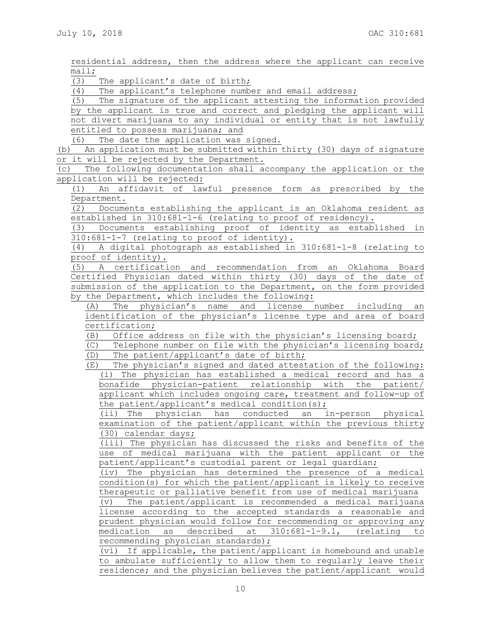residential address, then the address where the applicant can receive mail;

(3) The applicant's date of birth;

The applicant's telephone number and email address;

(5) The signature of the applicant attesting the information provided by the applicant is true and correct and pledging the applicant will not divert marijuana to any individual or entity that is not lawfully entitled to possess marijuana; and

(6) The date the application was signed.

(b) An application must be submitted within thirty (30) days of signature or it will be rejected by the Department.

(c) The following documentation shall accompany the application or the application will be rejected:

(1) An affidavit of lawful presence form as prescribed by the Department.

(2) Documents establishing the applicant is an Oklahoma resident as established in 310:681-1-6 (relating to proof of residency).

(3) Documents establishing proof of identity as established in 310:681-1-7 (relating to proof of identity).

(4) A digital photograph as established in 310:681-1-8 (relating to proof of identity).

(5) A certification and recommendation from an Oklahoma Board Certified Physician dated within thirty (30) days of the date of submission of the application to the Department, on the form provided by the Department, which includes the following:

(A) The physician's name and license number including an identification of the physician's license type and area of board certification;

(B) Office address on file with the physician's licensing board;

(C) Telephone number on file with the physician's licensing board; (D) The patient/applicant's date of birth;

(E) The physician's signed and dated attestation of the following: (i) The physician has established a medical record and has a bonafide physician-patient relationship with the patient/ applicant which includes ongoing care, treatment and follow-up of

the patient/applicant's medical condition(s);

(ii) The physician has conducted an in-person physical examination of the patient/applicant within the previous thirty (30) calendar days;

(iii) The physician has discussed the risks and benefits of the use of medical marijuana with the patient applicant or the patient/applicant's custodial parent or legal guardian;

(iv) The physician has determined the presence of a medical condition(s) for which the patient/applicant is likely to receive therapeutic or palliative benefit from use of medical marijuana

(v) The patient/applicant is recommended a medical marijuana license according to the accepted standards a reasonable and prudent physician would follow for recommending or approving any medication as described at 310:681-1-9.1, (relating to recommending physician standards);

(vi) If applicable, the patient/applicant is homebound and unable to ambulate sufficiently to allow them to regularly leave their residence; and the physician believes the patient/applicant would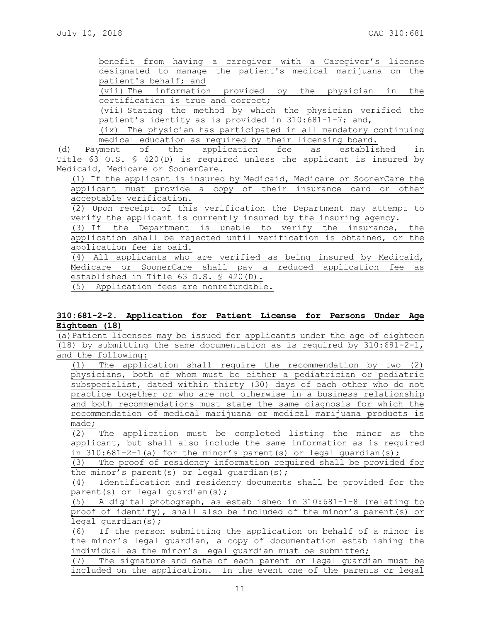benefit from having a caregiver with a Caregiver's license designated to manage the patient's medical marijuana on the patient's behalf; and (vii) The information provided by the physician in the

certification is true and correct;

(vii) Stating the method by which the physician verified the patient's identity as is provided in 310:681-1-7; and,

(ix) The physician has participated in all mandatory continuing medical education as required by their licensing board.

(d) Payment of the application fee as established in Title 63 O.S. § 420(D) is required unless the applicant is insured by Medicaid, Medicare or SoonerCare.

(1) If the applicant is insured by Medicaid, Medicare or SoonerCare the applicant must provide a copy of their insurance card or other acceptable verification.

(2) Upon receipt of this verification the Department may attempt to verify the applicant is currently insured by the insuring agency.

(3) If the Department is unable to verify the insurance, the application shall be rejected until verification is obtained, or the application fee is paid.

(4) All applicants who are verified as being insured by Medicaid, Medicare or SoonerCare shall pay a reduced application fee as established in Title 63 O.S. § 420(D).

(5) Application fees are nonrefundable.

# **310:681-2-2. Application for Patient License for Persons Under Age Eighteen (18)**

(a)Patient licenses may be issued for applicants under the age of eighteen (18) by submitting the same documentation as is required by 310:681-2-1, and the following:

(1) The application shall require the recommendation by two (2) physicians, both of whom must be either a pediatrician or pediatric subspecialist, dated within thirty (30) days of each other who do not practice together or who are not otherwise in a business relationship and both recommendations must state the same diagnosis for which the recommendation of medical marijuana or medical marijuana products is made;

(2) The application must be completed listing the minor as the applicant, but shall also include the same information as is required in 310:681-2-1(a) for the minor's parent(s) or legal guardian(s);

(3) The proof of residency information required shall be provided for the minor's parent(s) or legal guardian(s);

(4) Identification and residency documents shall be provided for the parent(s) or legal quardian(s);

(5) A digital photograph, as established in 310:681-1-8 (relating to proof of identify), shall also be included of the minor's parent(s) or  $\overline{\text{legal}}$  guardian(s);

(6) If the person submitting the application on behalf of a minor is the minor's legal guardian, a copy of documentation establishing the individual as the minor's legal guardian must be submitted;

(7) The signature and date of each parent or legal guardian must be included on the application. In the event one of the parents or legal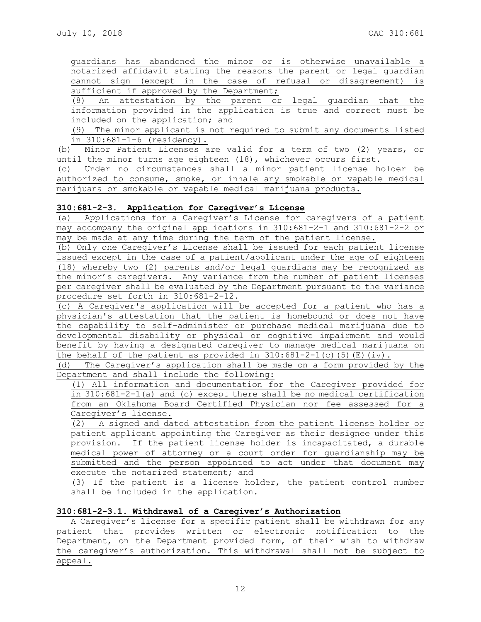guardians has abandoned the minor or is otherwise unavailable a notarized affidavit stating the reasons the parent or legal guardian cannot sign (except in the case of refusal or disagreement) is sufficient if approved by the Department;

(8) An attestation by the parent or legal guardian that the information provided in the application is true and correct must be included on the application; and

(9) The minor applicant is not required to submit any documents listed in 310:681-1-6 (residency).

(b) Minor Patient Licenses are valid for a term of two (2) years, or until the minor turns age eighteen (18), whichever occurs first.

(c) Under no circumstances shall a minor patient license holder be authorized to consume, smoke, or inhale any smokable or vapable medical marijuana or smokable or vapable medical marijuana products.

# **310:681-2-3. Application for Caregiver's License**

(a) Applications for a Caregiver's License for caregivers of a patient may accompany the original applications in 310:681-2-1 and 310:681-2-2 or may be made at any time during the term of the patient license.

(b) Only one Caregiver's License shall be issued for each patient license issued except in the case of a patient/applicant under the age of eighteen (18) whereby two (2) parents and/or legal guardians may be recognized as the minor's caregivers. Any variance from the number of patient licenses per caregiver shall be evaluated by the Department pursuant to the variance procedure set forth in 310:681-2-12.

(c) A Caregiver's application will be accepted for a patient who has a physician's attestation that the patient is homebound or does not have the capability to self-administer or purchase medical marijuana due to developmental disability or physical or cognitive impairment and would benefit by having a designated caregiver to manage medical marijuana on the behalf of the patient as provided in  $310:681-2-1(c)$  (5)(E)(iv).

(d) The Caregiver's application shall be made on a form provided by the Department and shall include the following:

(1) All information and documentation for the Caregiver provided for in 310:681-2-1(a) and (c) except there shall be no medical certification from an Oklahoma Board Certified Physician nor fee assessed for a Caregiver's license.

(2) A signed and dated attestation from the patient license holder or patient applicant appointing the Caregiver as their designee under this provision. If the patient license holder is incapacitated, a durable medical power of attorney or a court order for guardianship may be submitted and the person appointed to act under that document may execute the notarized statement; and

(3) If the patient is a license holder, the patient control number shall be included in the application.

## **310:681-2-3.1. Withdrawal of a Caregiver's Authorization**

A Caregiver's license for a specific patient shall be withdrawn for any patient that provides written or electronic notification to the Department, on the Department provided form, of their wish to withdraw the caregiver's authorization. This withdrawal shall not be subject to appeal.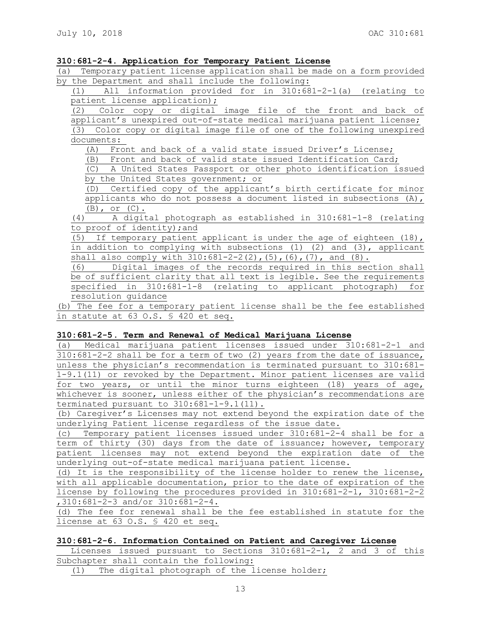### **310:681-2-4. Application for Temporary Patient License**

(a) Temporary patient license application shall be made on a form provided by the Department and shall include the following:

| All information provided for in 310:681-2-1(a) (relating to<br>(1)            |  |  |  |  |  |  |  |  |  |
|-------------------------------------------------------------------------------|--|--|--|--|--|--|--|--|--|
| patient license application);                                                 |  |  |  |  |  |  |  |  |  |
| Color copy or digital image file of the front and back of<br>(2)              |  |  |  |  |  |  |  |  |  |
| applicant's unexpired out-of-state medical marijuana patient license;         |  |  |  |  |  |  |  |  |  |
| (3) Color copy or digital image file of one of the following unexpired        |  |  |  |  |  |  |  |  |  |
| documents:                                                                    |  |  |  |  |  |  |  |  |  |
| Front and back of a valid state issued Driver's License;<br>(A)               |  |  |  |  |  |  |  |  |  |
| (B) Front and back of valid state issued Identification Card;                 |  |  |  |  |  |  |  |  |  |
| A United States Passport or other photo identification issued<br>(C)          |  |  |  |  |  |  |  |  |  |
| by the United States government; or                                           |  |  |  |  |  |  |  |  |  |
| (D) Certified copy of the applicant's birth certificate for minor             |  |  |  |  |  |  |  |  |  |
| applicants who do not possess a document listed in subsections $(A)$ ,        |  |  |  |  |  |  |  |  |  |
| $(B)$ , or $(C)$ .                                                            |  |  |  |  |  |  |  |  |  |
| A digital photograph as established in 310:681-1-8 (relating<br>(4)           |  |  |  |  |  |  |  |  |  |
| to proof of identity); and                                                    |  |  |  |  |  |  |  |  |  |
| If temporary patient applicant is under the age of eighteen $(18)$ ,<br>(5)   |  |  |  |  |  |  |  |  |  |
| in addition to complying with subsections $(1)$ $(2)$ and $(3)$ , applicant   |  |  |  |  |  |  |  |  |  |
| shall also comply with $310:681-2-2(2)$ , $(5)$ , $(6)$ , $(7)$ , and $(8)$ . |  |  |  |  |  |  |  |  |  |
| Digital images of the records required in this section shall<br>(6)           |  |  |  |  |  |  |  |  |  |
| be of sufficient clarity that all text is legible. See the requirements       |  |  |  |  |  |  |  |  |  |
| specified in 310:681-1-8 (relating to applicant photograph) for               |  |  |  |  |  |  |  |  |  |
| resolution quidance                                                           |  |  |  |  |  |  |  |  |  |

(b) The fee for a temporary patient license shall be the fee established in statute at 63 O.S. § 420 et seq.

### **310:681-2-5. Term and Renewal of Medical Marijuana License**

(a) Medical marijuana patient licenses issued under 310:681-2-1 and 310:681-2-2 shall be for a term of two (2) years from the date of issuance, unless the physician's recommendation is terminated pursuant to 310:681- 1-9.1(11) or revoked by the Department. Minor patient licenses are valid for two years, or until the minor turns eighteen (18) years of age, whichever is sooner, unless either of the physician's recommendations are terminated pursuant to  $310:681-1-9.1$   $(11)$ .

(b) Caregiver's Licenses may not extend beyond the expiration date of the underlying Patient license regardless of the issue date.

(c) Temporary patient licenses issued under 310:681-2-4 shall be for a term of thirty (30) days from the date of issuance; however, temporary patient licenses may not extend beyond the expiration date of the underlying out-of-state medical marijuana patient license.

(d) It is the responsibility of the license holder to renew the license, with all applicable documentation, prior to the date of expiration of the license by following the procedures provided in 310:681-2-1, 310:681-2-2 ,310:681-2-3 and/or 310:681-2-4.

(d) The fee for renewal shall be the fee established in statute for the license at 63 O.S. § 420 et seq.

#### **310:681-2-6. Information Contained on Patient and Caregiver License**

Licenses issued pursuant to Sections 310:681-2-1, 2 and 3 of this Subchapter shall contain the following:

(1) The digital photograph of the license holder;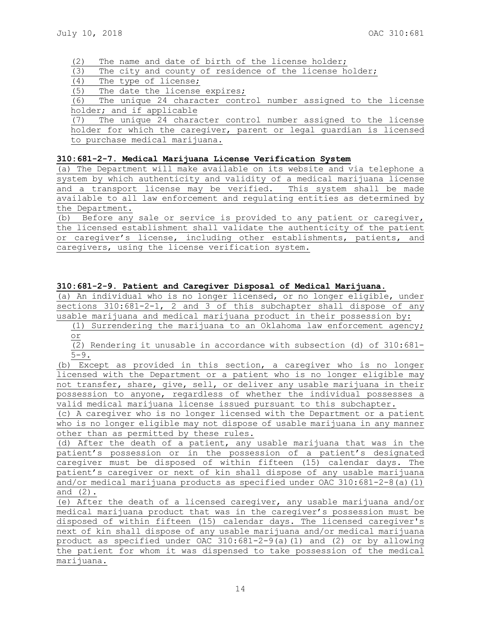(2) The name and date of birth of the license holder;

(3) The city and county of residence of the license holder;

(4) The type of license;

(5) The date the license expires;

(6) The unique 24 character control number assigned to the license holder; and if applicable

(7) The unique 24 character control number assigned to the license holder for which the caregiver, parent or legal guardian is licensed to purchase medical marijuana.

## **310:681-2-7. Medical Marijuana License Verification System**

(a) The Department will make available on its website and via telephone a system by which authenticity and validity of a medical marijuana license and a transport license may be verified. This system shall be made available to all law enforcement and regulating entities as determined by the Department.

(b) Before any sale or service is provided to any patient or caregiver, the licensed establishment shall validate the authenticity of the patient or caregiver's license, including other establishments, patients, and caregivers, using the license verification system.

## **310:681-2-9. Patient and Caregiver Disposal of Medical Marijuana.**

(a) An individual who is no longer licensed, or no longer eligible, under sections  $310:681-2-1$ , 2 and 3 of this subchapter shall dispose of any usable marijuana and medical marijuana product in their possession by:

(1) Surrendering the marijuana to an Oklahoma law enforcement agency; or

(2) Rendering it unusable in accordance with subsection (d) of 310:681-  $5 - 9$ .

(b) Except as provided in this section, a caregiver who is no longer licensed with the Department or a patient who is no longer eligible may not transfer, share, give, sell, or deliver any usable marijuana in their possession to anyone, regardless of whether the individual possesses a valid medical marijuana license issued pursuant to this subchapter.

(c) A caregiver who is no longer licensed with the Department or a patient who is no longer eligible may not dispose of usable marijuana in any manner other than as permitted by these rules.

(d) After the death of a patient, any usable marijuana that was in the patient's possession or in the possession of a patient's designated caregiver must be disposed of within fifteen (15) calendar days. The patient's caregiver or next of kin shall dispose of any usable marijuana and/or medical marijuana products as specified under OAC 310:681-2-8(a)(1) and (2).

(e) After the death of a licensed caregiver, any usable marijuana and/or medical marijuana product that was in the caregiver's possession must be disposed of within fifteen (15) calendar days. The licensed caregiver's next of kin shall dispose of any usable marijuana and/or medical marijuana product as specified under OAC 310:681-2-9(a)(1) and (2) or by allowing the patient for whom it was dispensed to take possession of the medical marijuana.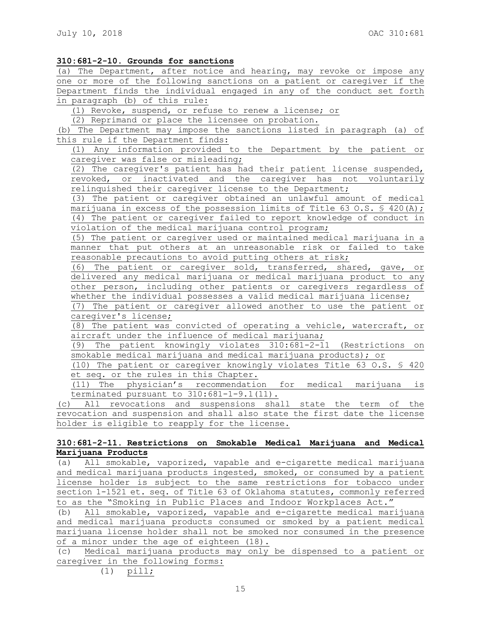| 310:681-2-10. Grounds for sanctions |  |  |  |
|-------------------------------------|--|--|--|
|-------------------------------------|--|--|--|

(a) The Department, after notice and hearing, may revoke or impose any one or more of the following sanctions on a patient or caregiver if the Department finds the individual engaged in any of the conduct set forth in paragraph (b) of this rule:

(1) Revoke, suspend, or refuse to renew a license; or

(2) Reprimand or place the licensee on probation.

(b) The Department may impose the sanctions listed in paragraph (a) of this rule if the Department finds:

(1) Any information provided to the Department by the patient or caregiver was false or misleading;

(2) The caregiver's patient has had their patient license suspended, revoked, or inactivated and the caregiver has not voluntarily relinquished their caregiver license to the Department;

(3) The patient or caregiver obtained an unlawful amount of medical marijuana in excess of the possession limits of Title  $\overline{63}$  O.S. § 420(A); (4) The patient or caregiver failed to report knowledge of conduct in violation of the medical marijuana control program;

(5) The patient or caregiver used or maintained medical marijuana in a manner that put others at an unreasonable risk or failed to take reasonable precautions to avoid putting others at risk;

(6) The patient or caregiver sold, transferred, shared, gave, or delivered any medical marijuana or medical marijuana product to any other person, including other patients or caregivers regardless of whether the individual possesses a valid medical marijuana license;

(7) The patient or caregiver allowed another to use the patient or caregiver's license;

(8) The patient was convicted of operating a vehicle, watercraft, or aircraft under the influence of medical marijuana;

(9) The patient knowingly violates 310:681-2-11 (Restrictions on smokable medical marijuana and medical marijuana products); or

(10) The patient or caregiver knowingly violates Title 63 O.S. § 420 et seq. or the rules in this Chapter.

(11) The physician's recommendation for medical marijuana is terminated pursuant to 310:681-1-9.1(11).

(c) All revocations and suspensions shall state the term of the revocation and suspension and shall also state the first date the license holder is eligible to reapply for the license.

## **310:681-2-11. Restrictions on Smokable Medical Marijuana and Medical Marijuana Products**

(a) All smokable, vaporized, vapable and e-cigarette medical marijuana and medical marijuana products ingested, smoked, or consumed by a patient license holder is subject to the same restrictions for tobacco under section 1-1521 et. seq. of Title 63 of Oklahoma statutes, commonly referred to as the "Smoking in Public Places and Indoor Workplaces Act."

(b) All smokable, vaporized, vapable and e-cigarette medical marijuana and medical marijuana products consumed or smoked by a patient medical marijuana license holder shall not be smoked nor consumed in the presence of a minor under the age of eighteen (18).

(c) Medical marijuana products may only be dispensed to a patient or caregiver in the following forms:

(1) pill;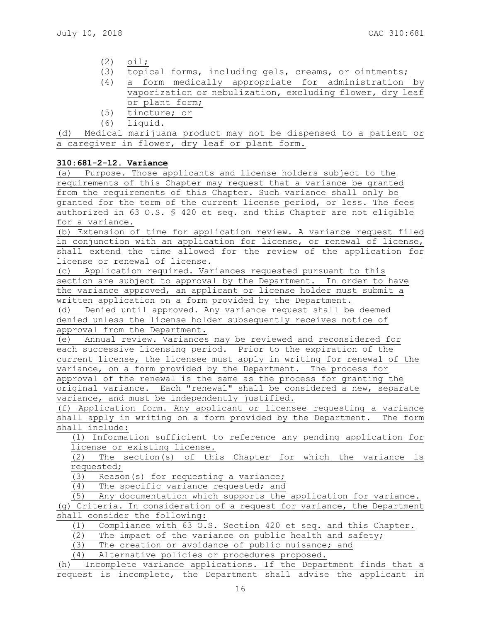- (2) oil;
- (3) topical forms, including gels, creams, or ointments;
- (4) a form medically appropriate for administration by vaporization or nebulization, excluding flower, dry leaf or plant form;
- (5) tincture; or
- (6) liquid.

(d) Medical marijuana product may not be dispensed to a patient or a caregiver in flower, dry leaf or plant form.

# **310:681-2-12. Variance**

(a) Purpose. Those applicants and license holders subject to the requirements of this Chapter may request that a variance be granted from the requirements of this Chapter. Such variance shall only be granted for the term of the current license period, or less. The fees authorized in 63 O.S. § 420 et seq. and this Chapter are not eligible for a variance.

(b) Extension of time for application review. A variance request filed in conjunction with an application for license, or renewal of license, shall extend the time allowed for the review of the application for license or renewal of license.

(c) Application required. Variances requested pursuant to this section are subject to approval by the Department. In order to have the variance approved, an applicant or license holder must submit a written application on a form provided by the Department.

(d) Denied until approved. Any variance request shall be deemed denied unless the license holder subsequently receives notice of approval from the Department.

(e) Annual review. Variances may be reviewed and reconsidered for each successive licensing period. Prior to the expiration of the current license, the licensee must apply in writing for renewal of the variance, on a form provided by the Department. The process for approval of the renewal is the same as the process for granting the original variance. Each "renewal" shall be considered a new, separate variance, and must be independently justified.

(f) Application form. Any applicant or licensee requesting a variance shall apply in writing on a form provided by the Department. The form shall include:

(1) Information sufficient to reference any pending application for license or existing license.

(2) The section(s) of this Chapter for which the variance is requested;

(3) Reason(s) for requesting a variance;

(4) The specific variance requested; and

(5) Any documentation which supports the application for variance. (g) Criteria. In consideration of a request for variance, the Department shall consider the following:

(1) Compliance with 63 O.S. Section 420 et seq. and this Chapter.

(2) The impact of the variance on public health and safety;

(3) The creation or avoidance of public nuisance; and

(4) Alternative policies or procedures proposed.

(h) Incomplete variance applications. If the Department finds that a request is incomplete, the Department shall advise the applicant in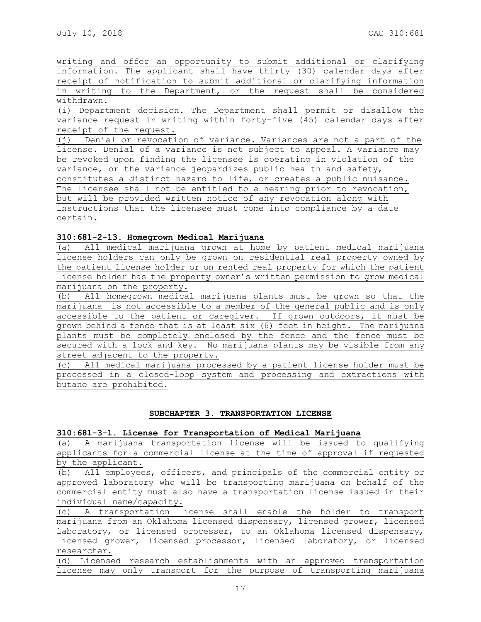writing and offer an opportunity to submit additional or clarifying information. The applicant shall have thirty (30) calendar days after receipt of notification to submit additional or clarifying information in writing to the Department, or the request shall be considered withdrawn. (i) Department decision. The Department shall permit or disallow the variance request in writing within forty-five (45) calendar days after receipt of the request. (j) Denial or revocation of variance. Variances are not a part of the license. Denial of a variance is not subject to appeal. A variance may be revoked upon finding the licensee is operating in violation of the variance, or the variance jeopardizes public health and safety, constitutes a distinct hazard to life, or creates a public nuisance. The licensee shall not be entitled to a hearing prior to revocation, but will be provided written notice of any revocation along with instructions that the licensee must come into compliance by a date certain.

# **310:681-2-13. Homegrown Medical Marijuana**

(a) All medical marijuana grown at home by patient medical marijuana license holders can only be grown on residential real property owned by the patient license holder or on rented real property for which the patient license holder has the property owner's written permission to grow medical marijuana on the property.

(b) All homegrown medical marijuana plants must be grown so that the marijuana is not accessible to a member of the general public and is only accessible to the patient or caregiver. If grown outdoors, it must be grown behind a fence that is at least six (6) feet in height. The marijuana plants must be completely enclosed by the fence and the fence must be secured with a lock and key. No marijuana plants may be visible from any street adjacent to the property.

(c) All medical marijuana processed by a patient license holder must be processed in a closed-loop system and processing and extractions with butane are prohibited.

# **SUBCHAPTER 3. TRANSPORTATION LICENSE**

### **310:681-3-1. License for Transportation of Medical Marijuana**

(a) A marijuana transportation license will be issued to qualifying applicants for a commercial license at the time of approval if requested by the applicant.

(b) All employees, officers, and principals of the commercial entity or approved laboratory who will be transporting marijuana on behalf of the commercial entity must also have a transportation license issued in their individual name/capacity.

(c) A transportation license shall enable the holder to transport marijuana from an Oklahoma licensed dispensary, licensed grower, licensed laboratory, or licensed processer, to an Oklahoma licensed dispensary, licensed grower, licensed processor, licensed laboratory, or licensed researcher.

(d) Licensed research establishments with an approved transportation license may only transport for the purpose of transporting marijuana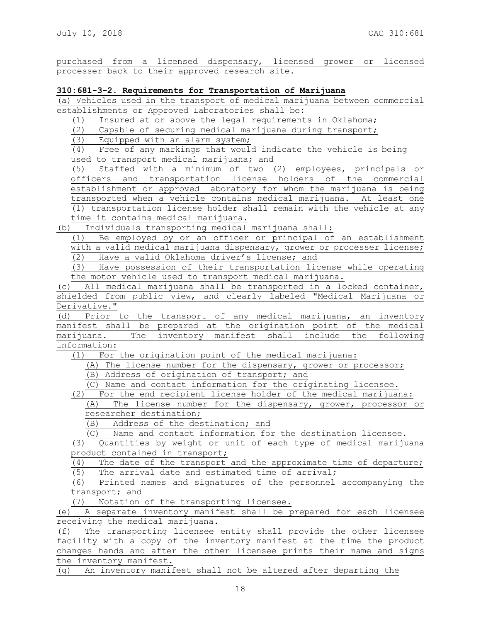purchased from a licensed dispensary, licensed grower or licensed processer back to their approved research site.

## **310:681-3-2. Requirements for Transportation of Marijuana**

(a) Vehicles used in the transport of medical marijuana between commercial establishments or Approved Laboratories shall be:

(1) Insured at or above the legal requirements in Oklahoma;

(2) Capable of securing medical marijuana during transport;

(3) Equipped with an alarm system;

(4) Free of any markings that would indicate the vehicle is being used to transport medical marijuana; and

(5) Staffed with a minimum of two (2) employees, principals or officers and transportation license holders of the commercial establishment or approved laboratory for whom the marijuana is being transported when a vehicle contains medical marijuana. At least one (1) transportation license holder shall remain with the vehicle at any time it contains medical marijuana.

(b) Individuals transporting medical marijuana shall:

(1) Be employed by or an officer or principal of an establishment with a valid medical marijuana dispensary, grower or processer license; (2) Have a valid Oklahoma driver's license; and

(3) Have possession of their transportation license while operating the motor vehicle used to transport medical marijuana.

(c) All medical marijuana shall be transported in a locked container, shielded from public view, and clearly labeled "Medical Marijuana or Derivative."

(d) Prior to the transport of any medical marijuana, an inventory manifest shall be prepared at the origination point of the medical marijuana. The inventory manifest shall include the following information:

(1) For the origination point of the medical marijuana:

(A) The license number for the dispensary, grower or processor;

(B) Address of origination of transport; and

(C) Name and contact information for the originating licensee.

(2) For the end recipient license holder of the medical marijuana:

(A) The license number for the dispensary, grower, processor or researcher destination;

(B) Address of the destination; and

(C) Name and contact information for the destination licensee.

(3) Quantities by weight or unit of each type of medical marijuana product contained in transport;

(4) The date of the transport and the approximate time of departure; (5) The arrival date and estimated time of arrival;

(6) Printed names and signatures of the personnel accompanying the transport; and

(7) Notation of the transporting licensee.

(e) A separate inventory manifest shall be prepared for each licensee receiving the medical marijuana.

(f) The transporting licensee entity shall provide the other licensee facility with a copy of the inventory manifest at the time the product changes hands and after the other licensee prints their name and signs the inventory manifest.

(g) An inventory manifest shall not be altered after departing the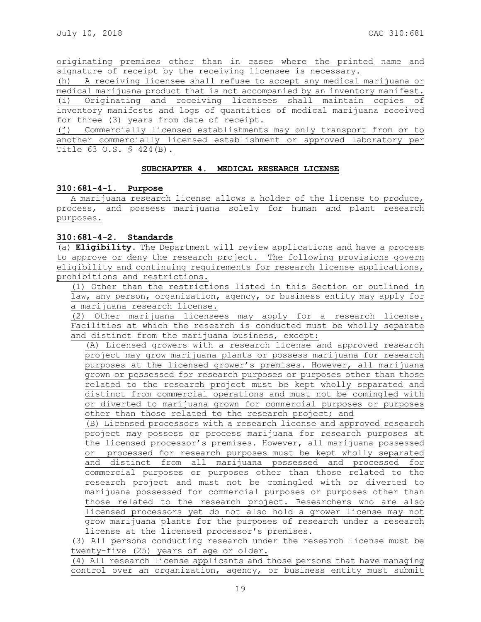originating premises other than in cases where the printed name and signature of receipt by the receiving licensee is necessary.

(h) A receiving licensee shall refuse to accept any medical marijuana or medical marijuana product that is not accompanied by an inventory manifest. (i) Originating and receiving licensees shall maintain copies of inventory manifests and logs of quantities of medical marijuana received for three (3) years from date of receipt.

(j) Commercially licensed establishments may only transport from or to another commercially licensed establishment or approved laboratory per Title 63 O.S. § 424(B).

### **SUBCHAPTER 4. MEDICAL RESEARCH LICENSE**

### **310:681-4-1. Purpose**

A marijuana research license allows a holder of the license to produce, process, and possess marijuana solely for human and plant research purposes.

## **310:681-4-2. Standards**

(a) **Eligibility.** The Department will review applications and have a process to approve or deny the research project. The following provisions govern eligibility and continuing requirements for research license applications, prohibitions and restrictions.

(1) Other than the restrictions listed in this Section or outlined in law, any person, organization, agency, or business entity may apply for a marijuana research license.

(2) Other marijuana licensees may apply for a research license. Facilities at which the research is conducted must be wholly separate and distinct from the marijuana business, except:

(A) Licensed growers with a research license and approved research project may grow marijuana plants or possess marijuana for research purposes at the licensed grower's premises. However, all marijuana grown or possessed for research purposes or purposes other than those related to the research project must be kept wholly separated and distinct from commercial operations and must not be comingled with or diverted to marijuana grown for commercial purposes or purposes other than those related to the research project; and

(B) Licensed processors with a research license and approved research project may possess or process marijuana for research purposes at the licensed processor's premises. However, all marijuana possessed or processed for research purposes must be kept wholly separated and distinct from all marijuana possessed and processed for commercial purposes or purposes other than those related to the research project and must not be comingled with or diverted to marijuana possessed for commercial purposes or purposes other than those related to the research project. Researchers who are also licensed processors yet do not also hold a grower license may not grow marijuana plants for the purposes of research under a research license at the licensed processor's premises.

(3) All persons conducting research under the research license must be twenty-five (25) years of age or older.

(4) All research license applicants and those persons that have managing control over an organization, agency, or business entity must submit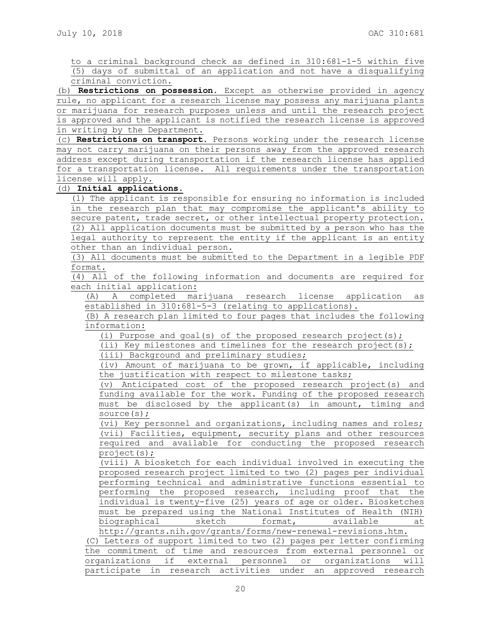to a criminal background check as defined in 310:681-1-5 within five (5) days of submittal of an application and not have a disqualifying criminal conviction.

(b) **Restrictions on possession.** Except as otherwise provided in agency rule, no applicant for a research license may possess any marijuana plants or marijuana for research purposes unless and until the research project is approved and the applicant is notified the research license is approved in writing by the Department.

(c) **Restrictions on transport.** Persons working under the research license may not carry marijuana on their persons away from the approved research address except during transportation if the research license has applied for a transportation license. All requirements under the transportation license will apply.

## (d) **Initial applications**.

(1) The applicant is responsible for ensuring no information is included in the research plan that may compromise the applicant's ability to secure patent, trade secret, or other intellectual property protection. (2) All application documents must be submitted by a person who has the legal authority to represent the entity if the applicant is an entity other than an individual person.

(3) All documents must be submitted to the Department in a legible PDF format.

(4) All of the following information and documents are required for each initial application:

(A) A completed marijuana research license application as established in 310:681-5-3 (relating to applications).

(B) A research plan limited to four pages that includes the following information:

(i) Purpose and goal(s) of the proposed research project(s);

(ii) Key milestones and timelines for the research project(s);

(iii) Background and preliminary studies;

(iv) Amount of marijuana to be grown, if applicable, including the justification with respect to milestone tasks;

(v) Anticipated cost of the proposed research project(s) and funding available for the work. Funding of the proposed research must be disclosed by the applicant(s) in amount, timing and source(s);

(vi) Key personnel and organizations, including names and roles; (vii) Facilities, equipment, security plans and other resources required and available for conducting the proposed research project(s);

(viii) A biosketch for each individual involved in executing the proposed research project limited to two (2) pages per individual performing technical and administrative functions essential to performing the proposed research, including proof that the individual is twenty-five (25) years of age or older. Biosketches must be prepared using the National Institutes of Health (NIH) biographical sketch format, available at

http://grants.nih.gov/grants/forms/new-renewal-revisions.htm. (C) Letters of support limited to two (2) pages per letter confirming the commitment of time and resources from external personnel or organizations if external personnel or organizations will participate in research activities under an approved research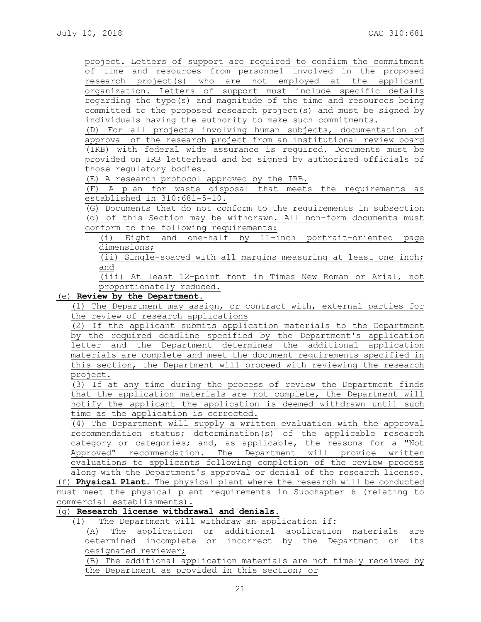project. Letters of support are required to confirm the commitment of time and resources from personnel involved in the proposed research project(s) who are not employed at the applicant organization. Letters of support must include specific details regarding the type(s) and magnitude of the time and resources being committed to the proposed research project(s) and must be signed by individuals having the authority to make such commitments.

(D) For all projects involving human subjects, documentation of approval of the research project from an institutional review board (IRB) with federal wide assurance is required. Documents must be provided on IRB letterhead and be signed by authorized officials of those regulatory bodies.

(E) A research protocol approved by the IRB.

(F) A plan for waste disposal that meets the requirements as established in 310:681-5-10.

(G) Documents that do not conform to the requirements in subsection (d) of this Section may be withdrawn. All non-form documents must conform to the following requirements:

(i) Eight and one-half by 11-inch portrait-oriented page dimensions;

(ii) Single-spaced with all margins measuring at least one inch; and

(iii) At least 12-point font in Times New Roman or Arial, not proportionately reduced.

## (e) **Review by the Department.**

(1) The Department may assign, or contract with, external parties for the review of research applications

(2) If the applicant submits application materials to the Department by the required deadline specified by the Department's application letter and the Department determines the additional application materials are complete and meet the document requirements specified in this section, the Department will proceed with reviewing the research project.

(3) If at any time during the process of review the Department finds that the application materials are not complete, the Department will notify the applicant the application is deemed withdrawn until such time as the application is corrected.

(4) The Department will supply a written evaluation with the approval recommendation status; determination(s) of the applicable research category or categories; and, as applicable, the reasons for a "Not Approved" recommendation. The Department will provide written evaluations to applicants following completion of the review process along with the Department's approval or denial of the research license.

(f) **Physical Plant**. The physical plant where the research will be conducted must meet the physical plant requirements in Subchapter 6 (relating to commercial establishments).

# (g) **Research license withdrawal and denials.**

(1) The Department will withdraw an application if:

(A) The application or additional application materials are determined incomplete or incorrect by the Department or its designated reviewer;

(B) The additional application materials are not timely received by the Department as provided in this section; or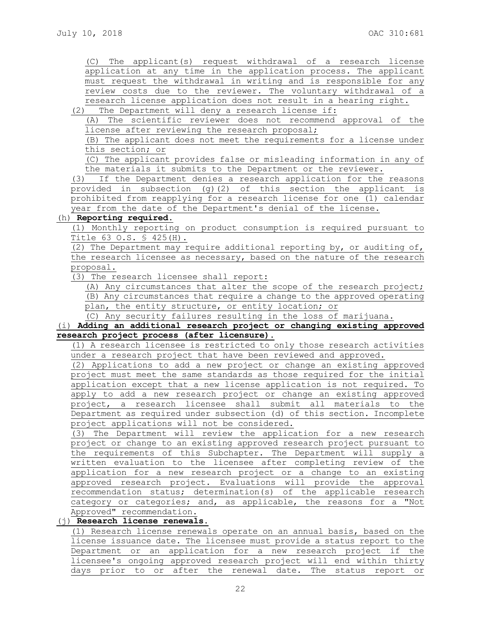(C) The applicant(s) request withdrawal of a research license application at any time in the application process. The applicant must request the withdrawal in writing and is responsible for any review costs due to the reviewer. The voluntary withdrawal of a research license application does not result in a hearing right.

(2) The Department will deny a research license if:

(A) The scientific reviewer does not recommend approval of the license after reviewing the research proposal;

(B) The applicant does not meet the requirements for a license under this section; or

(C) The applicant provides false or misleading information in any of the materials it submits to the Department or the reviewer.

(3) If the Department denies a research application for the reasons provided in subsection (g)(2) of this section the applicant is prohibited from reapplying for a research license for one (1) calendar year from the date of the Department's denial of the license.

## (h) **Reporting required**.

(1) Monthly reporting on product consumption is required pursuant to Title 63 O.S. § 425(H).

(2) The Department may require additional reporting by, or auditing of, the research licensee as necessary, based on the nature of the research proposal.

(3) The research licensee shall report:

(A) Any circumstances that alter the scope of the research project; (B) Any circumstances that require a change to the approved operating plan, the entity structure, or entity location; or

(C) Any security failures resulting in the loss of marijuana.

# (i) **Adding an additional research project or changing existing approved research project process (after licensure).**

(1) A research licensee is restricted to only those research activities under a research project that have been reviewed and approved.

(2) Applications to add a new project or change an existing approved project must meet the same standards as those required for the initial application except that a new license application is not required. To apply to add a new research project or change an existing approved project, a research licensee shall submit all materials to the Department as required under subsection (d) of this section. Incomplete project applications will not be considered.

(3) The Department will review the application for a new research project or change to an existing approved research project pursuant to the requirements of this Subchapter. The Department will supply a written evaluation to the licensee after completing review of the application for a new research project or a change to an existing approved research project. Evaluations will provide the approval recommendation status; determination(s) of the applicable research category or categories; and, as applicable, the reasons for a "Not Approved" recommendation.

# (j) **Research license renewals.**

(1) Research license renewals operate on an annual basis, based on the license issuance date. The licensee must provide a status report to the Department or an application for a new research project if the licensee's ongoing approved research project will end within thirty days prior to or after the renewal date. The status report or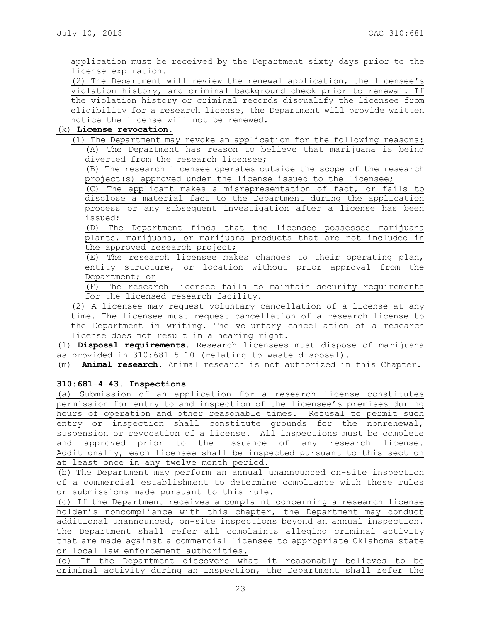application must be received by the Department sixty days prior to the license expiration.

(2) The Department will review the renewal application, the licensee's violation history, and criminal background check prior to renewal. If the violation history or criminal records disqualify the licensee from eligibility for a research license, the Department will provide written notice the license will not be renewed.

# (k) **License revocation.**

(1) The Department may revoke an application for the following reasons: (A) The Department has reason to believe that marijuana is being diverted from the research licensee;

(B) The research licensee operates outside the scope of the research project(s) approved under the license issued to the licensee;

(C) The applicant makes a misrepresentation of fact, or fails to disclose a material fact to the Department during the application process or any subsequent investigation after a license has been issued;

(D) The Department finds that the licensee possesses marijuana plants, marijuana, or marijuana products that are not included in the approved research project;

(E) The research licensee makes changes to their operating plan, entity structure, or location without prior approval from the Department; or

(F) The research licensee fails to maintain security requirements for the licensed research facility.

(2) A licensee may request voluntary cancellation of a license at any time. The licensee must request cancellation of a research license to the Department in writing. The voluntary cancellation of a research license does not result in a hearing right.

(l) **Disposal requirements**. Research licensees must dispose of marijuana as provided in 310:681-5-10 (relating to waste disposal).

(m) **Animal research.** Animal research is not authorized in this Chapter.

## **310:681-4-43. Inspections**

(a) Submission of an application for a research license constitutes permission for entry to and inspection of the licensee's premises during hours of operation and other reasonable times. Refusal to permit such entry or inspection shall constitute grounds for the nonrenewal, suspension or revocation of a license. All inspections must be complete and approved prior to the issuance of any research license. Additionally, each licensee shall be inspected pursuant to this section at least once in any twelve month period.

(b) The Department may perform an annual unannounced on-site inspection of a commercial establishment to determine compliance with these rules or submissions made pursuant to this rule.

(c) If the Department receives a complaint concerning a research license holder's noncompliance with this chapter, the Department may conduct additional unannounced, on-site inspections beyond an annual inspection. The Department shall refer all complaints alleging criminal activity that are made against a commercial licensee to appropriate Oklahoma state or local law enforcement authorities.

(d) If the Department discovers what it reasonably believes to be criminal activity during an inspection, the Department shall refer the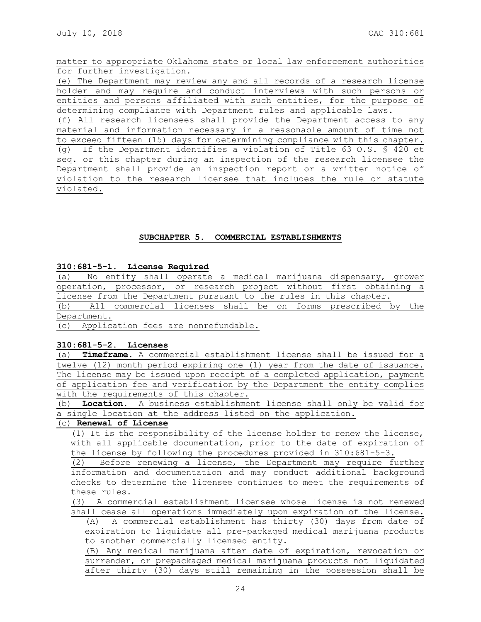matter to appropriate Oklahoma state or local law enforcement authorities for further investigation.

(e) The Department may review any and all records of a research license holder and may require and conduct interviews with such persons or entities and persons affiliated with such entities, for the purpose of determining compliance with Department rules and applicable laws.

(f) All research licensees shall provide the Department access to any material and information necessary in a reasonable amount of time not to exceed fifteen (15) days for determining compliance with this chapter. (g) If the Department identifies a violation of Title 63 O.S. § 420 et seq. or this chapter during an inspection of the research licensee the Department shall provide an inspection report or a written notice of violation to the research licensee that includes the rule or statute violated.

## **SUBCHAPTER 5. COMMERCIAL ESTABLISHMENTS**

### **310:681-5-1. License Required**

(a) No entity shall operate a medical marijuana dispensary, grower operation, processor, or research project without first obtaining a license from the Department pursuant to the rules in this chapter.

(b) All commercial licenses shall be on forms prescribed by the Department.

(c) Application fees are nonrefundable.

## **310:681-5-2. Licenses**

(a) **Timeframe.** A commercial establishment license shall be issued for a twelve (12) month period expiring one (1) year from the date of issuance. The license may be issued upon receipt of a completed application, payment of application fee and verification by the Department the entity complies with the requirements of this chapter.

(b) **Location.** A business establishment license shall only be valid for a single location at the address listed on the application.

# (c) **Renewal of License**

(1) It is the responsibility of the license holder to renew the license, with all applicable documentation, prior to the date of expiration of the license by following the procedures provided in 310:681-5-3.

(2) Before renewing a license, the Department may require further information and documentation and may conduct additional background checks to determine the licensee continues to meet the requirements of these rules.

(3) A commercial establishment licensee whose license is not renewed shall cease all operations immediately upon expiration of the license.

(A) A commercial establishment has thirty (30) days from date of expiration to liquidate all pre-packaged medical marijuana products to another commercially licensed entity.

(B) Any medical marijuana after date of expiration, revocation or surrender, or prepackaged medical marijuana products not liquidated after thirty (30) days still remaining in the possession shall be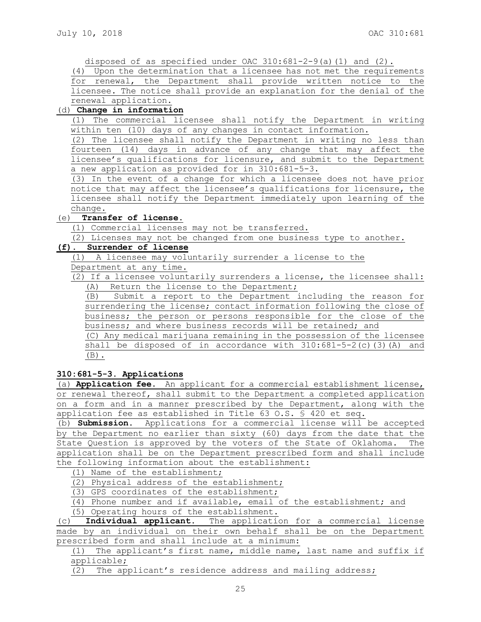disposed of as specified under OAC  $310:681-2-9$ (a)(1) and (2).

(4) Upon the determination that a licensee has not met the requirements for renewal, the Department shall provide written notice to the licensee. The notice shall provide an explanation for the denial of the renewal application.

## (d) **Change in information**

(1) The commercial licensee shall notify the Department in writing within ten (10) days of any changes in contact information.

(2) The licensee shall notify the Department in writing no less than fourteen (14) days in advance of any change that may affect the licensee's qualifications for licensure, and submit to the Department a new application as provided for in 310:681-5-3.

(3) In the event of a change for which a licensee does not have prior notice that may affect the licensee's qualifications for licensure, the licensee shall notify the Department immediately upon learning of the change.

## (e) **Transfer of license.**

(1) Commercial licenses may not be transferred.

(2) Licenses may not be changed from one business type to another.

# **(f). Surrender of license**

(1) A licensee may voluntarily surrender a license to the Department at any time.

(2) If a licensee voluntarily surrenders a license, the licensee shall: (A) Return the license to the Department;

(B) Submit a report to the Department including the reason for surrendering the license; contact information following the close of business; the person or persons responsible for the close of the business; and where business records will be retained; and

(C) Any medical marijuana remaining in the possession of the licensee shall be disposed of in accordance with 310:681-5-2(c)(3)(A) and  $(B)$ .

**310:681-5-3. Applications**

(a) **Application fee.** An applicant for a commercial establishment license, or renewal thereof, shall submit to the Department a completed application on a form and in a manner prescribed by the Department, along with the application fee as established in Title 63 O.S. § 420 et seq.

(b) **Submission.** Applications for a commercial license will be accepted by the Department no earlier than sixty (60) days from the date that the State Question is approved by the voters of the State of Oklahoma. The application shall be on the Department prescribed form and shall include the following information about the establishment:

(1) Name of the establishment;

(2) Physical address of the establishment;

(3) GPS coordinates of the establishment;

(4) Phone number and if available, email of the establishment; and

(5) Operating hours of the establishment.

(c) **Individual applicant.** The application for a commercial license made by an individual on their own behalf shall be on the Department prescribed form and shall include at a minimum:

(1) The applicant's first name, middle name, last name and suffix if applicable;

(2) The applicant's residence address and mailing address;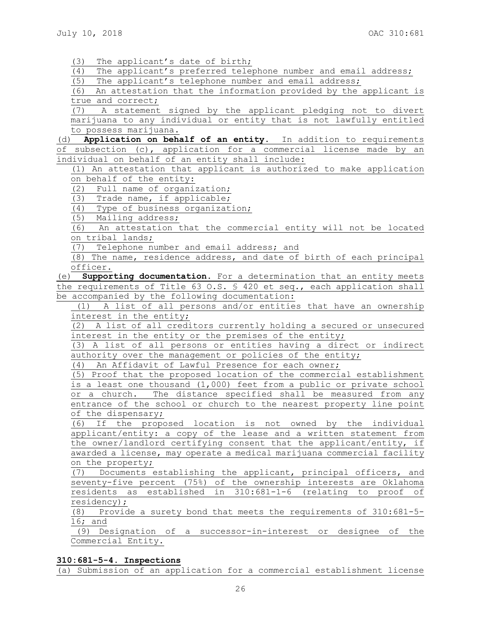(3) The applicant's date of birth;

(4) The applicant's preferred telephone number and email address;

(5) The applicant's telephone number and email address;

(6) An attestation that the information provided by the applicant is true and correct;

(7) A statement signed by the applicant pledging not to divert marijuana to any individual or entity that is not lawfully entitled to possess marijuana.

(d) **Application on behalf of an entity.** In addition to requirements of subsection (c), application for a commercial license made by an individual on behalf of an entity shall include:

(1) An attestation that applicant is authorized to make application on behalf of the entity:

(2) Full name of organization;

(3) Trade name, if applicable;

(4) Type of business organization;

(5) Mailing address;

(6) An attestation that the commercial entity will not be located on tribal lands;

(7) Telephone number and email address; and

(8) The name, residence address, and date of birth of each principal officer.

(e) **Supporting documentation.** For a determination that an entity meets the requirements of Title 63 O.S. § 420 et seq., each application shall be accompanied by the following documentation:

(1) A list of all persons and/or entities that have an ownership interest in the entity;

(2) A list of all creditors currently holding a secured or unsecured interest in the entity or the premises of the entity;

(3) A list of all persons or entities having a direct or indirect authority over the management or policies of the entity;

(4) An Affidavit of Lawful Presence for each owner;

(5) Proof that the proposed location of the commercial establishment is a least one thousand (1,000) feet from a public or private school or a church. The distance specified shall be measured from any entrance of the school or church to the nearest property line point of the dispensary;

(6) If the proposed location is not owned by the individual applicant/entity: a copy of the lease and a written statement from the owner/landlord certifying consent that the applicant/entity, if awarded a license, may operate a medical marijuana commercial facility on the property;

(7) Documents establishing the applicant, principal officers, and seventy-five percent (75%) of the ownership interests are Oklahoma residents as established in 310:681-1-6 (relating to proof of residency);

(8) Provide a surety bond that meets the requirements of 310:681-5- 16; and

(9) Designation of a successor-in-interest or designee of the Commercial Entity.

## **310:681-5-4. Inspections**

(a) Submission of an application for a commercial establishment license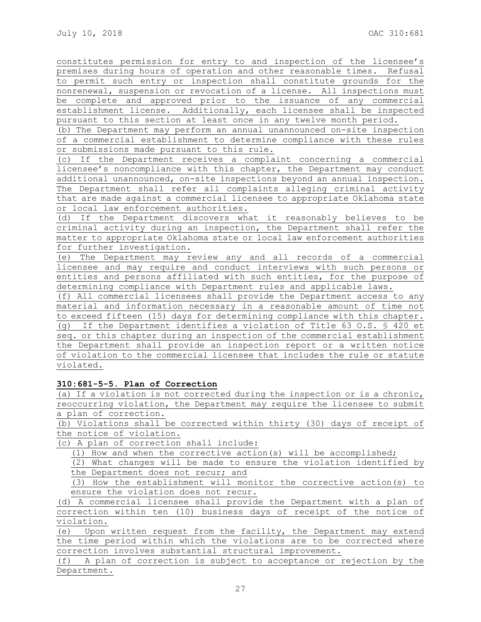constitutes permission for entry to and inspection of the licensee's premises during hours of operation and other reasonable times. Refusal to permit such entry or inspection shall constitute grounds for the nonrenewal, suspension or revocation of a license. All inspections must be complete and approved prior to the issuance of any commercial establishment license. Additionally, each licensee shall be inspected pursuant to this section at least once in any twelve month period.

(b) The Department may perform an annual unannounced on-site inspection of a commercial establishment to determine compliance with these rules or submissions made pursuant to this rule.

(c) If the Department receives a complaint concerning a commercial licensee's noncompliance with this chapter, the Department may conduct additional unannounced, on-site inspections beyond an annual inspection. The Department shall refer all complaints alleging criminal activity that are made against a commercial licensee to appropriate Oklahoma state or local law enforcement authorities.

(d) If the Department discovers what it reasonably believes to be criminal activity during an inspection, the Department shall refer the matter to appropriate Oklahoma state or local law enforcement authorities for further investigation.

(e) The Department may review any and all records of a commercial licensee and may require and conduct interviews with such persons or entities and persons affiliated with such entities, for the purpose of determining compliance with Department rules and applicable laws.

(f) All commercial licensees shall provide the Department access to any material and information necessary in a reasonable amount of time not to exceed fifteen (15) days for determining compliance with this chapter. (g) If the Department identifies a violation of Title 63 O.S. § 420 et seq. or this chapter during an inspection of the commercial establishment the Department shall provide an inspection report or a written notice of violation to the commercial licensee that includes the rule or statute violated.

# **310:681-5-5. Plan of Correction**

(a) If a violation is not corrected during the inspection or is a chronic, reoccurring violation, the Department may require the licensee to submit a plan of correction.

(b) Violations shall be corrected within thirty (30) days of receipt of the notice of violation.

(c) A plan of correction shall include:

(1) How and when the corrective action(s) will be accomplished;

(2) What changes will be made to ensure the violation identified by the Department does not recur; and

(3) How the establishment will monitor the corrective action(s) to ensure the violation does not recur.

(d) A commercial licensee shall provide the Department with a plan of correction within ten (10) business days of receipt of the notice of violation.

(e) Upon written request from the facility, the Department may extend the time period within which the violations are to be corrected where correction involves substantial structural improvement.

(f) A plan of correction is subject to acceptance or rejection by the Department.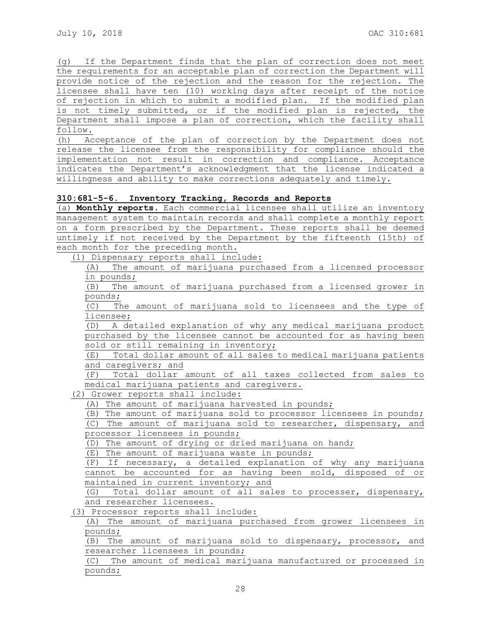(g) If the Department finds that the plan of correction does not meet the requirements for an acceptable plan of correction the Department will provide notice of the rejection and the reason for the rejection. The licensee shall have ten (10) working days after receipt of the notice of rejection in which to submit a modified plan. If the modified plan is not timely submitted, or if the modified plan is rejected, the Department shall impose a plan of correction, which the facility shall follow*.*

(h) Acceptance of the plan of correction by the Department does not release the licensee from the responsibility for compliance should the implementation not result in correction and compliance. Acceptance indicates the Department's acknowledgment that the license indicated a willingness and ability to make corrections adequately and timely.

## **310:681-5-6. Inventory Tracking, Records and Reports**

(a) **Monthly reports.** Each commercial licensee shall utilize an inventory management system to maintain records and shall complete a monthly report on a form prescribed by the Department. These reports shall be deemed untimely if not received by the Department by the fifteenth (15th) of each month for the preceding month.

(1) Dispensary reports shall include:

(A) The amount of marijuana purchased from a licensed processor in pounds;

(B) The amount of marijuana purchased from a licensed grower in pounds;

(C) The amount of marijuana sold to licensees and the type of licensee;

(D) A detailed explanation of why any medical marijuana product purchased by the licensee cannot be accounted for as having been sold or still remaining in inventory;

(E) Total dollar amount of all sales to medical marijuana patients and caregivers; and

(F) Total dollar amount of all taxes collected from sales to medical marijuana patients and caregivers.

(2) Grower reports shall include:

(A) The amount of marijuana harvested in pounds;

(B) The amount of marijuana sold to processor licensees in pounds; (C) The amount of marijuana sold to researcher, dispensary, and processor licensees in pounds;

(D) The amount of drying or dried marijuana on hand;

(E) The amount of marijuana waste in pounds;

(F) If necessary, a detailed explanation of why any marijuana cannot be accounted for as having been sold, disposed of or maintained in current inventory; and

(G) Total dollar amount of all sales to processer, dispensary, and researcher licensees.

(3) Processor reports shall include:

(A) The amount of marijuana purchased from grower licensees in pounds;

(B) The amount of marijuana sold to dispensary, processor, and researcher licensees in pounds;

(C) The amount of medical marijuana manufactured or processed in pounds;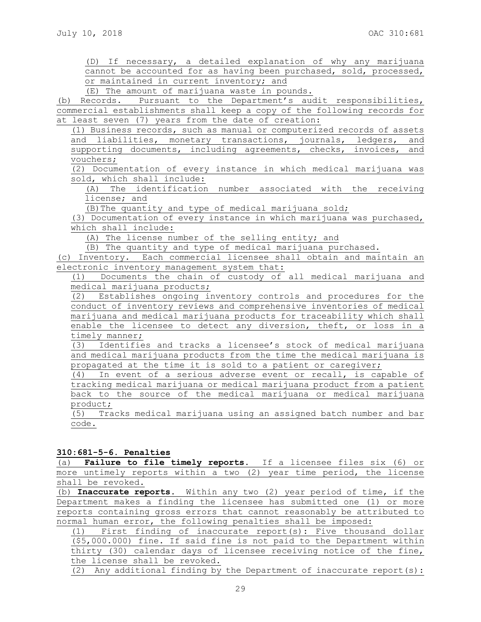(D) If necessary, a detailed explanation of why any marijuana cannot be accounted for as having been purchased, sold, processed, or maintained in current inventory; and

(E) The amount of marijuana waste in pounds.

(b) Records. Pursuant to the Department's audit responsibilities, commercial establishments shall keep a copy of the following records for at least seven (7) years from the date of creation:

(1) Business records, such as manual or computerized records of assets and liabilities, monetary transactions, journals, ledgers, and supporting documents, including agreements, checks, invoices, and vouchers;

(2) Documentation of every instance in which medical marijuana was sold, which shall include:

(A) The identification number associated with the receiving license; and

(B)The quantity and type of medical marijuana sold;

(3) Documentation of every instance in which marijuana was purchased, which shall include:

(A) The license number of the selling entity; and

(B) The quantity and type of medical marijuana purchased.

(c) Inventory. Each commercial licensee shall obtain and maintain an electronic inventory management system that:

(1) Documents the chain of custody of all medical marijuana and medical marijuana products;

(2) Establishes ongoing inventory controls and procedures for the conduct of inventory reviews and comprehensive inventories of medical marijuana and medical marijuana products for traceability which shall enable the licensee to detect any diversion, theft, or loss in a timely manner;

(3) Identifies and tracks a licensee's stock of medical marijuana and medical marijuana products from the time the medical marijuana is propagated at the time it is sold to a patient or caregiver;

(4) In event of a serious adverse event or recall, is capable of tracking medical marijuana or medical marijuana product from a patient back to the source of the medical marijuana or medical marijuana product;

(5) Tracks medical marijuana using an assigned batch number and bar code.

## **310:681-5-6. Penalties**

(a) **Failure to file timely reports.** If a licensee files six (6) or more untimely reports within a two (2) year time period, the license shall be revoked.

(b) **Inaccurate reports.** Within any two (2) year period of time, if the Department makes a finding the licensee has submitted one (1) or more reports containing gross errors that cannot reasonably be attributed to normal human error, the following penalties shall be imposed:

(1) First finding of inaccurate report(s): Five thousand dollar (\$5,000.000) fine. If said fine is not paid to the Department within thirty (30) calendar days of licensee receiving notice of the fine, the license shall be revoked.

(2) Any additional finding by the Department of inaccurate report(s):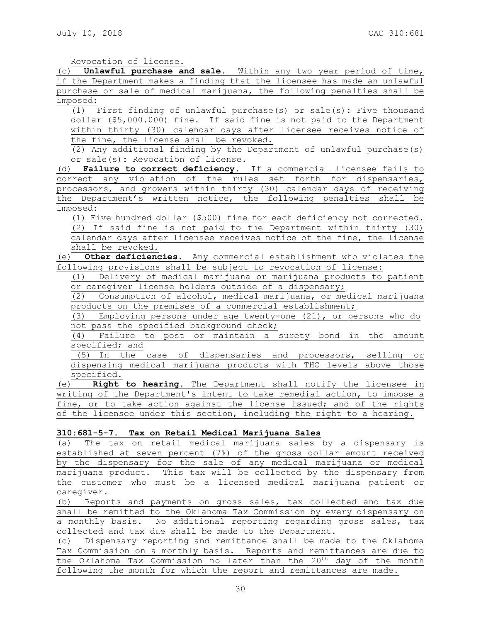Revocation of license.

(c) **Unlawful purchase and sale.** Within any two year period of time, if the Department makes a finding that the licensee has made an unlawful purchase or sale of medical marijuana, the following penalties shall be imposed:

(1) First finding of unlawful purchase(s) or sale(s): Five thousand dollar (\$5,000.000) fine. If said fine is not paid to the Department within thirty (30) calendar days after licensee receives notice of the fine, the license shall be revoked.

(2) Any additional finding by the Department of unlawful purchase(s) or sale(s): Revocation of license.

(d) **Failure to correct deficiency**. If a commercial licensee fails to correct any violation of the rules set forth for dispensaries, processors, and growers within thirty (30) calendar days of receiving the Department's written notice, the following penalties shall be imposed:

(1) Five hundred dollar (\$500) fine for each deficiency not corrected. (2) If said fine is not paid to the Department within thirty (30) calendar days after licensee receives notice of the fine, the license shall be revoked.

(e) **Other deficiencies.** Any commercial establishment who violates the following provisions shall be subject to revocation of license:

(1) Delivery of medical marijuana or marijuana products to patient or caregiver license holders outside of a dispensary;

(2) Consumption of alcohol, medical marijuana, or medical marijuana products on the premises of a commercial establishment;

(3) Employing persons under age twenty-one (21), or persons who do not pass the specified background check;

(4) Failure to post or maintain a surety bond in the amount specified; and

(5) In the case of dispensaries and processors, selling or dispensing medical marijuana products with THC levels above those specified.

(e) **Right to hearing.** The Department shall notify the licensee in writing of the Department's intent to take remedial action, to impose a fine, or to take action against the license issued; and of the rights of the licensee under this section, including the right to a hearing.

### **310:681-5-7. Tax on Retail Medical Marijuana Sales**

(a) The tax on retail medical marijuana sales by a dispensary is established at seven percent (7%) of the gross dollar amount received by the dispensary for the sale of any medical marijuana or medical marijuana product. This tax will be collected by the dispensary from the customer who must be a licensed medical marijuana patient or caregiver.

(b) Reports and payments on gross sales, tax collected and tax due shall be remitted to the Oklahoma Tax Commission by every dispensary on a monthly basis. No additional reporting regarding gross sales, tax collected and tax due shall be made to the Department.

(c) Dispensary reporting and remittance shall be made to the Oklahoma Tax Commission on a monthly basis. Reports and remittances are due to the Oklahoma Tax Commission no later than the 20<sup>th</sup> day of the month following the month for which the report and remittances are made.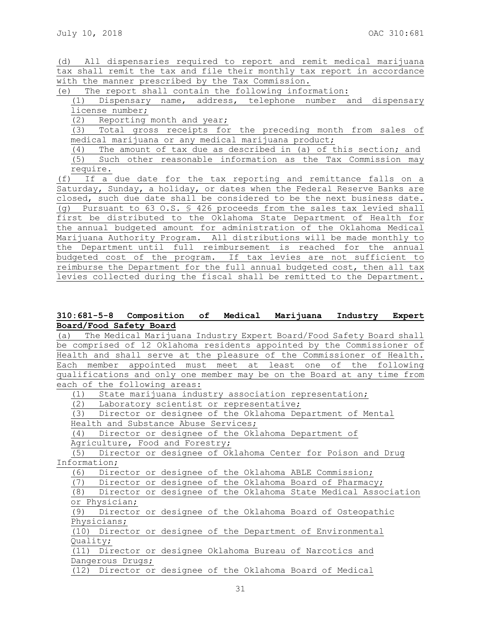(d) All dispensaries required to report and remit medical marijuana tax shall remit the tax and file their monthly tax report in accordance with the manner prescribed by the Tax Commission.

(e) The report shall contain the following information:

(1) Dispensary name, address, telephone number and dispensary license number;

(2) Reporting month and year;

(3) Total gross receipts for the preceding month from sales of medical marijuana or any medical marijuana product;

(4) The amount of tax due as described in (a) of this section; and (5) Such other reasonable information as the Tax Commission may require.

(f) If a due date for the tax reporting and remittance falls on a Saturday, Sunday, a holiday, or dates when the Federal Reserve Banks are closed, such due date shall be considered to be the next business date. (g) Pursuant to 63 O.S. § 426 proceeds from the sales tax levied shall first be distributed to the Oklahoma State Department of Health for the annual budgeted amount for administration of the Oklahoma Medical Marijuana Authority Program. All distributions will be made monthly to the Department until full reimbursement is reached for the annual budgeted cost of the program. If tax levies are not sufficient to reimburse the Department for the full annual budgeted cost, then all tax levies collected during the fiscal shall be remitted to the Department.

# **310:681-5-8 Composition of Medical Marijuana Industry Expert Board/Food Safety Board**

(a) The Medical Marijuana Industry Expert Board/Food Safety Board shall be comprised of 12 Oklahoma residents appointed by the Commissioner of Health and shall serve at the pleasure of the Commissioner of Health. Each member appointed must meet at least one of the following qualifications and only one member may be on the Board at any time from each of the following areas:

(1) State marijuana industry association representation;

(2) Laboratory scientist or representative;

(3) Director or designee of the Oklahoma Department of Mental Health and Substance Abuse Services;

(4) Director or designee of the Oklahoma Department of Agriculture, Food and Forestry;

(5) Director or designee of Oklahoma Center for Poison and Drug Information;

(6) Director or designee of the Oklahoma ABLE Commission;

(7) Director or designee of the Oklahoma Board of Pharmacy;

(8) Director or designee of the Oklahoma State Medical Association or Physician;

(9) Director or designee of the Oklahoma Board of Osteopathic Physicians;

(10) Director or designee of the Department of Environmental Quality;

(11) Director or designee Oklahoma Bureau of Narcotics and Dangerous Drugs;

(12) Director or designee of the Oklahoma Board of Medical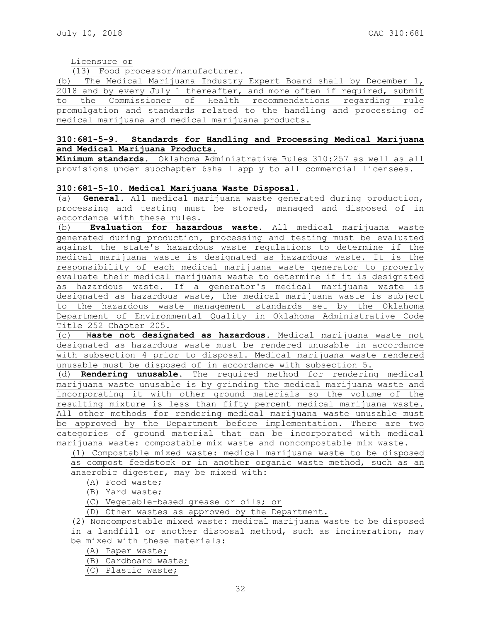Licensure or

(13) Food processor/manufacturer.

(b) The Medical Marijuana Industry Expert Board shall by December 1, 2018 and by every July 1 thereafter, and more often if required, submit to the Commissioner of Health recommendations regarding rule promulgation and standards related to the handling and processing of medical marijuana and medical marijuana products**.**

## **310:681-5-9. Standards for Handling and Processing Medical Marijuana and Medical Marijuana Products.**

**Minimum standards.** Oklahoma Administrative Rules 310:257 as well as all provisions under subchapter 6shall apply to all commercial licensees.

## **310:681-5-10. Medical Marijuana Waste Disposal.**

(a) **General.** All medical marijuana waste generated during production, processing and testing must be stored, managed and disposed of in accordance with these rules.

(b) **Evaluation for hazardous waste.** All medical marijuana waste generated during production, processing and testing must be evaluated against the state's hazardous waste regulations to determine if the medical marijuana waste is designated as hazardous waste. It is the responsibility of each medical marijuana waste generator to properly evaluate their medical marijuana waste to determine if it is designated as hazardous waste. If a generator's medical marijuana waste is designated as hazardous waste, the medical marijuana waste is subject to the hazardous waste management standards set by the Oklahoma Department of Environmental Quality in Oklahoma Administrative Code Title 252 Chapter 205.

(c) W**aste not designated as hazardous.** Medical marijuana waste not designated as hazardous waste must be rendered unusable in accordance with subsection 4 prior to disposal. Medical marijuana waste rendered unusable must be disposed of in accordance with subsection 5.

(d) **Rendering unusable**. The required method for rendering medical marijuana waste unusable is by grinding the medical marijuana waste and incorporating it with other ground materials so the volume of the resulting mixture is less than fifty percent medical marijuana waste. All other methods for rendering medical marijuana waste unusable must be approved by the Department before implementation. There are two categories of ground material that can be incorporated with medical marijuana waste: compostable mix waste and noncompostable mix waste.

(1) Compostable mixed waste: medical marijuana waste to be disposed as compost feedstock or in another organic waste method, such as an anaerobic digester, may be mixed with:

(A) Food waste;

(B) Yard waste;

(C) Vegetable-based grease or oils; or

(D) Other wastes as approved by the Department.

(2) Noncompostable mixed waste: medical marijuana waste to be disposed in a landfill or another disposal method, such as incineration, may

be mixed with these materials:

(A) Paper waste;

(B) Cardboard waste;

(C) Plastic waste;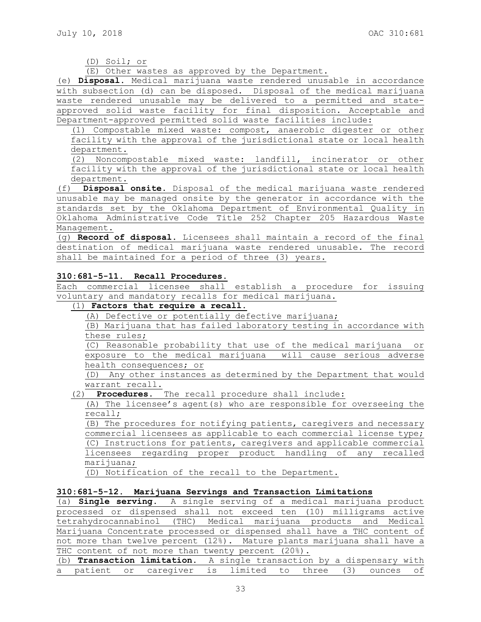## (D) Soil; or

(E) Other wastes as approved by the Department.

(e) **Disposal.** Medical marijuana waste rendered unusable in accordance with subsection (d) can be disposed. Disposal of the medical marijuana waste rendered unusable may be delivered to a permitted and stateapproved solid waste facility for final disposition. Acceptable and Department-approved permitted solid waste facilities include:

(1) Compostable mixed waste: compost, anaerobic digester or other facility with the approval of the jurisdictional state or local health department.

(2) Noncompostable mixed waste: landfill, incinerator or other facility with the approval of the jurisdictional state or local health department.

(f) **Disposal onsite**. Disposal of the medical marijuana waste rendered unusable may be managed onsite by the generator in accordance with the standards set by the Oklahoma Department of Environmental Quality in Oklahoma Administrative Code Title 252 Chapter 205 Hazardous Waste Management.

(g) **Record of disposal.** Licensees shall maintain a record of the final destination of medical marijuana waste rendered unusable. The record shall be maintained for a period of three (3) years.

## **310:681-5-11. Recall Procedures.**

Each commercial licensee shall establish a procedure for issuing voluntary and mandatory recalls for medical marijuana.

# (1) **Factors that require a recall.**

(A) Defective or potentially defective marijuana;

(B) Marijuana that has failed laboratory testing in accordance with these rules;

(C) Reasonable probability that use of the medical marijuana or exposure to the medical marijuana will cause serious adverse health consequences; or

(D) Any other instances as determined by the Department that would warrant recall.

(2) **Procedures**. The recall procedure shall include:

(A) The licensee's agent(s) who are responsible for overseeing the recall;

(B) The procedures for notifying patients, caregivers and necessary commercial licensees as applicable to each commercial license type; (C) Instructions for patients, caregivers and applicable commercial licensees regarding proper product handling of any recalled marijuana;

(D) Notification of the recall to the Department.

# **310:681-5-12. Marijuana Servings and Transaction Limitations**

(a) **Single serving.** A single serving of a medical marijuana product processed or dispensed shall not exceed ten (10) milligrams active tetrahydrocannabinol (THC) Medical marijuana products and Medical Marijuana Concentrate processed or dispensed shall have a THC content of not more than twelve percent (12%). Mature plants marijuana shall have a THC content of not more than twenty percent (20%).

(b) **Transaction limitation.** A single transaction by a dispensary with a patient or caregiver is limited to three (3) ounces of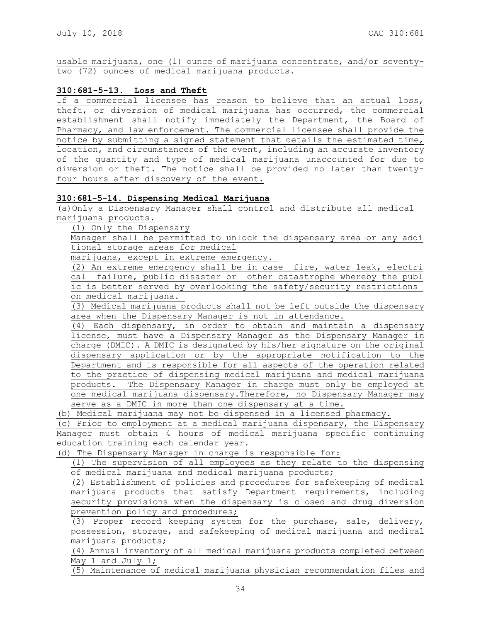usable marijuana, one (1) ounce of marijuana concentrate, and/or seventytwo (72) ounces of medical marijuana products.

## **310:681-5-13. Loss and Theft**

If a commercial licensee has reason to believe that an actual loss, theft, or diversion of medical marijuana has occurred, the commercial establishment shall notify immediately the Department, the Board of Pharmacy, and law enforcement. The commercial licensee shall provide the notice by submitting a signed statement that details the estimated time, location, and circumstances of the event, including an accurate inventory of the quantity and type of medical marijuana unaccounted for due to diversion or theft. The notice shall be provided no later than twentyfour hours after discovery of the event.

## **310:681-5-14. Dispensing Medical Marijuana**

(a)Only a Dispensary Manager shall control and distribute all medical marijuana products.

(1) Only the Dispensary

Manager shall be permitted to unlock the dispensary area or any addi tional storage areas for medical

marijuana, except in extreme emergency.

(2) An extreme emergency shall be in case fire, water leak, electri cal failure, public disaster or other catastrophe whereby the publ ic is better served by overlooking the safety/security restrictions on medical marijuana.

(3) Medical marijuana products shall not be left outside the dispensary area when the Dispensary Manager is not in attendance.

(4) Each dispensary, in order to obtain and maintain a dispensary license, must have a Dispensary Manager as the Dispensary Manager in charge (DMIC). A DMIC is designated by his/her signature on the original dispensary application or by the appropriate notification to the Department and is responsible for all aspects of the operation related to the practice of dispensing medical marijuana and medical marijuana products. The Dispensary Manager in charge must only be employed at one medical marijuana dispensary.Therefore, no Dispensary Manager may serve as a DMIC in more than one dispensary at a time.

(b) Medical marijuana may not be dispensed in a licensed pharmacy.

(c) Prior to employment at a medical marijuana dispensary, the Dispensary Manager must obtain 4 hours of medical marijuana specific continuing education training each calendar year.

(d) The Dispensary Manager in charge is responsible for:

(1) The supervision of all employees as they relate to the dispensing of medical marijuana and medical marijuana products;

(2) Establishment of policies and procedures for safekeeping of medical marijuana products that satisfy Department requirements, including security provisions when the dispensary is closed and drug diversion prevention policy and procedures;

(3) Proper record keeping system for the purchase, sale, delivery, possession, storage, and safekeeping of medical marijuana and medical marijuana products;

(4) Annual inventory of all medical marijuana products completed between May 1 and July 1;

(5) Maintenance of medical marijuana physician recommendation files and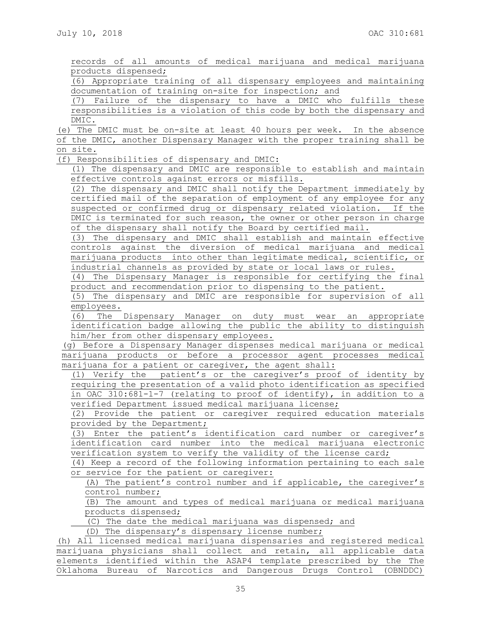|                     |  |  | records of all amounts of medical marijuana and medical marijuana |  |  |
|---------------------|--|--|-------------------------------------------------------------------|--|--|
| products dispensed; |  |  |                                                                   |  |  |

(6) Appropriate training of all dispensary employees and maintaining documentation of training on-site for inspection; and

(7) Failure of the dispensary to have a DMIC who fulfills these responsibilities is a violation of this code by both the dispensary and DMIC.

(e) The DMIC must be on-site at least 40 hours per week. In the absence of the DMIC, another Dispensary Manager with the proper training shall be

on site.

(f) Responsibilities of dispensary and DMIC:

(1) The dispensary and DMIC are responsible to establish and maintain effective controls against errors or misfills.

(2) The dispensary and DMIC shall notify the Department immediately by certified mail of the separation of employment of any employee for any suspected or confirmed drug or dispensary related violation. If the DMIC is terminated for such reason, the owner or other person in charge of the dispensary shall notify the Board by certified mail.

(3) The dispensary and DMIC shall establish and maintain effective controls against the diversion of medical marijuana and medical marijuana products into other than legitimate medical, scientific, or industrial channels as provided by state or local laws or rules.

(4) The Dispensary Manager is responsible for certifying the final product and recommendation prior to dispensing to the patient.

(5) The dispensary and DMIC are responsible for supervision of all employees.

(6) The Dispensary Manager on duty must wear an appropriate identification badge allowing the public the ability to distinguish him/her from other dispensary employees.

(g) Before a Dispensary Manager dispenses medical marijuana or medical marijuana products or before a processor agent processes medical marijuana for a patient or caregiver, the agent shall:

(1) Verify the patient's or the caregiver's proof of identity by requiring the presentation of a valid photo identification as specified in OAC 310:681-1-7 (relating to proof of identify), in addition to a verified Department issued medical marijuana license;

(2) Provide the patient or caregiver required education materials provided by the Department;

(3) Enter the patient's identification card number or caregiver's identification card number into the medical marijuana electronic verification system to verify the validity of the license card;

(4) Keep a record of the following information pertaining to each sale or service for the patient or caregiver:

(A) The patient's control number and if applicable, the caregiver's control number;

(B) The amount and types of medical marijuana or medical marijuana products dispensed;

(C) The date the medical marijuana was dispensed; and

(D) The dispensary's dispensary license number;

(h) All licensed medical marijuana dispensaries and registered medical marijuana physicians shall collect and retain, all applicable data elements identified within the ASAP4 template prescribed by the The Oklahoma Bureau of Narcotics and Dangerous Drugs Control (OBNDDC)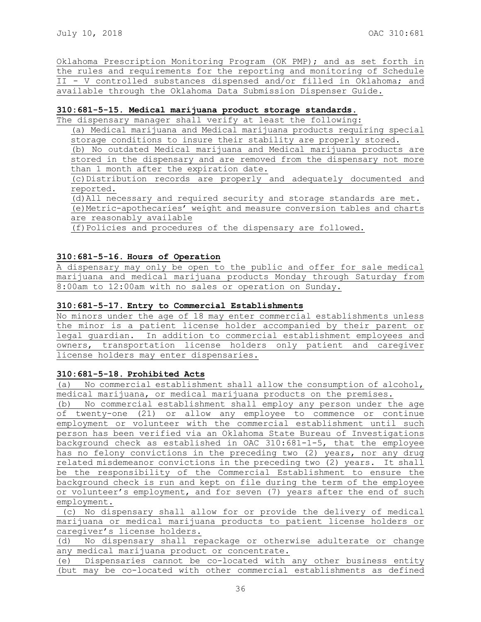Oklahoma Prescription Monitoring Program (OK PMP); and as set forth in the rules and requirements for the reporting and monitoring of Schedule II - V controlled substances dispensed and/or filled in Oklahoma; and available through the Oklahoma Data Submission Dispenser Guide.

## **310:681-5-15. Medical marijuana product storage standards.**

The dispensary manager shall verify at least the following:

(a) Medical marijuana and Medical marijuana products requiring special storage conditions to insure their stability are properly stored.

(b) No outdated Medical marijuana and Medical marijuana products are stored in the dispensary and are removed from the dispensary not more than 1 month after the expiration date.

(c)Distribution records are properly and adequately documented and reported.

(d)All necessary and required security and storage standards are met.

(e)Metric-apothecaries' weight and measure conversion tables and charts are reasonably available

(f)Policies and procedures of the dispensary are followed.

## **310:681-5-16. Hours of Operation**

A dispensary may only be open to the public and offer for sale medical marijuana and medical marijuana products Monday through Saturday from 8:00am to 12:00am with no sales or operation on Sunday.

## **310:681-5-17. Entry to Commercial Establishments**

No minors under the age of 18 may enter commercial establishments unless the minor is a patient license holder accompanied by their parent or legal guardian. In addition to commercial establishment employees and owners, transportation license holders only patient and caregiver license holders may enter dispensaries.

### **310:681-5-18. Prohibited Acts**

(a) No commercial establishment shall allow the consumption of alcohol, medical marijuana, or medical marijuana products on the premises.

(b) No commercial establishment shall employ any person under the age of twenty-one (21) or allow any employee to commence or continue employment or volunteer with the commercial establishment until such person has been verified via an Oklahoma State Bureau of Investigations background check as established in OAC 310:681-1-5, that the employee has no felony convictions in the preceding two (2) years, nor any drug related misdemeanor convictions in the preceding two (2) years. It shall be the responsibility of the Commercial Establishment to ensure the background check is run and kept on file during the term of the employee or volunteer's employment, and for seven (7) years after the end of such employment.

(c) No dispensary shall allow for or provide the delivery of medical marijuana or medical marijuana products to patient license holders or caregiver's license holders.

(d) No dispensary shall repackage or otherwise adulterate or change any medical marijuana product or concentrate.

(e) Dispensaries cannot be co-located with any other business entity (but may be co-located with other commercial establishments as defined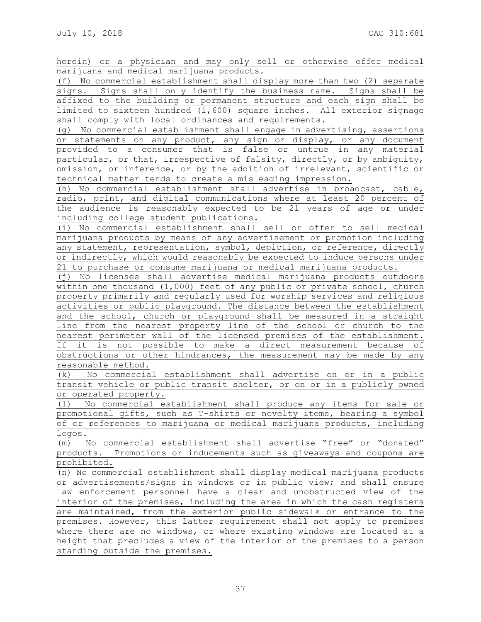herein) or a physician and may only sell or otherwise offer medical marijuana and medical marijuana products.

(f) No commercial establishment shall display more than two (2) separate signs. Signs shall only identify the business name. Signs shall be affixed to the building or permanent structure and each sign shall be limited to sixteen hundred (1,600) square inches. All exterior signage shall comply with local ordinances and requirements.

(g) No commercial establishment shall engage in advertising, assertions or statements on any product, any sign or display, or any document provided to a consumer that is false or untrue in any material particular, or that, irrespective of falsity, directly, or by ambiguity, omission, or inference, or by the addition of irrelevant, scientific or technical matter tends to create a misleading impression.

(h) No commercial establishment shall advertise in broadcast, cable, radio, print, and digital communications where at least 20 percent of the audience is reasonably expected to be 21 years of age or under including college student publications.

(i) No commercial establishment shall sell or offer to sell medical marijuana products by means of any advertisement or promotion including any statement, representation, symbol, depiction, or reference, directly or indirectly, which would reasonably be expected to induce persons under 21 to purchase or consume marijuana or medical marijuana products.

(j) No licensee shall advertise medical marijuana products outdoors within one thousand (1,000) feet of any public or private school, church property primarily and regularly used for worship services and religious activities or public playground. The distance between the establishment and the school, church or playground shall be measured in a straight line from the nearest property line of the school or church to the nearest perimeter wall of the licensed premises of the establishment. If it is not possible to make a direct measurement because of obstructions or other hindrances, the measurement may be made by any reasonable method.

(k) No commercial establishment shall advertise on or in a public transit vehicle or public transit shelter, or on or in a publicly owned or operated property.

(l) No commercial establishment shall produce any items for sale or promotional gifts, such as T-shirts or novelty items, bearing a symbol of or references to marijuana or medical marijuana products, including logos.

(m) No commercial establishment shall advertise "free" or "donated" products. Promotions or inducements such as giveaways and coupons are prohibited.

(n) No commercial establishment shall display medical marijuana products or advertisements/signs in windows or in public view; and shall ensure law enforcement personnel have a clear and unobstructed view of the interior of the premises, including the area in which the cash registers are maintained, from the exterior public sidewalk or entrance to the premises. However, this latter requirement shall not apply to premises where there are no windows, or where existing windows are located at a height that precludes a view of the interior of the premises to a person standing outside the premises.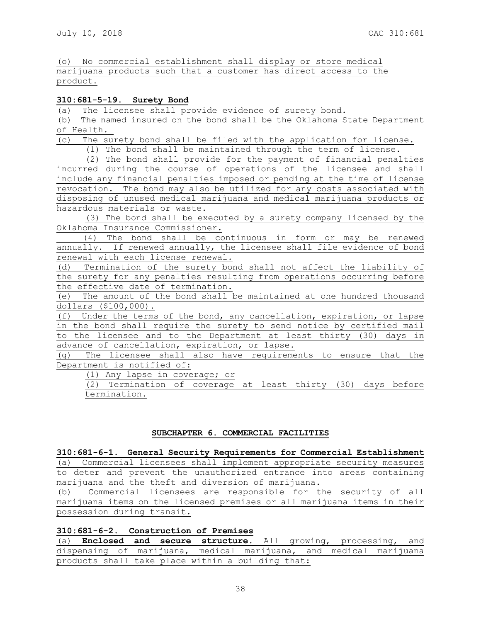(o) No commercial establishment shall display or store medical marijuana products such that a customer has direct access to the product.

## **310:681-5-19. Surety Bond**

(a) The licensee shall provide evidence of surety bond.

(b) The named insured on the bond shall be the Oklahoma State Department of Health.

(c) The surety bond shall be filed with the application for license.

(1) The bond shall be maintained through the term of license.

(2) The bond shall provide for the payment of financial penalties incurred during the course of operations of the licensee and shall include any financial penalties imposed or pending at the time of license revocation. The bond may also be utilized for any costs associated with disposing of unused medical marijuana and medical marijuana products or hazardous materials or waste.

(3) The bond shall be executed by a surety company licensed by the Oklahoma Insurance Commissioner.

 (4) The bond shall be continuous in form or may be renewed annually. If renewed annually, the licensee shall file evidence of bond renewal with each license renewal.

(d) Termination of the surety bond shall not affect the liability of the surety for any penalties resulting from operations occurring before the effective date of termination.

(e) The amount of the bond shall be maintained at one hundred thousand dollars (\$100,000).

(f) Under the terms of the bond, any cancellation, expiration, or lapse in the bond shall require the surety to send notice by certified mail to the licensee and to the Department at least thirty (30) days in advance of cancellation, expiration, or lapse.

(g) The licensee shall also have requirements to ensure that the Department is notified of:

(1) Any lapse in coverage; or

(2) Termination of coverage at least thirty (30) days before termination.

## **SUBCHAPTER 6. COMMERCIAL FACILITIES**

**310:681-6-1. General Security Requirements for Commercial Establishment** 

(a) Commercial licensees shall implement appropriate security measures to deter and prevent the unauthorized entrance into areas containing marijuana and the theft and diversion of marijuana.

(b) Commercial licensees are responsible for the security of all marijuana items on the licensed premises or all marijuana items in their possession during transit.

**310:681-6-2. Construction of Premises**

(a) **Enclosed and secure structure**. All growing, processing, and dispensing of marijuana, medical marijuana, and medical marijuana products shall take place within a building that: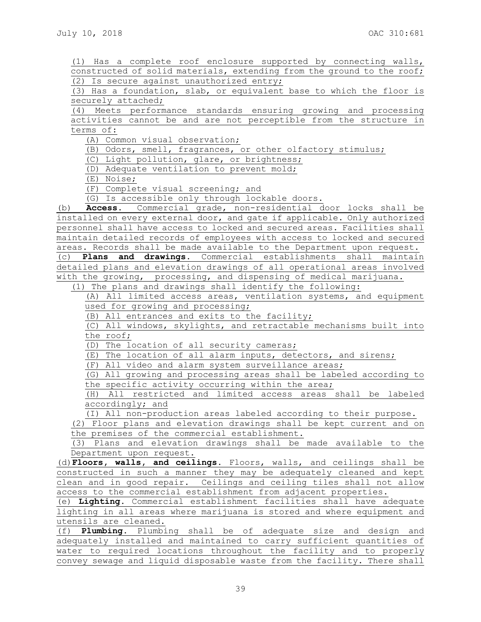(1) Has a complete roof enclosure supported by connecting walls, constructed of solid materials, extending from the ground to the roof; (2) Is secure against unauthorized entry;

(3) Has a foundation, slab, or equivalent base to which the floor is securely attached;

(4) Meets performance standards ensuring growing and processing activities cannot be and are not perceptible from the structure in terms of:

(A) Common visual observation;

(B) Odors, smell, fragrances, or other olfactory stimulus;

(C) Light pollution, glare, or brightness;

(D) Adequate ventilation to prevent mold;

(E) Noise;

(F) Complete visual screening; and

(G) Is accessible only through lockable doors.

(b) **Access.** Commercial grade, non-residential door locks shall be installed on every external door, and gate if applicable. Only authorized personnel shall have access to locked and secured areas. Facilities shall maintain detailed records of employees with access to locked and secured areas. Records shall be made available to the Department upon request.

(c) **Plans and drawings.** Commercial establishments shall maintain detailed plans and elevation drawings of all operational areas involved with the growing, processing, and dispensing of medical marijuana.

(1) The plans and drawings shall identify the following:

(A) All limited access areas, ventilation systems, and equipment used for growing and processing;

(B) All entrances and exits to the facility;

(C) All windows, skylights, and retractable mechanisms built into the roof;

(D) The location of all security cameras;

(E) The location of all alarm inputs, detectors, and sirens;

(F) All video and alarm system surveillance areas;

(G) All growing and processing areas shall be labeled according to the specific activity occurring within the area;

(H) All restricted and limited access areas shall be labeled accordingly; and

(I) All non-production areas labeled according to their purpose.

(2) Floor plans and elevation drawings shall be kept current and on the premises of the commercial establishment.

(3) Plans and elevation drawings shall be made available to the Department upon request.

(d)**Floors, walls, and ceilings.** Floors, walls, and ceilings shall be constructed in such a manner they may be adequately cleaned and kept clean and in good repair. Ceilings and ceiling tiles shall not allow access to the commercial establishment from adjacent properties.

(e) **Lighting.** Commercial establishment facilities shall have adequate lighting in all areas where marijuana is stored and where equipment and utensils are cleaned.

(f) **Plumbing.** Plumbing shall be of adequate size and design and adequately installed and maintained to carry sufficient quantities of water to required locations throughout the facility and to properly convey sewage and liquid disposable waste from the facility. There shall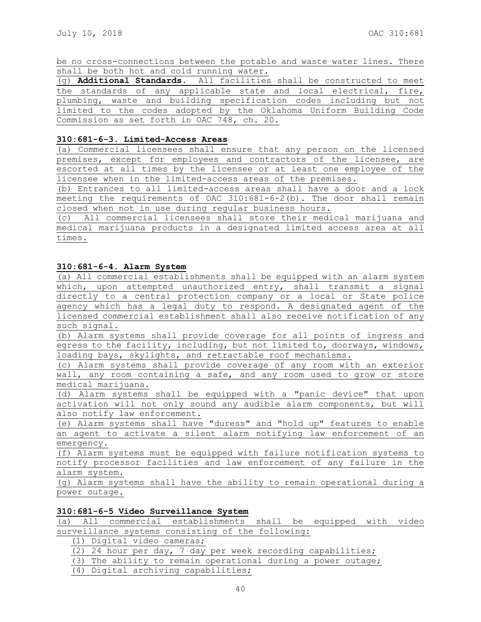be no cross-connections between the potable and waste water lines. There shall be both hot and cold running water.

(g) **Additional Standards.** All facilities shall be constructed to meet the standards of any applicable state and local electrical, fire, plumbing, waste and building specification codes including but not limited to the codes adopted by the Oklahoma Uniform Building Code Commission as set forth in OAC 748, ch. 20.

#### **310:681-6-3**. **Limited-Access Areas**

(a) Commercial licensees shall ensure that any person on the licensed premises, except for employees and contractors of the licensee, are escorted at all times by the licensee or at least one employee of the licensee when in the limited-access areas of the premises.

(b) Entrances to all limited-access areas shall have a door and a lock meeting the requirements of OAC 310:681-6-2(b). The door shall remain closed when not in use during regular business hours.

(c) All commercial licensees shall store their medical marijuana and medical marijuana products in a designated limited access area at all times.

#### **310:681-6-4**. **Alarm System**

(a) All commercial establishments shall be equipped with an alarm system which, upon attempted unauthorized entry, shall transmit a signal directly to a central protection company or a local or State police agency which has a legal duty to respond. A designated agent of the licensed commercial establishment shall also receive notification of any such signal.

(b) Alarm systems shall provide coverage for all points of ingress and egress to the facility, including, but not limited to, doorways, windows, loading bays, skylights, and retractable roof mechanisms.

(c) Alarm systems shall provide coverage of any room with an exterior wall, any room containing a safe, and any room used to grow or store medical marijuana.

(d) Alarm systems shall be equipped with a "panic device" that upon activation will not only sound any audible alarm components, but will also notify law enforcement.

(e) Alarm systems shall have "duress" and "hold up" features to enable an agent to activate a silent alarm notifying law enforcement of an emergency.

(f) Alarm systems must be equipped with failure notification systems to notify processor facilities and law enforcement of any failure in the alarm system.

(g) Alarm systems shall have the ability to remain operational during a power outage.

#### **310:681-6-5 Video Surveillance System**

(a) All commercial establishments shall be equipped with video surveillance systems consisting of the following:

(1) Digital video cameras;

- (2) 24 hour per day, 7 day per week recording capabilities;
- (3) The ability to remain operational during a power outage;
- (4) Digital archiving capabilities;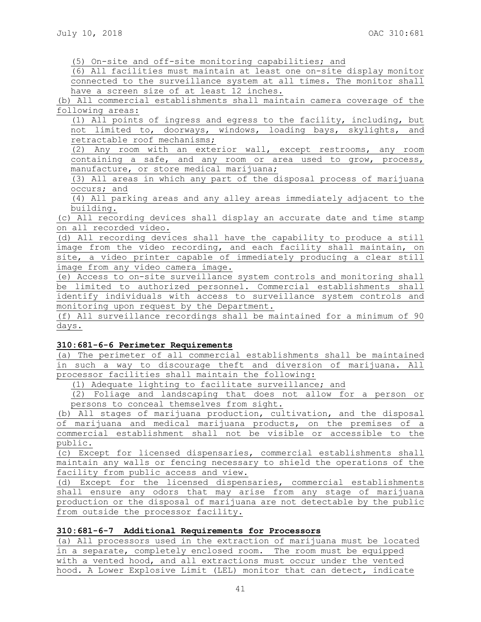(5) On-site and off-site monitoring capabilities; and

(6) All facilities must maintain at least one on-site display monitor connected to the surveillance system at all times. The monitor shall have a screen size of at least 12 inches.

(b) All commercial establishments shall maintain camera coverage of the following areas:

(1) All points of ingress and egress to the facility, including, but not limited to, doorways, windows, loading bays, skylights, and retractable roof mechanisms;

(2) Any room with an exterior wall, except restrooms, any room containing a safe, and any room or area used to grow, process, manufacture, or store medical marijuana;

(3) All areas in which any part of the disposal process of marijuana occurs; and

(4) All parking areas and any alley areas immediately adjacent to the building.

(c) All recording devices shall display an accurate date and time stamp on all recorded video.

(d) All recording devices shall have the capability to produce a still image from the video recording, and each facility shall maintain, on site, a video printer capable of immediately producing a clear still image from any video camera image.

(e) Access to on-site surveillance system controls and monitoring shall be limited to authorized personnel. Commercial establishments shall identify individuals with access to surveillance system controls and monitoring upon request by the Department.

(f) All surveillance recordings shall be maintained for a minimum of 90 days.

## **310:681-6-6 Perimeter Requirements**

(a) The perimeter of all commercial establishments shall be maintained in such a way to discourage theft and diversion of marijuana. All processor facilities shall maintain the following:

(1) Adequate lighting to facilitate surveillance; and

(2) Foliage and landscaping that does not allow for a person or persons to conceal themselves from sight.

(b) All stages of marijuana production, cultivation, and the disposal of marijuana and medical marijuana products, on the premises of a commercial establishment shall not be visible or accessible to the public.

(c) Except for licensed dispensaries, commercial establishments shall maintain any walls or fencing necessary to shield the operations of the facility from public access and view.

(d) Except for the licensed dispensaries, commercial establishments shall ensure any odors that may arise from any stage of marijuana production or the disposal of marijuana are not detectable by the public from outside the processor facility.

# **310:681-6-7 Additional Requirements for Processors**

(a) All processors used in the extraction of marijuana must be located in a separate, completely enclosed room. The room must be equipped with a vented hood, and all extractions must occur under the vented hood. A Lower Explosive Limit (LEL) monitor that can detect, indicate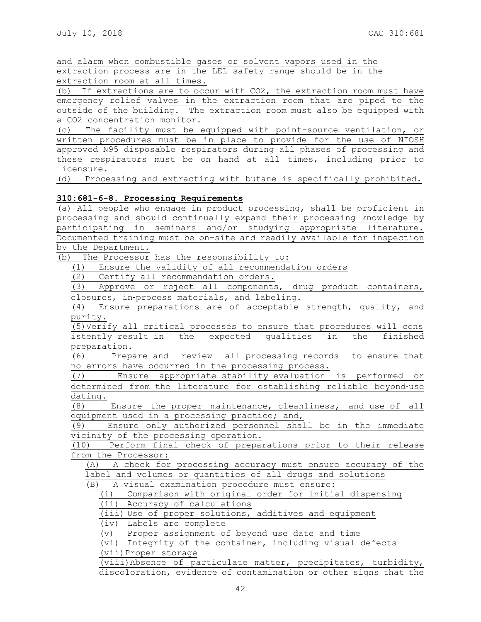and alarm when combustible gases or solvent vapors used in the extraction process are in the LEL safety range should be in the extraction room at all times.

(b) If extractions are to occur with CO2, the extraction room must have emergency relief valves in the extraction room that are piped to the outside of the building. The extraction room must also be equipped with a CO2 concentration monitor.

(c) The facility must be equipped with point-source ventilation, or written procedures must be in place to provide for the use of NIOSH approved N95 disposable respirators during all phases of processing and these respirators must be on hand at all times, including prior to licensure.

(d) Processing and extracting with butane is specifically prohibited.

## **310:681-6-8. Processing Requirements**

(a) All people who engage in product processing, shall be proficient in processing and should continually expand their processing knowledge by participating in seminars and/or studying appropriate literature. Documented training must be on-site and readily available for inspection by the Department.

(b) The Processor has the responsibility to:

(1) Ensure the validity of all recommendation orders

(2) Certify all recommendation orders.

(3) Approve or reject all components, drug product containers, closures, in‐process materials, and labeling.

(4) Ensure preparations are of acceptable strength, quality, and purity.

(5)Verify all critical processes to ensure that procedures will cons istently result in the expected qualities in the finished preparation.

(6) Prepare and review all processing records to ensure that no errors have occurred in the processing process.

(7) Ensure appropriate stability evaluation is performed or determined from the literature for establishing reliable beyond‐use dating.

(8) Ensure the proper maintenance, cleanliness, and use of all equipment used in a processing practice; and,

(9) Ensure only authorized personnel shall be in the immediate vicinity of the processing operation.

(10) Perform final check of preparations prior to their release from the Processor:

(A) A check for processing accuracy must ensure accuracy of the label and volumes or quantities of all drugs and solutions

(B) A visual examination procedure must ensure:

(i) Comparison with original order for initial dispensing

(ii) Accuracy of calculations

(iii) Use of proper solutions, additives and equipment

(iv) Labels are complete

(v) Proper assignment of beyond use date and time

(vi) Integrity of the container, including visual defects

(vii)Proper storage

(viii)Absence of particulate matter, precipitates, turbidity, discoloration, evidence of contamination or other signs that the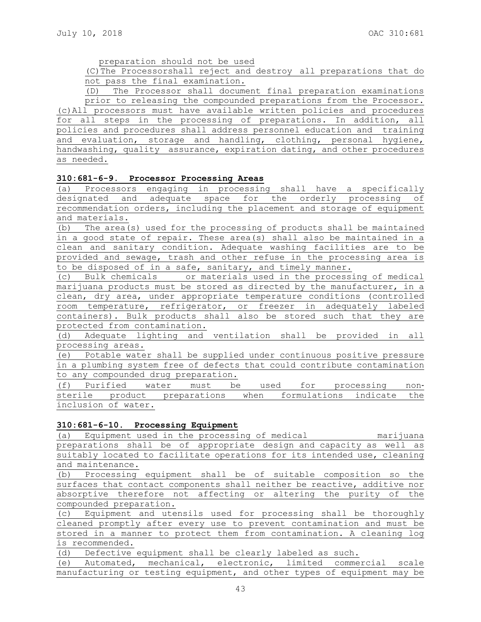preparation should not be used

(C)The Processorshall reject and destroy all preparations that do not pass the final examination.

(D) The Processor shall document final preparation examinations prior to releasing the compounded preparations from the Processor. (c)All processors must have available written policies and procedures for all steps in the processing of preparations. In addition, all policies and procedures shall address personnel education and training and evaluation, storage and handling, clothing, personal hygiene, handwashing, quality assurance, expiration dating, and other procedures as needed.

#### **310:681-6-9. Processor Processing Areas**

(a) Processors engaging in processing shall have a specifically designated and adequate space for the orderly processing of recommendation orders, including the placement and storage of equipment and materials.

(b) The area(s) used for the processing of products shall be maintained in a good state of repair. These area(s) shall also be maintained in a clean and sanitary condition. Adequate washing facilities are to be provided and sewage, trash and other refuse in the processing area is to be disposed of in a safe, sanitary, and timely manner.

(c) Bulk chemicals or materials used in the processing of medical marijuana products must be stored as directed by the manufacturer, in a clean, dry area, under appropriate temperature conditions (controlled room temperature, refrigerator, or freezer in adequately labeled containers). Bulk products shall also be stored such that they are protected from contamination.

(d) Adequate lighting and ventilation shall be provided in all processing areas.

(e) Potable water shall be supplied under continuous positive pressure in a plumbing system free of defects that could contribute contamination to any compounded drug preparation.

(f) Purified water must be used for processing non‐ sterile product preparations when formulations indicate the inclusion of water.

## **310:681-6-10. Processing Equipment**

(a) Equipment used in the processing of medical marijuana preparations shall be of appropriate design and capacity as well as suitably located to facilitate operations for its intended use, cleaning and maintenance.

(b) Processing equipment shall be of suitable composition so the surfaces that contact components shall neither be reactive, additive nor absorptive therefore not affecting or altering the purity of the compounded preparation.

(c) Equipment and utensils used for processing shall be thoroughly cleaned promptly after every use to prevent contamination and must be stored in a manner to protect them from contamination. A cleaning log is recommended.

(d) Defective equipment shall be clearly labeled as such.

(e) Automated, mechanical, electronic, limited commercial scale manufacturing or testing equipment, and other types of equipment may be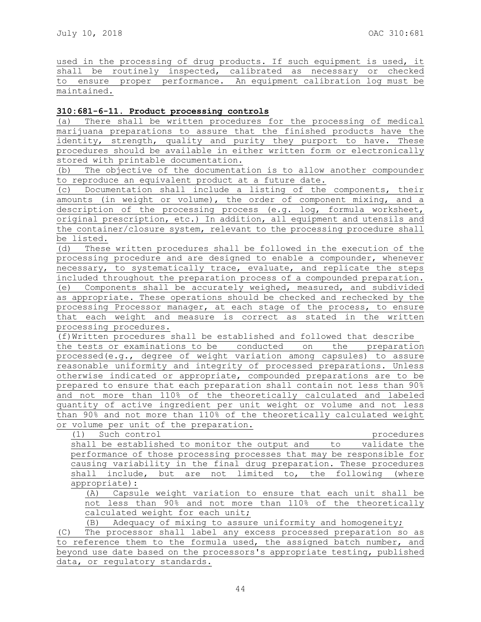used in the processing of drug products. If such equipment is used, it shall be routinely inspected, calibrated as necessary or checked to ensure proper performance. An equipment calibration log must be maintained.

# **310:681-6-11. Product processing controls**

(a) There shall be written procedures for the processing of medical marijuana preparations to assure that the finished products have the identity, strength, quality and purity they purport to have. These procedures should be available in either written form or electronically stored with printable documentation.

(b) The objective of the documentation is to allow another compounder to reproduce an equivalent product at a future date.

(c) Documentation shall include a listing of the components, their amounts (in weight or volume), the order of component mixing, and a description of the processing process (e.g. log, formula worksheet, original prescription, etc.) In addition, all equipment and utensils and the container/closure system, relevant to the processing procedure shall be listed.

(d) These written procedures shall be followed in the execution of the processing procedure and are designed to enable a compounder, whenever necessary, to systematically trace, evaluate, and replicate the steps included throughout the preparation process of a compounded preparation. (e) Components shall be accurately weighed, measured, and subdivided as appropriate. These operations should be checked and rechecked by the processing Processor manager, at each stage of the process, to ensure that each weight and measure is correct as stated in the written processing procedures.

(f)Written procedures shall be established and followed that describe the tests or examinations to be conducted on the preparation processed(e.g., degree of weight variation among capsules) to assure reasonable uniformity and integrity of processed preparations. Unless otherwise indicated or appropriate, compounded preparations are to be prepared to ensure that each preparation shall contain not less than 90% and not more than 110% of the theoretically calculated and labeled quantity of active ingredient per unit weight or volume and not less than 90% and not more than 110% of the theoretically calculated weight or volume per unit of the preparation.

(1) Such control procedures

shall be established to monitor the output and to validate the performance of those processing processes that may be responsible for causing variability in the final drug preparation. These procedures shall include, but are not limited to, the following (where appropriate):

(A) Capsule weight variation to ensure that each unit shall be not less than 90% and not more than 110% of the theoretically calculated weight for each unit;

(B) Adequacy of mixing to assure uniformity and homogeneity;

(C) The processor shall label any excess processed preparation so as to reference them to the formula used, the assigned batch number, and beyond use date based on the processors's appropriate testing, published data, or regulatory standards.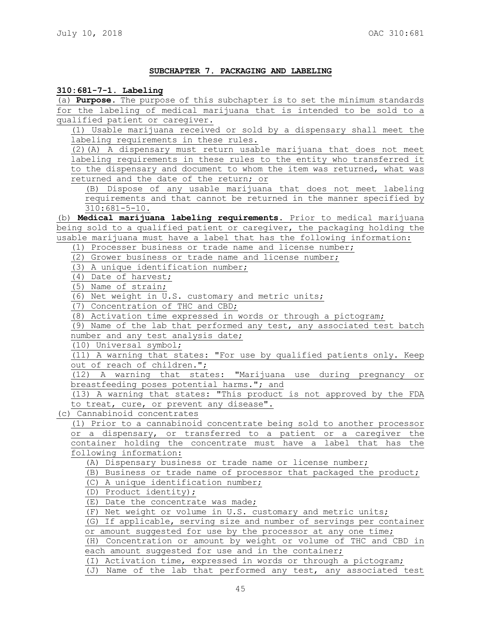#### **SUBCHAPTER 7. PACKAGING AND LABELING**

## **310:681-7-1. Labeling**

(a) **Purpose.** The purpose of this subchapter is to set the minimum standards for the labeling of medical marijuana that is intended to be sold to a qualified patient or caregiver.

(1) Usable marijuana received or sold by a dispensary shall meet the labeling requirements in these rules.

(2)(A) A dispensary must return usable marijuana that does not meet labeling requirements in these rules to the entity who transferred it to the dispensary and document to whom the item was returned, what was returned and the date of the return; or

(B) Dispose of any usable marijuana that does not meet labeling requirements and that cannot be returned in the manner specified by 310:681-5-10.

(b) **Medical marijuana labeling requirements.** Prior to medical marijuana being sold to a qualified patient or caregiver, the packaging holding the usable marijuana must have a label that has the following information:

(1) Processer business or trade name and license number;

(2) Grower business or trade name and license number;

(3) A unique identification number;

(4) Date of harvest;

(5) Name of strain;

(6) Net weight in U.S. customary and metric units;

(7) Concentration of THC and CBD;

(8) Activation time expressed in words or through a pictogram;

(9) Name of the lab that performed any test, any associated test batch number and any test analysis date;

(10) Universal symbol;

(11) A warning that states: "For use by qualified patients only. Keep out of reach of children.";

(12) A warning that states: "Marijuana use during pregnancy or breastfeeding poses potential harms."; and

(13) A warning that states: "This product is not approved by the FDA to treat, cure, or prevent any disease".

(c) Cannabinoid concentrates

(1) Prior to a cannabinoid concentrate being sold to another processor or a dispensary, or transferred to a patient or a caregiver the container holding the concentrate must have a label that has the following information:

(A) Dispensary business or trade name or license number;

(B) Business or trade name of processor that packaged the product;

(C) A unique identification number;

(D) Product identity);

(E) Date the concentrate was made;

(F) Net weight or volume in U.S. customary and metric units;

(G) If applicable, serving size and number of servings per container

or amount suggested for use by the processor at any one time;

(H) Concentration or amount by weight or volume of THC and CBD in each amount suggested for use and in the container;

(I) Activation time, expressed in words or through a pictogram;

(J) Name of the lab that performed any test, any associated test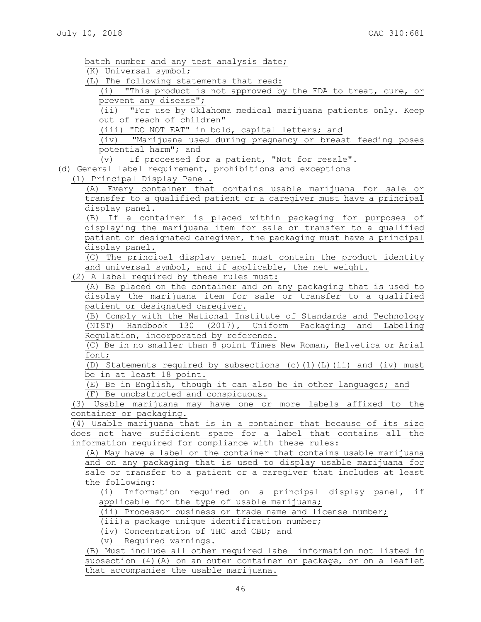| batch number and any test analysis date;                              |
|-----------------------------------------------------------------------|
| (K) Universal symbol;                                                 |
| (L) The following statements that read:                               |
| (i) "This product is not approved by the FDA to treat, cure, or       |
| prevent any disease";                                                 |
| (ii) "For use by Oklahoma medical marijuana patients only. Keep       |
| out of reach of children"                                             |
| (iii) "DO NOT EAT" in bold, capital letters; and                      |
| (iv) "Marijuana used during pregnancy or breast feeding poses         |
| potential harm"; and                                                  |
| (v) If processed for a patient, "Not for resale".                     |
| (d) General label requirement, prohibitions and exceptions            |
| (1) Principal Display Panel.                                          |
| (A) Every container that contains usable marijuana for sale or        |
| transfer to a qualified patient or a caregiver must have a principal  |
| display panel.                                                        |
| If a container is placed within packaging for purposes of<br>(B)      |
| displaying the marijuana item for sale or transfer to a qualified     |
| patient or designated caregiver, the packaging must have a principal  |
| display panel.                                                        |
| (C) The principal display panel must contain the product identity     |
| and universal symbol, and if applicable, the net weight.              |
| (2) A label required by these rules must:                             |
| (A) Be placed on the container and on any packaging that is used to   |
| display the marijuana item for sale or transfer to a qualified        |
| patient or designated caregiver.                                      |
| (B) Comply with the National Institute of Standards and Technology    |
| (NIST) Handbook 130 (2017), Uniform Packaging and Labeling            |
| Regulation, incorporated by reference.                                |
| (C) Be in no smaller than 8 point Times New Roman, Helvetica or Arial |
| font;                                                                 |
| (D) Statements required by subsections (c)(1)(L)(ii) and (iv) must    |
| be in at least 18 point.                                              |
| (E) Be in English, though it can also be in other languages; and      |
| (F) Be unobstructed and conspicuous.                                  |
| (3) Usable marijuana may have one or more labels affixed to the       |
| container or packaging.                                               |
| (4) Usable marijuana that is in a container that because of its size  |
| does not have sufficient space for a label that contains all the      |
| information required for compliance with these rules:                 |
| (A) May have a label on the container that contains usable marijuana  |
| and on any packaging that is used to display usable marijuana for     |
| sale or transfer to a patient or a caregiver that includes at least   |
| the following:                                                        |
| Information required on a principal display panel, if<br>(i)          |
| applicable for the type of usable marijuana;                          |
| (ii) Processor business or trade name and license number;             |
| (iii) a package unique identification number;                         |
| (iv) Concentration of THC and CBD; and                                |
| (v) Required warnings.                                                |
| (B) Must include all other required label information not listed in   |
| subsection (4) (A) on an outer container or package, or on a leaflet  |
| that accompanies the usable marijuana.                                |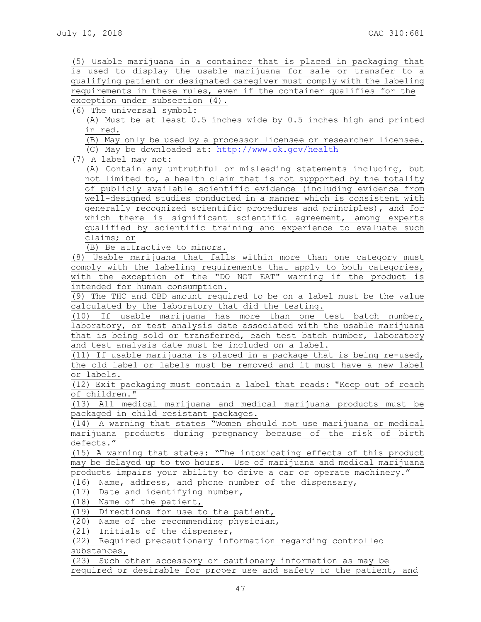(5) Usable marijuana in a container that is placed in packaging that is used to display the usable marijuana for sale or transfer to a qualifying patient or designated caregiver must comply with the labeling requirements in these rules, even if the container qualifies for the exception under subsection (4).

(6) The universal symbol:

(A) Must be at least 0.5 inches wide by 0.5 inches high and printed in red.

(B) May only be used by a processor licensee or researcher licensee. (C) May be downloaded at:<http://www.ok.gov/health>

(7) A label may not:

(A) Contain any untruthful or misleading statements including, but not limited to, a health claim that is not supported by the totality of publicly available scientific evidence (including evidence from well-designed studies conducted in a manner which is consistent with generally recognized scientific procedures and principles), and for which there is significant scientific agreement, among experts qualified by scientific training and experience to evaluate such claims; or

(B) Be attractive to minors.

(8) Usable marijuana that falls within more than one category must comply with the labeling requirements that apply to both categories, with the exception of the "DO NOT EAT" warning if the product is intended for human consumption.

(9) The THC and CBD amount required to be on a label must be the value calculated by the laboratory that did the testing.

(10) If usable marijuana has more than one test batch number, laboratory, or test analysis date associated with the usable marijuana that is being sold or transferred, each test batch number, laboratory and test analysis date must be included on a label.

(11) If usable marijuana is placed in a package that is being re-used, the old label or labels must be removed and it must have a new label or labels.

(12) Exit packaging must contain a label that reads: "Keep out of reach of children."

(13) All medical marijuana and medical marijuana products must be packaged in child resistant packages.

(14) A warning that states "Women should not use marijuana or medical marijuana products during pregnancy because of the risk of birth defects."

(15) A warning that states: "The intoxicating effects of this product may be delayed up to two hours. Use of marijuana and medical marijuana products impairs your ability to drive a car or operate machinery."

(16) Name, address, and phone number of the dispensary,

(17) Date and identifying number,

(18) Name of the patient,

(19) Directions for use to the patient,

(20) Name of the recommending physician,

(21) Initials of the dispenser,

(22) Required precautionary information regarding controlled substances,

(23) Such other accessory or cautionary information as may be required or desirable for proper use and safety to the patient, and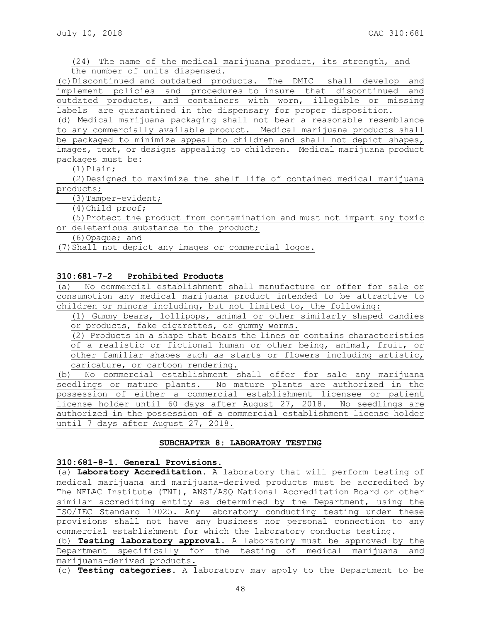(24) The name of the medical marijuana product, its strength, and the number of units dispensed.

(c)Discontinued and outdated products. The DMIC shall develop and implement policies and procedures to insure that discontinued and outdated products, and containers with worn, illegible or missing labels are quarantined in the dispensary for proper disposition.

(d) Medical marijuana packaging shall not bear a reasonable resemblance to any commercially available product. Medical marijuana products shall be packaged to minimize appeal to children and shall not depict shapes, images, text, or designs appealing to children. Medical marijuana product packages must be:

 $(1)$  Plain;

(2)Designed to maximize the shelf life of contained medical marijuana products;

(3)Tamper-evident;

(4)Child proof;

(5)Protect the product from contamination and must not impart any toxic or deleterious substance to the product;

(6)Opaque; and

(7)Shall not depict any images or commercial logos.

## **310:681-7-2 Prohibited Products**

(a) No commercial establishment shall manufacture or offer for sale or consumption any medical marijuana product intended to be attractive to children or minors including, but not limited to, the following:

(1) Gummy bears, lollipops, animal or other similarly shaped candies or products, fake cigarettes, or gummy worms.

(2) Products in a shape that bears the lines or contains characteristics of a realistic or fictional human or other being, animal, fruit, or other familiar shapes such as starts or flowers including artistic, caricature, or cartoon rendering.

(b) No commercial establishment shall offer for sale any marijuana seedlings or mature plants. No mature plants are authorized in the possession of either a commercial establishment licensee or patient license holder until 60 days after August 27, 2018. No seedlings are authorized in the possession of a commercial establishment license holder until 7 days after August 27, 2018.

#### **SUBCHAPTER 8: LABORATORY TESTING**

#### **310:681-8-1. General Provisions.**

(a) **Laboratory Accreditation**. A laboratory that will perform testing of medical marijuana and marijuana-derived products must be accredited by The NELAC Institute (TNI), ANSI/ASQ National Accreditation Board or other similar accrediting entity as determined by the Department, using the ISO/IEC Standard 17025. Any laboratory conducting testing under these provisions shall not have any business nor personal connection to any commercial establishment for which the laboratory conducts testing. (b) **Testing laboratory approval.** A laboratory must be approved by the

Department specifically for the testing of medical marijuana and marijuana-derived products.

(c) **Testing categories.** A laboratory may apply to the Department to be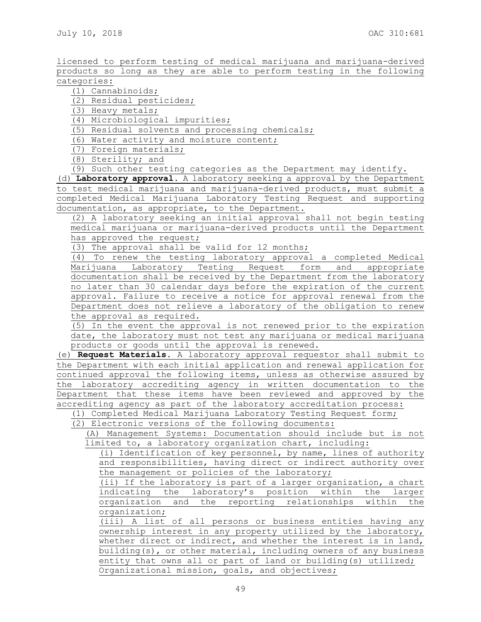licensed to perform testing of medical marijuana and marijuana-derived products so long as they are able to perform testing in the following categories:

(1) Cannabinoids;

(2) Residual pesticides;

(3) Heavy metals;

(4) Microbiological impurities;

(5) Residual solvents and processing chemicals;

(6) Water activity and moisture content;

(7) Foreign materials;

(8) Sterility; and

(9) Such other testing categories as the Department may identify.

(d) **Laboratory approval.** A laboratory seeking a approval by the Department to test medical marijuana and marijuana-derived products, must submit a completed Medical Marijuana Laboratory Testing Request and supporting documentation, as appropriate, to the Department.

(2) A laboratory seeking an initial approval shall not begin testing medical marijuana or marijuana-derived products until the Department has approved the request;

(3) The approval shall be valid for 12 months;

(4) To renew the testing laboratory approval a completed Medical Marijuana Laboratory Testing Request form and appropriate documentation shall be received by the Department from the laboratory no later than 30 calendar days before the expiration of the current approval. Failure to receive a notice for approval renewal from the Department does not relieve a laboratory of the obligation to renew the approval as required.

(5) In the event the approval is not renewed prior to the expiration date, the laboratory must not test any marijuana or medical marijuana products or goods until the approval is renewed.

(e) **Request Materials.** A laboratory approval requestor shall submit to the Department with each initial application and renewal application for continued approval the following items, unless as otherwise assured by the laboratory accrediting agency in written documentation to the Department that these items have been reviewed and approved by the accrediting agency as part of the laboratory accreditation process:

(1) Completed Medical Marijuana Laboratory Testing Request form;

(2) Electronic versions of the following documents:

(A) Management Systems: Documentation should include but is not limited to, a laboratory organization chart, including:

(i) Identification of key personnel, by name, lines of authority and responsibilities, having direct or indirect authority over the management or policies of the laboratory;

(ii) If the laboratory is part of a larger organization, a chart indicating the laboratory's position within the larger organization and the reporting relationships within the organization;

(iii) A list of all persons or business entities having any ownership interest in any property utilized by the laboratory, whether direct or indirect, and whether the interest is in land, building(s), or other material, including owners of any business entity that owns all or part of land or building(s) utilized; Organizational mission, goals, and objectives;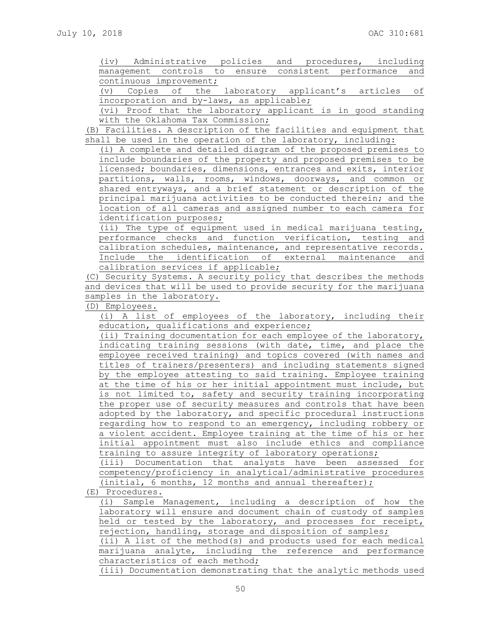(iv) Administrative policies and procedures, including management controls to ensure consistent performance and continuous improvement;

(v) Copies of the laboratory applicant's articles of incorporation and by-laws, as applicable;

(vi) Proof that the laboratory applicant is in good standing with the Oklahoma Tax Commission;

(B) Facilities. A description of the facilities and equipment that shall be used in the operation of the laboratory, including:

(i) A complete and detailed diagram of the proposed premises to include boundaries of the property and proposed premises to be licensed; boundaries, dimensions, entrances and exits, interior partitions, walls, rooms, windows, doorways, and common or shared entryways, and a brief statement or description of the principal marijuana activities to be conducted therein; and the location of all cameras and assigned number to each camera for identification purposes;

(ii) The type of equipment used in medical marijuana testing, performance checks and function verification, testing and calibration schedules, maintenance, and representative records. Include the identification of external maintenance and calibration services if applicable;

(C) Security Systems. A security policy that describes the methods and devices that will be used to provide security for the marijuana samples in the laboratory.

(D) Employees.

(i) A list of employees of the laboratory, including their education, qualifications and experience;

(ii) Training documentation for each employee of the laboratory, indicating training sessions (with date, time, and place the employee received training) and topics covered (with names and titles of trainers/presenters) and including statements signed by the employee attesting to said training. Employee training at the time of his or her initial appointment must include, but is not limited to, safety and security training incorporating the proper use of security measures and controls that have been adopted by the laboratory, and specific procedural instructions regarding how to respond to an emergency, including robbery or a violent accident. Employee training at the time of his or her initial appointment must also include ethics and compliance training to assure integrity of laboratory operations;

(iii) Documentation that analysts have been assessed for competency/proficiency in analytical/administrative procedures (initial, 6 months, 12 months and annual thereafter);

(E) Procedures.

(i) Sample Management, including a description of how the laboratory will ensure and document chain of custody of samples held or tested by the laboratory, and processes for receipt, rejection, handling, storage and disposition of samples;

(ii) A list of the method(s) and products used for each medical marijuana analyte, including the reference and performance characteristics of each method;

(iii) Documentation demonstrating that the analytic methods used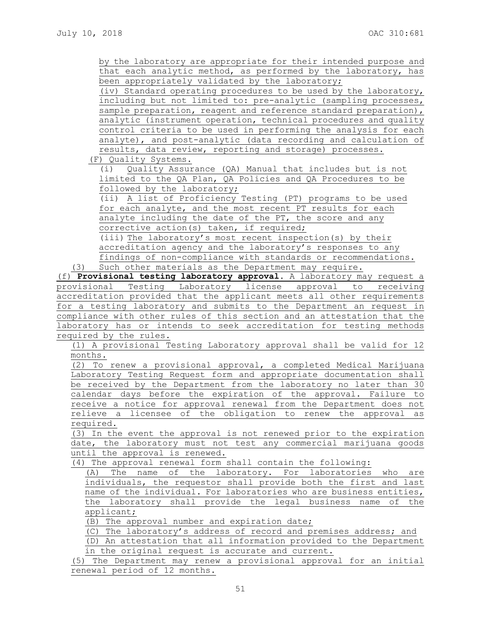by the laboratory are appropriate for their intended purpose and that each analytic method, as performed by the laboratory, has been appropriately validated by the laboratory;

(iv) Standard operating procedures to be used by the laboratory, including but not limited to: pre-analytic (sampling processes, sample preparation, reagent and reference standard preparation), analytic (instrument operation, technical procedures and quality control criteria to be used in performing the analysis for each analyte), and post-analytic (data recording and calculation of results, data review, reporting and storage) processes.

(F) Quality Systems.

(i) Quality Assurance (QA) Manual that includes but is not limited to the QA Plan, QA Policies and QA Procedures to be followed by the laboratory;

(ii) A list of Proficiency Testing (PT) programs to be used for each analyte, and the most recent PT results for each analyte including the date of the PT, the score and any corrective action(s) taken, if required;

(iii) The laboratory's most recent inspection(s) by their accreditation agency and the laboratory's responses to any findings of non-compliance with standards or recommendations. (3) Such other materials as the Department may require.

(f) **Provisional testing laboratory approval.** A laboratory may request a provisional Testing Laboratory license approval to receiving accreditation provided that the applicant meets all other requirements for a testing laboratory and submits to the Department an request in compliance with other rules of this section and an attestation that the laboratory has or intends to seek accreditation for testing methods required by the rules.

(1) A provisional Testing Laboratory approval shall be valid for 12 months.

(2) To renew a provisional approval, a completed Medical Marijuana Laboratory Testing Request form and appropriate documentation shall be received by the Department from the laboratory no later than 30 calendar days before the expiration of the approval. Failure to receive a notice for approval renewal from the Department does not relieve a licensee of the obligation to renew the approval as required.

(3) In the event the approval is not renewed prior to the expiration date, the laboratory must not test any commercial marijuana goods until the approval is renewed.

(4) The approval renewal form shall contain the following:

(A) The name of the laboratory. For laboratories who are individuals, the requestor shall provide both the first and last name of the individual. For laboratories who are business entities, the laboratory shall provide the legal business name of the applicant;

(B) The approval number and expiration date;

(C) The laboratory's address of record and premises address; and

(D) An attestation that all information provided to the Department

in the original request is accurate and current.

(5) The Department may renew a provisional approval for an initial renewal period of 12 months.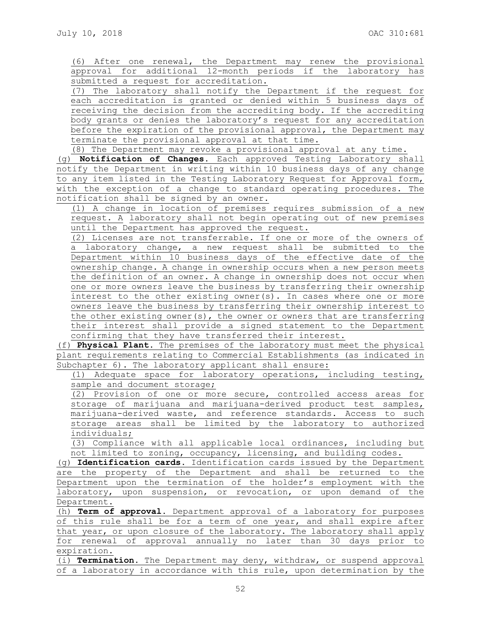(6) After one renewal, the Department may renew the provisional approval for additional 12-month periods if the laboratory has submitted a request for accreditation.

(7) The laboratory shall notify the Department if the request for each accreditation is granted or denied within 5 business days of receiving the decision from the accrediting body. If the accrediting body grants or denies the laboratory's request for any accreditation before the expiration of the provisional approval, the Department may terminate the provisional approval at that time.

(8) The Department may revoke a provisional approval at any time. (g) **Notification of Changes**. Each approved Testing Laboratory shall notify the Department in writing within 10 business days of any change to any item listed in the Testing Laboratory Request for Approval form, with the exception of a change to standard operating procedures. The notification shall be signed by an owner.

(1) A change in location of premises requires submission of a new request. A laboratory shall not begin operating out of new premises until the Department has approved the request.

(2) Licenses are not transferrable. If one or more of the owners of a laboratory change, a new request shall be submitted to the Department within 10 business days of the effective date of the ownership change. A change in ownership occurs when a new person meets the definition of an owner. A change in ownership does not occur when one or more owners leave the business by transferring their ownership interest to the other existing owner(s). In cases where one or more owners leave the business by transferring their ownership interest to the other existing owner(s), the owner or owners that are transferring their interest shall provide a signed statement to the Department confirming that they have transferred their interest.

(f) **Physical Plant**. The premises of the laboratory must meet the physical plant requirements relating to Commercial Establishments (as indicated in Subchapter 6). The laboratory applicant shall ensure:

(1) Adequate space for laboratory operations, including testing, sample and document storage;

(2) Provision of one or more secure, controlled access areas for storage of marijuana and marijuana-derived product test samples, marijuana-derived waste, and reference standards. Access to such storage areas shall be limited by the laboratory to authorized individuals;

(3) Compliance with all applicable local ordinances, including but not limited to zoning, occupancy, licensing, and building codes.

(g) **Identification cards.** Identification cards issued by the Department are the property of the Department and shall be returned to the Department upon the termination of the holder's employment with the laboratory, upon suspension, or revocation, or upon demand of the Department.

(h) **Term of approval.** Department approval of a laboratory for purposes of this rule shall be for a term of one year, and shall expire after that year, or upon closure of the laboratory. The laboratory shall apply for renewal of approval annually no later than 30 days prior to expiration.

(i) **Termination.** The Department may deny, withdraw, or suspend approval of a laboratory in accordance with this rule, upon determination by the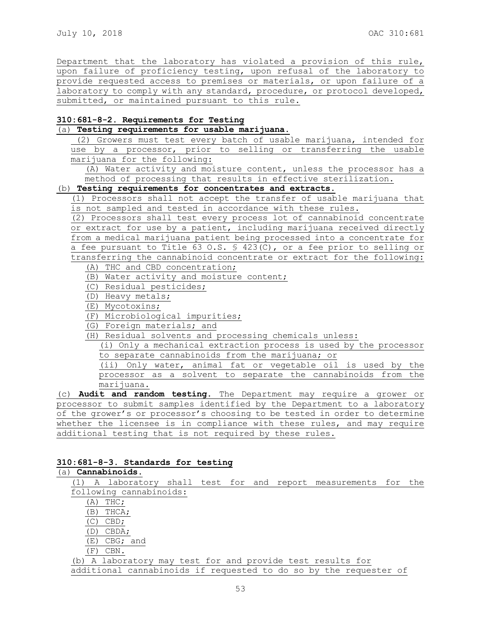Department that the laboratory has violated a provision of this rule, upon failure of proficiency testing, upon refusal of the laboratory to provide requested access to premises or materials, or upon failure of a laboratory to comply with any standard, procedure, or protocol developed, submitted, or maintained pursuant to this rule.

# **310:681-8-2. Requirements for Testing**

## (a) **Testing requirements for usable marijuana**.

(2) Growers must test every batch of usable marijuana, intended for use by a processor, prior to selling or transferring the usable marijuana for the following:

(A) Water activity and moisture content, unless the processor has a method of processing that results in effective sterilization.

## (b) **Testing requirements for concentrates and extracts.**

(1) Processors shall not accept the transfer of usable marijuana that is not sampled and tested in accordance with these rules.

(2) Processors shall test every process lot of cannabinoid concentrate or extract for use by a patient, including marijuana received directly from a medical marijuana patient being processed into a concentrate for a fee pursuant to Title 63 O.S. § 423(C), or a fee prior to selling or transferring the cannabinoid concentrate or extract for the following:

- (A) THC and CBD concentration;
- (B) Water activity and moisture content;
- (C) Residual pesticides;
- (D) Heavy metals;
- (E) Mycotoxins;
- (F) Microbiological impurities;
- (G) Foreign materials; and

(H) Residual solvents and processing chemicals unless:

(i) Only a mechanical extraction process is used by the processor to separate cannabinoids from the marijuana; or

(ii) Only water, animal fat or vegetable oil is used by the processor as a solvent to separate the cannabinoids from the marijuana.

(c) **Audit and random testing.** The Department may require a grower or processor to submit samples identified by the Department to a laboratory of the grower's or processor's choosing to be tested in order to determine whether the licensee is in compliance with these rules, and may require additional testing that is not required by these rules.

#### **310:681-8-3. Standards for testing**

# (a) **Cannabinoids**.

(1) A laboratory shall test for and report measurements for the following cannabinoids: (A) THC; (B) THCA;

- (C) CBD;
- (D) CBDA;
- (E) CBG; and
- (F) CBN.

(b) A laboratory may test for and provide test results for

additional cannabinoids if requested to do so by the requester of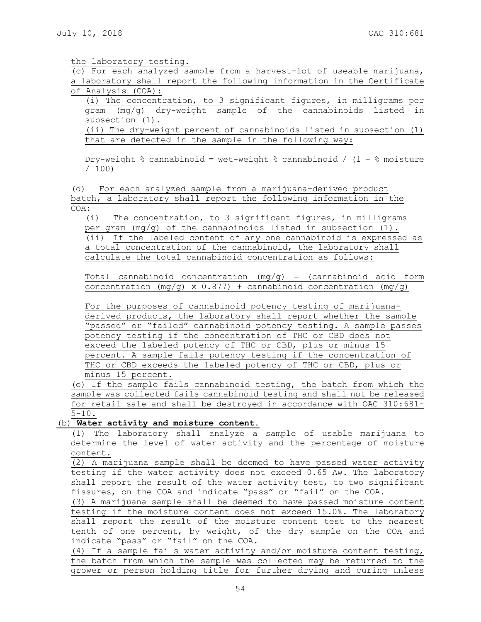the laboratory testing.

(c) For each analyzed sample from a harvest-lot of useable marijuana, a laboratory shall report the following information in the Certificate of Analysis (COA):

(i) The concentration, to 3 significant figures, in milligrams per gram (mg/g) dry-weight sample of the cannabinoids listed in subsection (1).

(ii) The dry-weight percent of cannabinoids listed in subsection (1) that are detected in the sample in the following way:

Dry-weight % cannabinoid = wet-weight % cannabinoid / (1 − % moisture / 100)

(d) For each analyzed sample from a marijuana-derived product batch, a laboratory shall report the following information in the COA:

(i) The concentration, to 3 significant figures, in milligrams per gram  $(mq/q)$  of the cannabinoids listed in subsection  $(1)$ . (ii) If the labeled content of any one cannabinoid is expressed as a total concentration of the cannabinoid, the laboratory shall calculate the total cannabinoid concentration as follows:

Total cannabinoid concentration  $(mg/g)$  = (cannabinoid acid form concentration  $(mq/q) \times 0.877$ ) + cannabinoid concentration  $(mq/q)$ 

For the purposes of cannabinoid potency testing of marijuanaderived products, the laboratory shall report whether the sample "passed" or "failed" cannabinoid potency testing. A sample passes potency testing if the concentration of THC or CBD does not exceed the labeled potency of THC or CBD, plus or minus 15 percent. A sample fails potency testing if the concentration of THC or CBD exceeds the labeled potency of THC or CBD, plus or minus 15 percent.

(e) If the sample fails cannabinoid testing, the batch from which the sample was collected fails cannabinoid testing and shall not be released for retail sale and shall be destroyed in accordance with OAC 310:681- 5-10.

(b) **Water activity and moisture content.**

(1) The laboratory shall analyze a sample of usable marijuana to determine the level of water activity and the percentage of moisture content.

(2) A marijuana sample shall be deemed to have passed water activity testing if the water activity does not exceed 0.65 Aw. The laboratory shall report the result of the water activity test, to two significant fissures, on the COA and indicate "pass" or "fail" on the COA.

(3) A marijuana sample shall be deemed to have passed moisture content testing if the moisture content does not exceed 15.0%. The laboratory shall report the result of the moisture content test to the nearest tenth of one percent, by weight, of the dry sample on the COA and indicate "pass" or "fail" on the COA.

(4) If a sample fails water activity and/or moisture content testing, the batch from which the sample was collected may be returned to the grower or person holding title for further drying and curing unless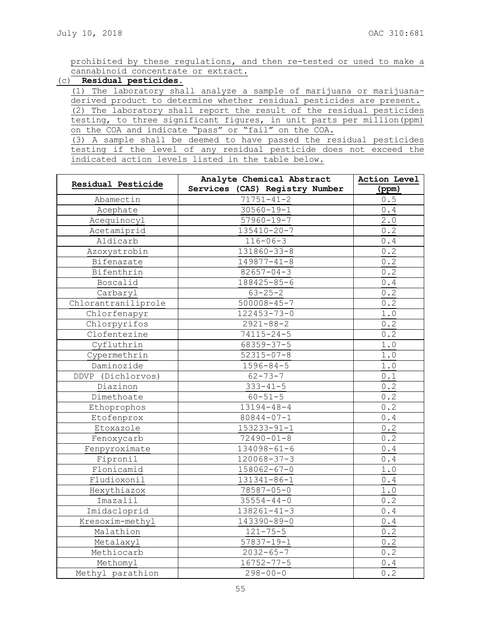prohibited by these regulations, and then re-tested or used to make a cannabinoid concentrate or extract.

# (c) **Residual pesticides.**

(1) The laboratory shall analyze a sample of marijuana or marijuanaderived product to determine whether residual pesticides are present. (2) The laboratory shall report the result of the residual pesticides testing, to three significant figures, in unit parts per million(ppm) on the COA and indicate "pass" or "fail" on the COA.

(3) A sample shall be deemed to have passed the residual pesticides testing if the level of any residual pesticide does not exceed the indicated action levels listed in the table below.

|                     | Analyte Chemical Abstract      | Action Level                                          |
|---------------------|--------------------------------|-------------------------------------------------------|
| Residual Pesticide  | Services (CAS) Registry Number | (ppm)                                                 |
| Abamectin           | $71751 - 41 - 2$               | 0.5                                                   |
| Acephate            | $30560 - 19 - 1$               | 0.4                                                   |
| Acequinocyl         | $57960 - 19 - 7$               | 2.0                                                   |
| Acetamiprid         | 135410-20-7                    | 0.2                                                   |
| Aldicarb            | $116 - 06 - 3$                 | $0.4$                                                 |
| Azoxystrobin        | 131860-33-8                    | 0.2                                                   |
| Bifenazate          | $149877 - 41 - 8$              | 0.2                                                   |
| Bifenthrin          | $82657 - 04 - 3$               | 0.2                                                   |
| Boscalid            | 188425-85-6                    | $0.4\,$                                               |
| Carbaryl            | $63 - 25 - 2$                  | 0.2                                                   |
| Chlorantraniliprole | $500008 - 45 - 7$              | 0.2                                                   |
| Chlorfenapyr        | $122453 - 73 - 0$              | 1.0                                                   |
| Chlorpyrifos        | $2921 - 88 - 2$                | 0.2                                                   |
| Clofentezine        | $74115 - 24 - 5$               | 0.2                                                   |
| Cyfluthrin          | 68359-37-5                     | 1.0                                                   |
| Cypermethrin        | $52315 - 07 - 8$               | $1.0$                                                 |
| Daminozide          | $1596 - 84 - 5$                | $1.0$                                                 |
| DDVP (Dichlorvos)   | $62 - 73 - 7$                  | 0.1                                                   |
| Diazinon            | $333 - 41 - 5$                 | 0.2                                                   |
| Dimethoate          | $60 - 51 - 5$                  | 0.2                                                   |
| Ethoprophos         | $13194 - 48 - 4$               | 0.2                                                   |
| Etofenprox          | 80844-07-1                     | $\ensuremath{\mathbf 0}$ . $\ensuremath{\mathbf 4}$   |
| Etoxazole           | $153233 - 91 - 1$              | 0.2                                                   |
| Fenoxycarb          | $72490 - 01 - 8$               | 0.2                                                   |
| Fenpyroximate       | $134098 - 61 - 6$              | 0.4                                                   |
| Fipronil            | $120068 - 37 - 3$              | 0.4                                                   |
| Flonicamid          | $158062 - 67 - 0$              | $1.0$                                                 |
| Fludioxonil         | 131341-86-1                    | $\ensuremath{\mathbf{0}}$ . $\ensuremath{\mathbf{4}}$ |
| Hexythiazox         | $78587 - 05 - 0$               | $1.0$                                                 |
| Imazalil            | $35554 - 44 - 0$               | 0.2                                                   |
| Imidacloprid        | $138261 - 41 - 3$              | $0.4$                                                 |
| Kresoxim-methyl     | 143390-89-0                    | 0.4                                                   |
| Malathion           | $121 - 75 - 5$                 | 0.2                                                   |
| Metalaxyl           | $57837 - 19 - 1$               | 0.2                                                   |
| Methiocarb          | $2032 - 65 - 7$                | 0.2                                                   |
| Methomyl            | $16752 - 77 - 5$               | 0.4                                                   |
| Methyl parathion    | $298 - 00 - 0$                 | $0.\overline{2}$                                      |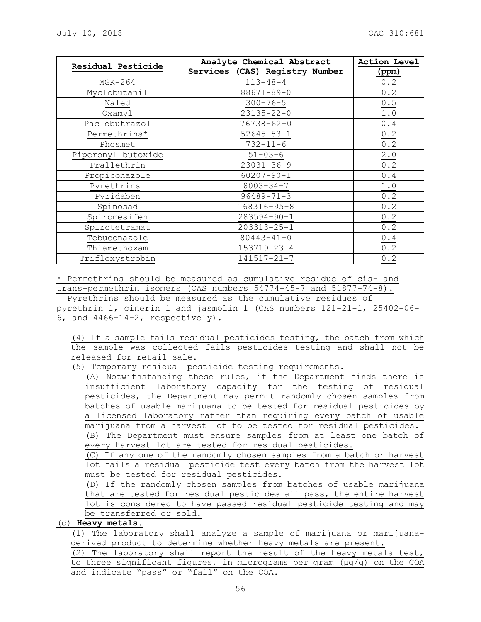| Residual Pesticide | Analyte Chemical Abstract      | Action Level |
|--------------------|--------------------------------|--------------|
|                    | Services (CAS) Registry Number | (ppm)        |
| $MGK-264$          | $113 - 48 - 4$                 | 0.2          |
| Myclobutanil       | 88671-89-0                     | 0.2          |
| Naled              | $300 - 76 - 5$                 | 0.5          |
| Oxamyl             | $23135 - 22 - 0$               | 1.0          |
| Paclobutrazol      | $76738 - 62 - 0$               | 0.4          |
| Permethrins*       | $52645 - 53 - 1$               | 0.2          |
| Phosmet            | $732 - 11 - 6$                 | 0.2          |
| Piperonyl butoxide | $51 - 03 - 6$                  | 2.0          |
| Prallethrin        | $23031 - 36 - 9$               | 0.2          |
| Propiconazole      | $60207 - 90 - 1$               | 0.4          |
| Pyrethrinst        | $8003 - 34 - 7$                | 1.0          |
| Pyridaben          | $96489 - 71 - 3$               | 0.2          |
| Spinosad           | $168316 - 95 - 8$              | 0.2          |
| Spiromesifen       | $283594 - 90 - 1$              | 0.2          |
| Spirotetramat      | 203313-25-1                    | 0.2          |
| Tebuconazole       | $80443 - 41 - 0$               | 0.4          |
| Thiamethoxam       | 153719-23-4                    | 0.2          |
| Trifloxystrobin    | 141517-21-7                    | 0.2          |

\* Permethrins should be measured as cumulative residue of cis- and trans-permethrin isomers (CAS numbers 54774-45-7 and 51877-74-8). † Pyrethrins should be measured as the cumulative residues of pyrethrin 1, cinerin 1 and jasmolin 1 (CAS numbers 121-21-1, 25402-06- 6, and 4466-14-2, respectively).

(4) If a sample fails residual pesticides testing, the batch from which the sample was collected fails pesticides testing and shall not be released for retail sale.

(5) Temporary residual pesticide testing requirements.

(A) Notwithstanding these rules, if the Department finds there is insufficient laboratory capacity for the testing of residual pesticides, the Department may permit randomly chosen samples from batches of usable marijuana to be tested for residual pesticides by a licensed laboratory rather than requiring every batch of usable marijuana from a harvest lot to be tested for residual pesticides. (B) The Department must ensure samples from at least one batch of every harvest lot are tested for residual pesticides.

(C) If any one of the randomly chosen samples from a batch or harvest lot fails a residual pesticide test every batch from the harvest lot must be tested for residual pesticides.

(D) If the randomly chosen samples from batches of usable marijuana that are tested for residual pesticides all pass, the entire harvest lot is considered to have passed residual pesticide testing and may be transferred or sold.

(d) **Heavy metals.**

(1) The laboratory shall analyze a sample of marijuana or marijuanaderived product to determine whether heavy metals are present.

(2) The laboratory shall report the result of the heavy metals test, to three significant figures, in micrograms per gram  $(\mu q/q)$  on the COA and indicate "pass" or "fail" on the COA.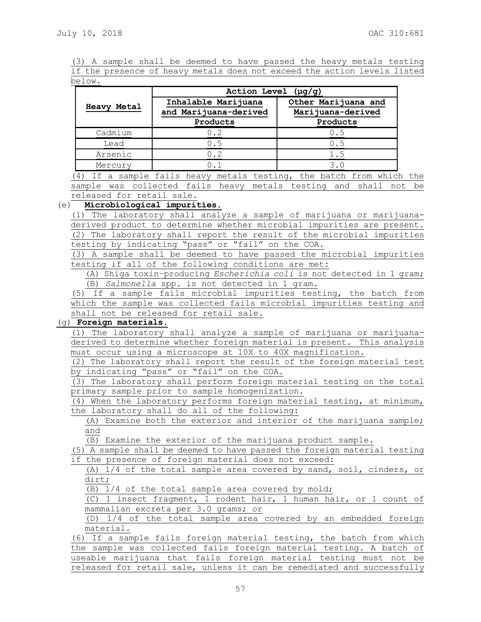(3) A sample shall be deemed to have passed the heavy metals testing if the presence of heavy metals does not exceed the action levels listed below.

|                    | Action Level $(\mu g/g)$                     |                                          |  |
|--------------------|----------------------------------------------|------------------------------------------|--|
| <b>Heavy Metal</b> | Inhalable Marijuana<br>and Marijuana-derived | Other Marijuana and<br>Marijuana-derived |  |
|                    | Products                                     | Products                                 |  |
| Cadmium            | 0.2                                          | 0.5                                      |  |
| Lead               | 0.5                                          | 0.5                                      |  |
| Arsenic            | 0.2                                          | 1.5                                      |  |
| Mercury            |                                              | 3.0                                      |  |

(4) If a sample fails heavy metals testing, the batch from which the sample was collected fails heavy metals testing and shall not be released for retail sale.

#### (e) **Microbiological impurities.**

(1) The laboratory shall analyze a sample of marijuana or marijuanaderived product to determine whether microbial impurities are present. (2) The laboratory shall report the result of the microbial impurities testing by indicating "pass" or "fail" on the COA.

(3) A sample shall be deemed to have passed the microbial impurities testing if all of the following conditions are met:

(A) Shiga toxin–producing *Escherichia coli* is not detected in 1 gram; (B) *Salmonella* spp. is not detected in 1 gram.

(5) If a sample fails microbial impurities testing, the batch from which the sample was collected fails microbial impurities testing and shall not be released for retail sale.

# (g) **Foreign materials.**

(1) The laboratory shall analyze a sample of marijuana or marijuanaderived to determine whether foreign material is present. This analysis must occur using a microscope at 10X to 40X magnification.

(2) The laboratory shall report the result of the foreign material test by indicating "pass" or "fail" on the COA.

(3) The laboratory shall perform foreign material testing on the total primary sample prior to sample homogenization.

(4) When the laboratory performs foreign material testing, at minimum, the laboratory shall do all of the following:

(A) Examine both the exterior and interior of the marijuana sample; and

(B) Examine the exterior of the marijuana product sample.

(5) A sample shall be deemed to have passed the foreign material testing if the presence of foreign material does not exceed:

(A) 1/4 of the total sample area covered by sand, soil, cinders, or dirt;

(B) 1/4 of the total sample area covered by mold;

(C) 1 insect fragment, 1 rodent hair, 1 human hair, or 1 count of mammalian excreta per 3.0 grams; or

(D) 1/4 of the total sample area covered by an embedded foreign material.

(6) If a sample fails foreign material testing, the batch from which the sample was collected fails foreign material testing. A batch of useable marijuana that fails foreign material testing must not be released for retail sale, unless it can be remediated and successfully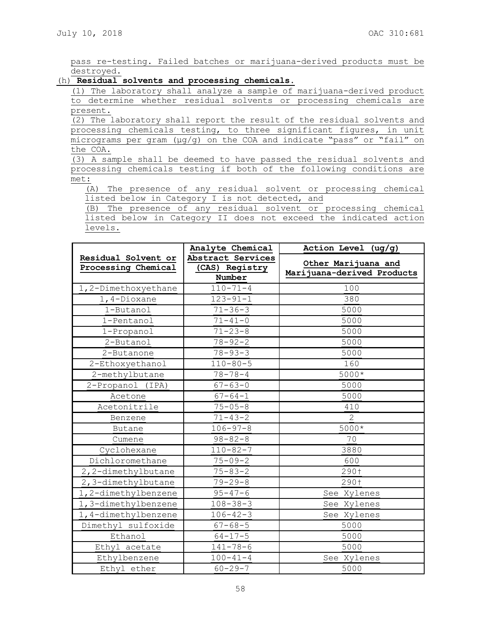pass re-testing. Failed batches or marijuana-derived products must be destroyed.

## (h) **Residual solvents and processing chemicals.**

(1) The laboratory shall analyze a sample of marijuana-derived product to determine whether residual solvents or processing chemicals are present.

(2) The laboratory shall report the result of the residual solvents and processing chemicals testing, to three significant figures, in unit micrograms per gram (μg/g) on the COA and indicate "pass" or "fail" on the COA.

(3) A sample shall be deemed to have passed the residual solvents and processing chemicals testing if both of the following conditions are met:

(A) The presence of any residual solvent or processing chemical listed below in Category I is not detected, and

(B) The presence of any residual solvent or processing chemical listed below in Category II does not exceed the indicated action levels.

|                     | Analyte Chemical  | Action Level (ug/g)        |
|---------------------|-------------------|----------------------------|
| Residual Solvent or | Abstract Services | Other Marijuana and        |
| Processing Chemical | (CAS) Registry    | Marijuana-derived Products |
|                     | Number            |                            |
| 1,2-Dimethoxyethane | $110 - 71 - 4$    | 100                        |
| 1,4-Dioxane         | $123 - 91 - 1$    | 380                        |
| 1-Butanol           | $71 - 36 - 3$     | 5000                       |
| 1-Pentanol          | $71 - 41 - 0$     | 5000                       |
| 1-Propanol          | $71 - 23 - 8$     | 5000                       |
| 2-Butanol           | $78 - 92 - 2$     | 5000                       |
| 2-Butanone          | $78 - 93 - 3$     | 5000                       |
| 2-Ethoxyethanol     | $110 - 80 - 5$    | 160                        |
| 2-methylbutane      | $78 - 78 - 4$     | 5000*                      |
| 2-Propanol (IPA)    | $67 - 63 - 0$     | 5000                       |
| Acetone             | $67 - 64 - 1$     | 5000                       |
| Acetonitrile        | $75 - 05 - 8$     | 410                        |
| Benzene             | $71 - 43 - 2$     | $\overline{2}$             |
| Butane              | $106 - 97 - 8$    | 5000*                      |
| Cumene              | $98 - 82 - 8$     | 70                         |
| Cyclohexane         | $110 - 82 - 7$    | 3880                       |
| Dichloromethane     | $75 - 09 - 2$     | 600                        |
| 2, 2-dimethylbutane | $75 - 83 - 2$     | 290 <sub>†</sub>           |
| 2,3-dimethylbutane  | $79 - 29 - 8$     | 290†                       |
| 1,2-dimethylbenzene | $95 - 47 - 6$     | See Xylenes                |
| 1,3-dimethylbenzene | $108 - 38 - 3$    | See Xylenes                |
| 1,4-dimethylbenzene | $106 - 42 - 3$    | See Xylenes                |
| Dimethyl sulfoxide  | $67 - 68 - 5$     | 5000                       |
| Ethanol             | $64 - 17 - 5$     | 5000                       |
| Ethyl acetate       | $141 - 78 - 6$    | 5000                       |
| Ethylbenzene        | $100 - 41 - 4$    | See Xylenes                |
| Ethyl ether         | $60 - 29 - 7$     | 5000                       |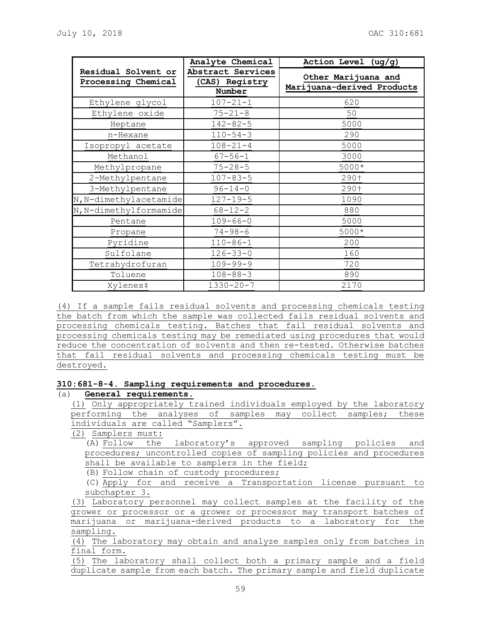|                                            | Analyte Chemical                              | Action Level (ug/g)                               |
|--------------------------------------------|-----------------------------------------------|---------------------------------------------------|
| Residual Solvent or<br>Processing Chemical | Abstract Services<br>(CAS) Registry<br>Number | Other Marijuana and<br>Marijuana-derived Products |
| Ethylene glycol                            | $107 - 21 - 1$                                | 620                                               |
| Ethylene oxide                             | $75 - 21 - 8$                                 | 50                                                |
| Heptane                                    | $142 - 82 - 5$                                | 5000                                              |
| n-Hexane                                   | $110 - 54 - 3$                                | 290                                               |
| Isopropyl acetate                          | $108 - 21 - 4$                                | 5000                                              |
| Methanol                                   | $67 - 56 - 1$                                 | 3000                                              |
| Methylpropane                              | $75 - 28 - 5$                                 | 5000*                                             |
| 2-Methylpentane                            | $107 - 83 - 5$                                | 290†                                              |
| 3-Methylpentane                            | $96 - 14 - 0$                                 | 290†                                              |
| N, N-dimethylacetamide                     | $127 - 19 - 5$                                | 1090                                              |
| N, N-dimethylformamide                     | $68 - 12 - 2$                                 | 880                                               |
| Pentane                                    | $109 - 66 - 0$                                | 5000                                              |
| Propane                                    | $74 - 98 - 6$                                 | $5000*$                                           |
| Pyridine                                   | $110 - 86 - 1$                                | 200                                               |
| Sulfolane                                  | $126 - 33 - 0$                                | 160                                               |
| Tetrahydrofuran                            | $109 - 99 - 9$                                | 720                                               |
| Toluene                                    | $108 - 88 - 3$                                | 890                                               |
| Xylenes‡                                   | $1330 - 20 - 7$                               | 2170                                              |

(4) If a sample fails residual solvents and processing chemicals testing the batch from which the sample was collected fails residual solvents and processing chemicals testing. Batches that fail residual solvents and processing chemicals testing may be remediated using procedures that would reduce the concentration of solvents and then re-tested. Otherwise batches that fail residual solvents and processing chemicals testing must be destroyed.

## **310:681-8-4. Sampling requirements and procedures.**

# (a) **General requirements**.

(1) Only appropriately trained individuals employed by the laboratory performing the analyses of samples may collect samples; these individuals are called "Samplers".

(2) Samplers must:

(A) Follow the laboratory's approved sampling policies and procedures; uncontrolled copies of sampling policies and procedures shall be available to samplers in the field;

(B) Follow chain of custody procedures;

(C) Apply for and receive a Transportation license pursuant to subchapter 3.

(3) Laboratory personnel may collect samples at the facility of the grower or processor or a grower or processor may transport batches of marijuana or marijuana-derived products to a laboratory for the sampling.

(4) The laboratory may obtain and analyze samples only from batches in final form.

(5) The laboratory shall collect both a primary sample and a field duplicate sample from each batch. The primary sample and field duplicate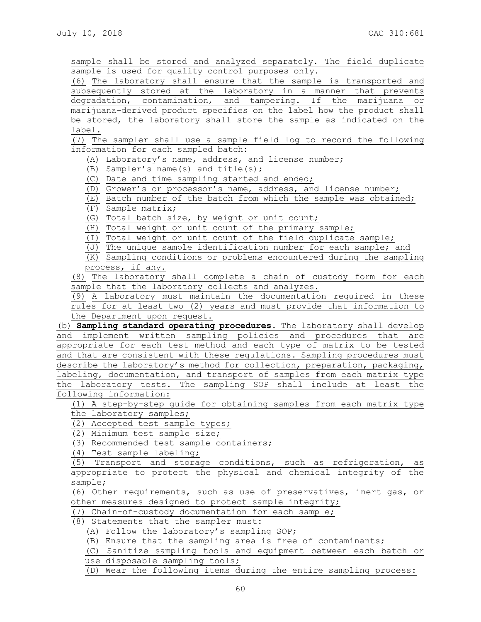sample shall be stored and analyzed separately. The field duplicate sample is used for quality control purposes only.

(6) The laboratory shall ensure that the sample is transported and subsequently stored at the laboratory in a manner that prevents degradation, contamination, and tampering. If the marijuana or marijuana-derived product specifies on the label how the product shall be stored, the laboratory shall store the sample as indicated on the label.

(7) The sampler shall use a sample field log to record the following information for each sampled batch:

(A) Laboratory's name, address, and license number;

(B) Sampler's name(s) and title(s);

(C) Date and time sampling started and ended;

(D) Grower's or processor's name, address, and license number;

(E) Batch number of the batch from which the sample was obtained;

(F) Sample matrix;

(G) Total batch size, by weight or unit count;

(H) Total weight or unit count of the primary sample;

(I) Total weight or unit count of the field duplicate sample;

(J) The unique sample identification number for each sample; and

(K) Sampling conditions or problems encountered during the sampling process, if any.

(8) The laboratory shall complete a chain of custody form for each sample that the laboratory collects and analyzes.

(9) A laboratory must maintain the documentation required in these rules for at least two (2) years and must provide that information to

the Department upon request. (b) **Sampling standard operating procedures.** The laboratory shall develop and implement written sampling policies and procedures that are

appropriate for each test method and each type of matrix to be tested and that are consistent with these regulations. Sampling procedures must describe the laboratory's method for collection, preparation, packaging, labeling, documentation, and transport of samples from each matrix type the laboratory tests. The sampling SOP shall include at least the following information:

(1) A step-by-step guide for obtaining samples from each matrix type the laboratory samples;

(2) Accepted test sample types;

(2) Minimum test sample size;

(3) Recommended test sample containers;

(4) Test sample labeling;

(5) Transport and storage conditions, such as refrigeration, as appropriate to protect the physical and chemical integrity of the sample;

(6) Other requirements, such as use of preservatives, inert gas, or other measures designed to protect sample integrity;

(7) Chain-of-custody documentation for each sample;

(8) Statements that the sampler must:

(A) Follow the laboratory's sampling SOP;

(B) Ensure that the sampling area is free of contaminants;

(C) Sanitize sampling tools and equipment between each batch or use disposable sampling tools;

(D) Wear the following items during the entire sampling process: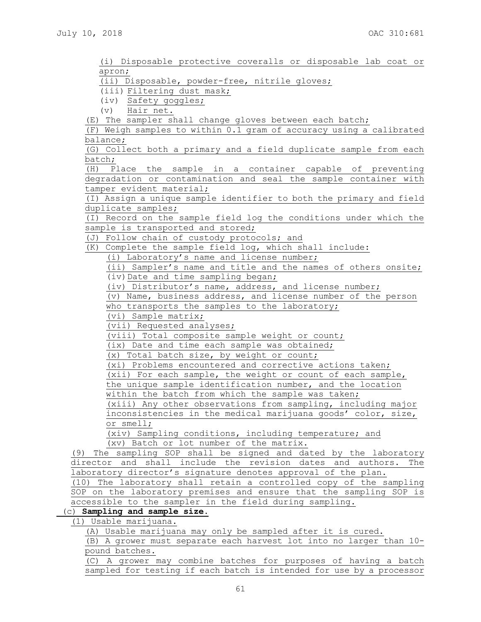(i) Disposable protective coveralls or disposable lab coat or apron;

(ii) Disposable, powder-free, nitrile gloves;

(iii) Filtering dust mask;

(iv) Safety goggles;

(v) Hair net.

(E) The sampler shall change gloves between each batch;

(F) Weigh samples to within 0.1 gram of accuracy using a calibrated balance;

(G) Collect both a primary and a field duplicate sample from each batch;

(H) Place the sample in a container capable of preventing degradation or contamination and seal the sample container with tamper evident material;

(I) Assign a unique sample identifier to both the primary and field duplicate samples;

(I) Record on the sample field log the conditions under which the sample is transported and stored;

(J) Follow chain of custody protocols; and

(K) Complete the sample field log, which shall include:

(i) Laboratory's name and license number;

(ii) Sampler's name and title and the names of others onsite; (iv) Date and time sampling began;

(iv) Distributor's name, address, and license number;

(v) Name, business address, and license number of the person

who transports the samples to the laboratory;

(vi) Sample matrix;

(vii) Requested analyses;

(viii) Total composite sample weight or count;

(ix) Date and time each sample was obtained;

(x) Total batch size, by weight or count;

(xi) Problems encountered and corrective actions taken;

(xii) For each sample, the weight or count of each sample,

the unique sample identification number, and the location

within the batch from which the sample was taken; (xiii) Any other observations from sampling, including major inconsistencies in the medical marijuana goods' color, size,

or smell;

(xiv) Sampling conditions, including temperature; and (xv) Batch or lot number of the matrix.

(9) The sampling SOP shall be signed and dated by the laboratory director and shall include the revision dates and authors. The laboratory director's signature denotes approval of the plan.

(10) The laboratory shall retain a controlled copy of the sampling SOP on the laboratory premises and ensure that the sampling SOP is accessible to the sampler in the field during sampling.

# (c) **Sampling and sample size.**

(1) Usable marijuana.

(A) Usable marijuana may only be sampled after it is cured.

(B) A grower must separate each harvest lot into no larger than 10 pound batches.

(C) A grower may combine batches for purposes of having a batch sampled for testing if each batch is intended for use by a processor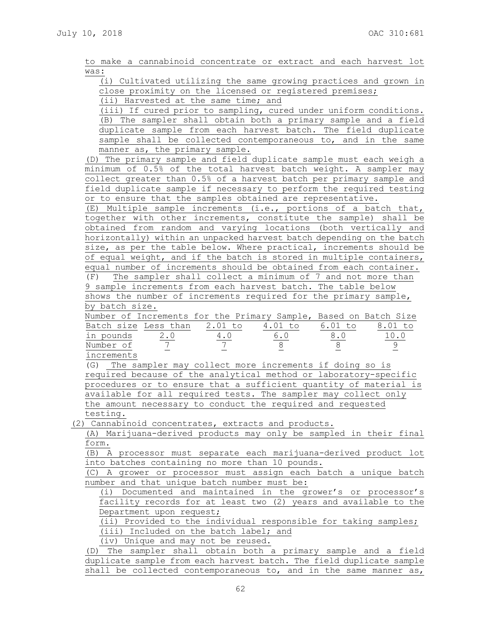62

shall be collected contemporaneous to, and in the same manner as,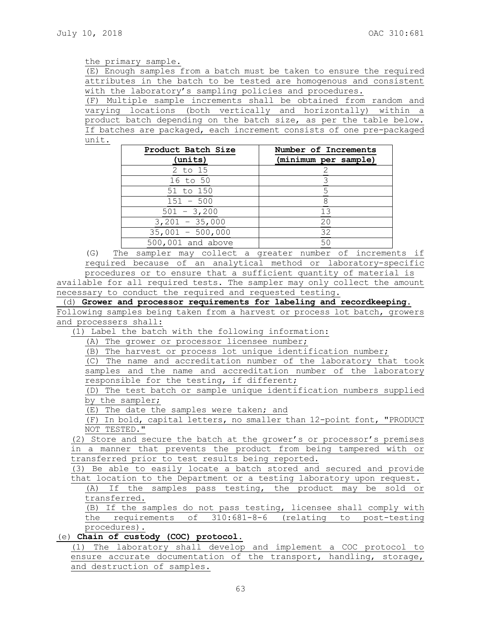#### the primary sample.

(E) Enough samples from a batch must be taken to ensure the required attributes in the batch to be tested are homogenous and consistent with the laboratory's sampling policies and procedures.

(F) Multiple sample increments shall be obtained from random and varying locations (both vertically and horizontally) within a product batch depending on the batch size, as per the table below. If batches are packaged, each increment consists of one pre-packaged unit.

| Product Batch Size | Number of Increments |
|--------------------|----------------------|
| (units)            | (minimum per sample) |
| 2 to 15            |                      |
| 16 to 50           |                      |
| 51 to 150          |                      |
| $151 - 500$        |                      |
| $501 - 3,200$      | 13                   |
| $3,201 - 35,000$   | 20                   |
| $35,001 - 500,000$ | 32                   |
| 500,001 and above  | 50                   |

(G) The sampler may collect a greater number of increments if required because of an analytical method or laboratory-specific

procedures or to ensure that a sufficient quantity of material is available for all required tests. The sampler may only collect the amount necessary to conduct the required and requested testing.

(d) **Grower and processor requirements for labeling and recordkeeping.**

Following samples being taken from a harvest or process lot batch, growers and processers shall:

(1) Label the batch with the following information:

(A) The grower or processor licensee number;

(B) The harvest or process lot unique identification number;

(C) The name and accreditation number of the laboratory that took samples and the name and accreditation number of the laboratory responsible for the testing, if different;

(D) The test batch or sample unique identification numbers supplied by the sampler;

(E) The date the samples were taken; and

(F) In bold, capital letters, no smaller than 12-point font, "PRODUCT NOT TESTED."

(2) Store and secure the batch at the grower's or processor's premises in a manner that prevents the product from being tampered with or transferred prior to test results being reported.

(3) Be able to easily locate a batch stored and secured and provide that location to the Department or a testing laboratory upon request.

(A) If the samples pass testing, the product may be sold or transferred.

(B) If the samples do not pass testing, licensee shall comply with the requirements of 310:681-8-6 (relating to post-testing procedures).

(e) **Chain of custody (COC) protocol**.

(1) The laboratory shall develop and implement a COC protocol to ensure accurate documentation of the transport, handling, storage, and destruction of samples.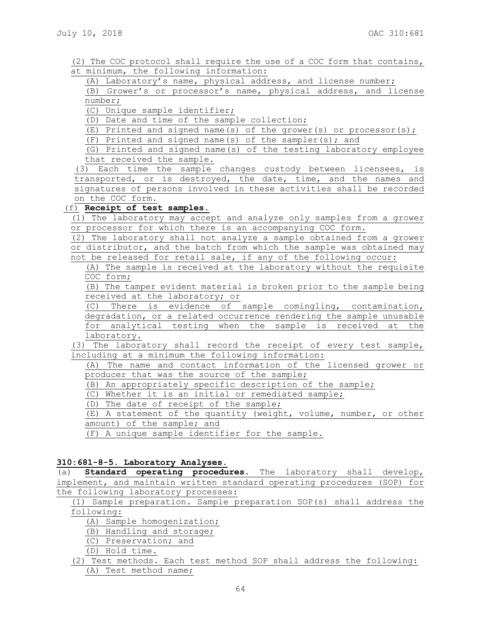- (2) The COC protocol shall require the use of a COC form that contains, at minimum, the following information:
	- (A) Laboratory's name, physical address, and license number;

(B) Grower's or processor's name, physical address, and license number;

(C) Unique sample identifier;

(D) Date and time of the sample collection;

(E) Printed and signed name(s) of the grower(s) or processor(s);

(F) Printed and signed name(s) of the sampler(s); and

(G) Printed and signed name(s) of the testing laboratory employee that received the sample.

(3) Each time the sample changes custody between licensees, is transported, or is destroyed, the date, time, and the names and signatures of persons involved in these activities shall be recorded on the COC form.

## (f) **Receipt of test samples.**

(1) The laboratory may accept and analyze only samples from a grower or processor for which there is an accompanying COC form.

(2) The laboratory shall not analyze a sample obtained from a grower or distributor, and the batch from which the sample was obtained may not be released for retail sale, if any of the following occur:

(A) The sample is received at the laboratory without the requisite COC form;

(B) The tamper evident material is broken prior to the sample being received at the laboratory; or

(C) There is evidence of sample comingling, contamination, degradation, or a related occurrence rendering the sample unusable for analytical testing when the sample is received at the laboratory.

(3) The laboratory shall record the receipt of every test sample, including at a minimum the following information:

(A) The name and contact information of the licensed grower or producer that was the source of the sample;

(B) An appropriately specific description of the sample;

(C) Whether it is an initial or remediated sample;

(D) The date of receipt of the sample;

(E) A statement of the quantity (weight, volume, number, or other amount) of the sample; and

(F) A unique sample identifier for the sample.

## **310:681-8-5. Laboratory Analyses.**

(a) **Standard operating procedures.** The laboratory shall develop, implement, and maintain written standard operating procedures (SOP) for the following laboratory processes:

(1) Sample preparation. Sample preparation SOP(s) shall address the following:

- (A) Sample homogenization;
- (B) Handling and storage;
- (C) Preservation; and
- (D) Hold time.
- (2) Test methods. Each test method SOP shall address the following: (A) Test method name;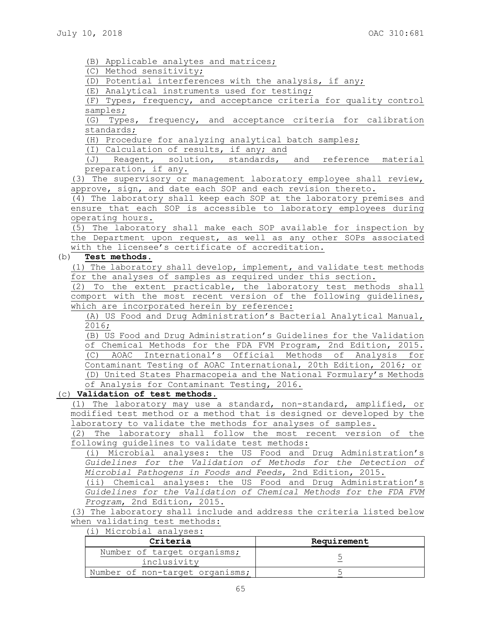(B) Applicable analytes and matrices;

(C) Method sensitivity;

(D) Potential interferences with the analysis, if any;

(E) Analytical instruments used for testing;

(F) Types, frequency, and acceptance criteria for quality control samples;

(G) Types, frequency, and acceptance criteria for calibration standards;

(H) Procedure for analyzing analytical batch samples;

(I) Calculation of results, if any; and

(J) Reagent, solution, standards, and reference material preparation, if any.

(3) The supervisory or management laboratory employee shall review, approve, sign, and date each SOP and each revision thereto.

(4) The laboratory shall keep each SOP at the laboratory premises and ensure that each SOP is accessible to laboratory employees during operating hours.

(5) The laboratory shall make each SOP available for inspection by the Department upon request, as well as any other SOPs associated with the licensee's certificate of accreditation.

#### (b) **Test methods.**

(1) The laboratory shall develop, implement, and validate test methods for the analyses of samples as required under this section.

(2) To the extent practicable, the laboratory test methods shall comport with the most recent version of the following guidelines, which are incorporated herein by reference:

(A) US Food and Drug Administration's Bacterial Analytical Manual, 2016;

(B) US Food and Drug Administration's Guidelines for the Validation of Chemical Methods for the FDA FVM Program, 2nd Edition, 2015. (C) AOAC International's Official Methods of Analysis for Contaminant Testing of AOAC International, 20th Edition, 2016; or (D) United States Pharmacopeia and the National Formulary's Methods of Analysis for Contaminant Testing, 2016.

# (c) **Validation of test methods**.

(1) The laboratory may use a standard, non-standard, amplified, or modified test method or a method that is designed or developed by the laboratory to validate the methods for analyses of samples.

(2) The laboratory shall follow the most recent version of the following guidelines to validate test methods:

(i) Microbial analyses: the US Food and Drug Administration's *Guidelines for the Validation of Methods for the Detection of Microbial Pathogens in Foods and Feeds*, 2nd Edition, 2015.

(ii) Chemical analyses: the US Food and Drug Administration's *Guidelines for the Validation of Chemical Methods for the FDA FVM Program*, 2nd Edition, 2015.

(3) The laboratory shall include and address the criteria listed below when validating test methods: (i) Microbial analyses:

| WILLIUM INTUIT                  |             |
|---------------------------------|-------------|
| Criteria                        | Requirement |
| Number of target organisms;     |             |
| inclusivity                     |             |
| Number of non-target organisms; |             |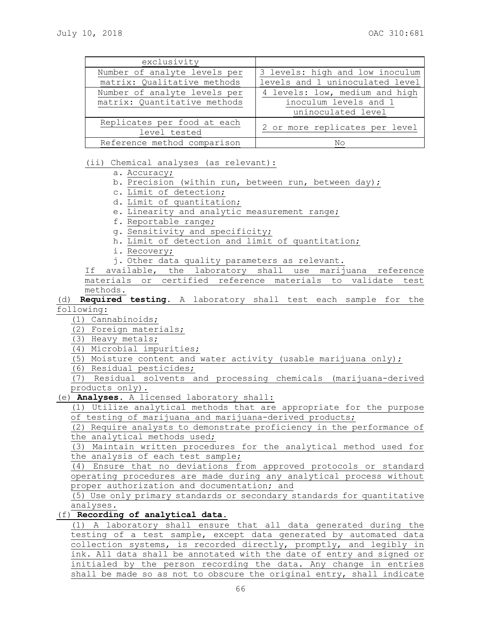| exclusivity                                                  |                                                                               |
|--------------------------------------------------------------|-------------------------------------------------------------------------------|
| Number of analyte levels per                                 | 3 levels: high and low inoculum                                               |
| matrix: Qualitative methods                                  | levels and 1 uninoculated level                                               |
| Number of analyte levels per<br>matrix: Quantitative methods | 4 levels: low, medium and high<br>inoculum levels and 1<br>uninoculated level |
| Replicates per food at each<br>level tested                  | 2 or more replicates per level                                                |
| Reference method comparison                                  | Nο                                                                            |

(ii) Chemical analyses (as relevant):

- a. Accuracy;
- b. Precision (within run, between run, between day);
- c. Limit of detection;
- d. Limit of quantitation;
- e. Linearity and analytic measurement range;
- f. Reportable range;
- g. Sensitivity and specificity;
- h. Limit of detection and limit of quantitation;
- i. Recovery;
- j. Other data quality parameters as relevant.

If available, the laboratory shall use marijuana reference materials or certified reference materials to validate test methods.

(d) **Required testing**. A laboratory shall test each sample for the following:

- (1) Cannabinoids;
- (2) Foreign materials;
- (3) Heavy metals;
- (4) Microbial impurities;
- (5) Moisture content and water activity (usable marijuana only);
- (6) Residual pesticides;

(7) Residual solvents and processing chemicals (marijuana-derived products only).

(e) **Analyses.** A licensed laboratory shall:

(1) Utilize analytical methods that are appropriate for the purpose of testing of marijuana and marijuana-derived products;

(2) Require analysts to demonstrate proficiency in the performance of the analytical methods used;

(3) Maintain written procedures for the analytical method used for the analysis of each test sample;

(4) Ensure that no deviations from approved protocols or standard operating procedures are made during any analytical process without proper authorization and documentation; and

(5) Use only primary standards or secondary standards for quantitative analyses.

#### (f) **Recording of analytical data.**

(1) A laboratory shall ensure that all data generated during the testing of a test sample, except data generated by automated data collection systems, is recorded directly, promptly, and legibly in ink. All data shall be annotated with the date of entry and signed or initialed by the person recording the data. Any change in entries shall be made so as not to obscure the original entry, shall indicate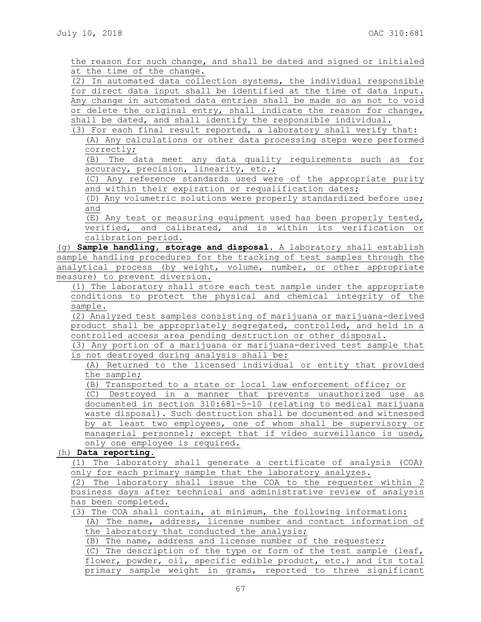the reason for such change, and shall be dated and signed or initialed at the time of the change.

(2) In automated data collection systems, the individual responsible for direct data input shall be identified at the time of data input. Any change in automated data entries shall be made so as not to void or delete the original entry, shall indicate the reason for change, shall be dated, and shall identify the responsible individual.

(3) For each final result reported, a laboratory shall verify that: (A) Any calculations or other data processing steps were performed correctly;

(B) The data meet any data quality requirements such as for accuracy, precision, linearity, etc.;

(C) Any reference standards used were of the appropriate purity and within their expiration or requalification dates;

(D) Any volumetric solutions were properly standardized before use; and

(E) Any test or measuring equipment used has been properly tested, verified, and calibrated, and is within its verification or calibration period.

(g) **Sample handling, storage and disposal.** A laboratory shall establish sample handling procedures for the tracking of test samples through the analytical process (by weight, volume, number, or other appropriate measure) to prevent diversion.

(1) The laboratory shall store each test sample under the appropriate conditions to protect the physical and chemical integrity of the sample.

(2) Analyzed test samples consisting of marijuana or marijuana-derived product shall be appropriately segregated, controlled, and held in a controlled access area pending destruction or other disposal.

(3) Any portion of a marijuana or marijuana-derived test sample that is not destroyed during analysis shall be:

(A) Returned to the licensed individual or entity that provided the sample;

(B) Transported to a state or local law enforcement office; or

(C) Destroyed in a manner that prevents unauthorized use as documented in section 310:681-5-10 (relating to medical marijuana waste disposal). Such destruction shall be documented and witnessed by at least two employees, one of whom shall be supervisory or managerial personnel; except that if video surveillance is used, only one employee is required.

(h) **Data reporting.**

(1) The laboratory shall generate a certificate of analysis (COA) only for each primary sample that the laboratory analyzes.

(2) The laboratory shall issue the COA to the requester within 2 business days after technical and administrative review of analysis has been completed.

(3) The COA shall contain, at minimum, the following information:

(A) The name, address, license number and contact information of the laboratory that conducted the analysis;

(B) The name, address and license number of the requester;

(C) The description of the type or form of the test sample (leaf, flower, powder, oil, specific edible product, etc.) and its total primary sample weight in grams, reported to three significant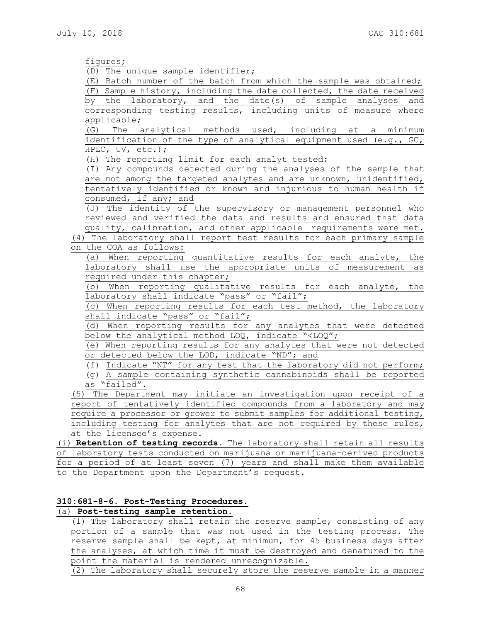figures;

(D) The unique sample identifier;

(E) Batch number of the batch from which the sample was obtained; (F) Sample history, including the date collected, the date received by the laboratory, and the date(s) of sample analyses and corresponding testing results, including units of measure where applicable;

(G) The analytical methods used, including at a minimum identification of the type of analytical equipment used (e.g., GC, HPLC, UV, etc.);

(H) The reporting limit for each analyt tested;

(I) Any compounds detected during the analyses of the sample that are not among the targeted analytes and are unknown, unidentified, tentatively identified or known and injurious to human health if consumed, if any; and

(J) The identity of the supervisory or management personnel who reviewed and verified the data and results and ensured that data quality, calibration, and other applicable requirements were met.

(4) The laboratory shall report test results for each primary sample on the COA as follows:

(a) When reporting quantitative results for each analyte, the laboratory shall use the appropriate units of measurement as required under this chapter;

(b) When reporting qualitative results for each analyte, the laboratory shall indicate "pass" or "fail";

(c) When reporting results for each test method, the laboratory shall indicate "pass" or "fail";

(d) When reporting results for any analytes that were detected below the analytical method LOQ, indicate "<LOQ";

(e) When reporting results for any analytes that were not detected or detected below the LOD, indicate "ND"; and

(f) Indicate "NT" for any test that the laboratory did not perform;

(g) A sample containing synthetic cannabinoids shall be reported as "failed".

(5) The Department may initiate an investigation upon receipt of a report of tentatively identified compounds from a laboratory and may require a processor or grower to submit samples for additional testing, including testing for analytes that are not required by these rules, at the licensee's expense.

(i) **Retention of testing records.** The laboratory shall retain all results of laboratory tests conducted on marijuana or marijuana-derived products for a period of at least seven (7) years and shall make them available to the Department upon the Department's request.

# **310:681-8-6. Post-Testing Procedures.** (a) **Post-testing sample retention.**

(1) The laboratory shall retain the reserve sample, consisting of any portion of a sample that was not used in the testing process. The reserve sample shall be kept, at minimum, for 45 business days after the analyses, at which time it must be destroyed and denatured to the point the material is rendered unrecognizable.

(2) The laboratory shall securely store the reserve sample in a manner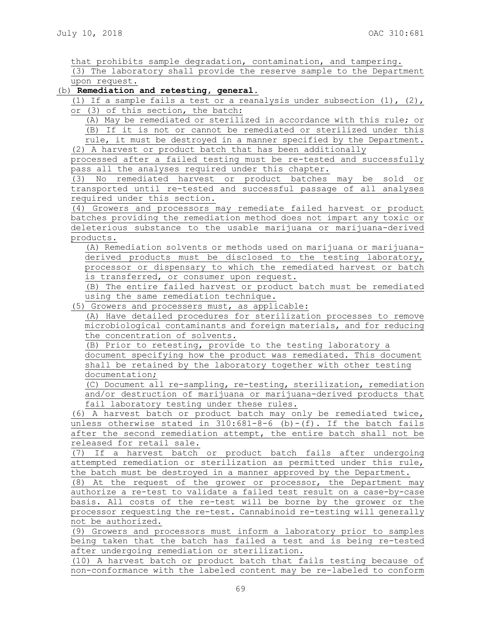that prohibits sample degradation, contamination, and tampering.

(3) The laboratory shall provide the reserve sample to the Department upon request.

## (b) **Remediation and retesting, general**.

(1) If a sample fails a test or a reanalysis under subsection  $(1)$ ,  $(2)$ , or (3) of this section, the batch:

(A) May be remediated or sterilized in accordance with this rule; or (B) If it is not or cannot be remediated or sterilized under this rule, it must be destroyed in a manner specified by the Department. (2) A harvest or product batch that has been additionally

processed after a failed testing must be re-tested and successfully pass all the analyses required under this chapter.

(3) No remediated harvest or product batches may be sold or transported until re-tested and successful passage of all analyses required under this section.

(4) Growers and processors may remediate failed harvest or product batches providing the remediation method does not impart any toxic or deleterious substance to the usable marijuana or marijuana-derived products.

(A) Remediation solvents or methods used on marijuana or marijuanaderived products must be disclosed to the testing laboratory, processor or dispensary to which the remediated harvest or batch is transferred, or consumer upon request.

(B) The entire failed harvest or product batch must be remediated using the same remediation technique.

(5) Growers and processers must, as applicable:

(A) Have detailed procedures for sterilization processes to remove microbiological contaminants and foreign materials, and for reducing the concentration of solvents.

(B) Prior to retesting, provide to the testing laboratory a document specifying how the product was remediated. This document shall be retained by the laboratory together with other testing documentation;

(C) Document all re-sampling, re-testing, sterilization, remediation and/or destruction of marijuana or marijuana-derived products that fail laboratory testing under these rules.

(6) A harvest batch or product batch may only be remediated twice, unless otherwise stated in 310:681-8-6 (b)-(f). If the batch fails after the second remediation attempt, the entire batch shall not be released for retail sale.

(7) If a harvest batch or product batch fails after undergoing attempted remediation or sterilization as permitted under this rule, the batch must be destroyed in a manner approved by the Department.

(8) At the request of the grower or processor, the Department may authorize a re-test to validate a failed test result on a case-by-case basis. All costs of the re-test will be borne by the grower or the processor requesting the re-test. Cannabinoid re-testing will generally not be authorized.

(9) Growers and processors must inform a laboratory prior to samples being taken that the batch has failed a test and is being re-tested after undergoing remediation or sterilization.

(10) A harvest batch or product batch that fails testing because of non-conformance with the labeled content may be re-labeled to conform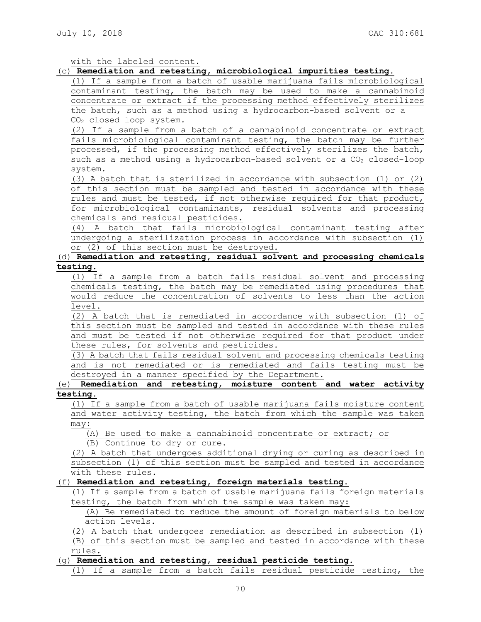with the labeled content.

#### (c) **Remediation and retesting, microbiological impurities testing.**

(1) If a sample from a batch of usable marijuana fails microbiological contaminant testing, the batch may be used to make a cannabinoid concentrate or extract if the processing method effectively sterilizes the batch, such as a method using a hydrocarbon-based solvent or a CO<sup>2</sup> closed loop system.

(2) If a sample from a batch of a cannabinoid concentrate or extract fails microbiological contaminant testing, the batch may be further processed, if the processing method effectively sterilizes the batch, such as a method using a hydrocarbon-based solvent or a  $CO<sub>2</sub>$  closed-loop system.

(3) A batch that is sterilized in accordance with subsection (1) or (2) of this section must be sampled and tested in accordance with these rules and must be tested, if not otherwise required for that product, for microbiological contaminants, residual solvents and processing chemicals and residual pesticides.

(4) A batch that fails microbiological contaminant testing after undergoing a sterilization process in accordance with subsection (1) or (2) of this section must be destroyed.

## (d) **Remediation and retesting, residual solvent and processing chemicals testing.**

(1) If a sample from a batch fails residual solvent and processing chemicals testing, the batch may be remediated using procedures that would reduce the concentration of solvents to less than the action level.

(2) A batch that is remediated in accordance with subsection (1) of this section must be sampled and tested in accordance with these rules and must be tested if not otherwise required for that product under these rules, for solvents and pesticides.

(3) A batch that fails residual solvent and processing chemicals testing and is not remediated or is remediated and fails testing must be destroyed in a manner specified by the Department.

## (e) **Remediation and retesting, moisture content and water activity testing.**

(1) If a sample from a batch of usable marijuana fails moisture content and water activity testing, the batch from which the sample was taken may:

(A) Be used to make a cannabinoid concentrate or extract; or

(B) Continue to dry or cure.

(2) A batch that undergoes additional drying or curing as described in subsection (1) of this section must be sampled and tested in accordance with these rules.

#### (f) **Remediation and retesting, foreign materials testing.**

(1) If a sample from a batch of usable marijuana fails foreign materials testing, the batch from which the sample was taken may:

# (A) Be remediated to reduce the amount of foreign materials to below action levels.

(2) A batch that undergoes remediation as described in subsection (1)

(B) of this section must be sampled and tested in accordance with these rules.

## (g) **Remediation and retesting, residual pesticide testing.**

(1) If a sample from a batch fails residual pesticide testing, the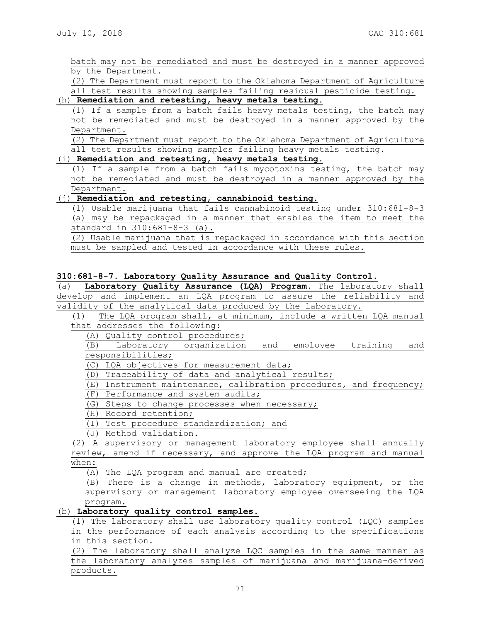batch may not be remediated and must be destroyed in a manner approved by the Department.

(2) The Department must report to the Oklahoma Department of Agriculture all test results showing samples failing residual pesticide testing.

# (h) **Remediation and retesting, heavy metals testing.**

(1) If a sample from a batch fails heavy metals testing, the batch may not be remediated and must be destroyed in a manner approved by the Department.

(2) The Department must report to the Oklahoma Department of Agriculture all test results showing samples failing heavy metals testing.

## (i) **Remediation and retesting, heavy metals testing.**

(1) If a sample from a batch fails mycotoxins testing, the batch may not be remediated and must be destroyed in a manner approved by the Department.

# (j) **Remediation and retesting, cannabinoid testing.**

(1) Usable marijuana that fails cannabinoid testing under 310:681-8-3 (a) may be repackaged in a manner that enables the item to meet the standard in 310:681-8-3 (a).

(2) Usable marijuana that is repackaged in accordance with this section must be sampled and tested in accordance with these rules.

#### **310:681-8-7. Laboratory Quality Assurance and Quality Control.**

(a) **Laboratory Quality Assurance (LQA) Program.** The laboratory shall develop and implement an LQA program to assure the reliability and validity of the analytical data produced by the laboratory.

(1) The LQA program shall, at minimum, include a written LQA manual that addresses the following:

(A) Quality control procedures;

(B) Laboratory organization and employee training and responsibilities;

(C) LQA objectives for measurement data;

(D) Traceability of data and analytical results;

- (E) Instrument maintenance, calibration procedures, and frequency;
- (F) Performance and system audits;

(G) Steps to change processes when necessary;

(H) Record retention;

(I) Test procedure standardization; and

(J) Method validation.

(2) A supervisory or management laboratory employee shall annually review, amend if necessary, and approve the LQA program and manual when:

(A) The LQA program and manual are created;

(B) There is a change in methods, laboratory equipment, or the supervisory or management laboratory employee overseeing the LQA program.

## (b) **Laboratory quality control samples.**

(1) The laboratory shall use laboratory quality control (LQC) samples in the performance of each analysis according to the specifications in this section.

(2) The laboratory shall analyze LQC samples in the same manner as the laboratory analyzes samples of marijuana and marijuana-derived products.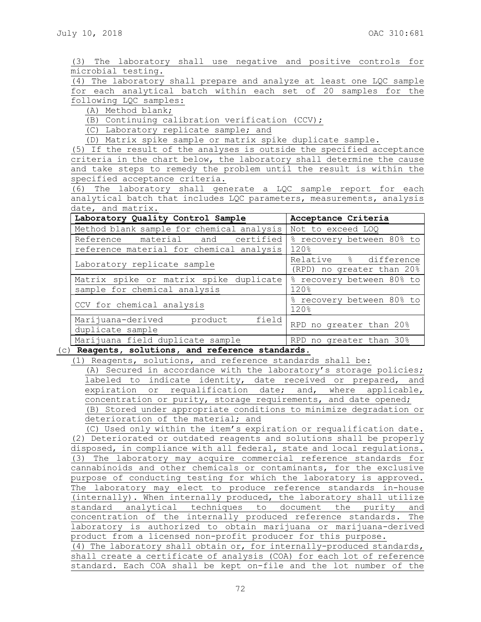(3) The laboratory shall use negative and positive controls for microbial testing. (4) The laboratory shall prepare and analyze at least one LQC sample for each analytical batch within each set of 20 samples for the following LQC samples: (A) Method blank; (B) Continuing calibration verification (CCV); (C) Laboratory replicate sample; and (D) Matrix spike sample or matrix spike duplicate sample. (5) If the result of the analyses is outside the specified acceptance criteria in the chart below, the laboratory shall determine the cause and take steps to remedy the problem until the result is within the specified acceptance criteria. (6) The laboratory shall generate a LQC sample report for each analytical batch that includes LQC parameters, measurements, analysis date, and matrix. Laboratory Quality Control Sample | Acceptance Criteria Method blank sample for chemical analysis Not to exceed LOQ Reference material and certified reference material for chemical analysis % recovery between 80% to 120% Laboratory replicate sample  $\begin{array}{|c|c|c|c|c|}\n\hline \text{Relative} & \text{\&} & \text{difference} \end{array}$ (RPD) no greater than 20% Matrix spike or matrix spike duplicate sample for chemical analysis % recovery between 80% to 120% CCV for chemical analysis  $\frac{8 \text{ recovery between } 80\% \text{ to}}{1000}$ 120% Marijuana-derived product field duplicate sample expression and a RPD no greater than 20% Marijuana field duplicate sample TRPD no greater than 30% (c) **Reagents, solutions, and reference standards.** (1) Reagents, solutions, and reference standards shall be:

(A) Secured in accordance with the laboratory's storage policies; labeled to indicate identity, date received or prepared, and expiration or requalification date; and, where applicable, concentration or purity, storage requirements, and date opened; (B) Stored under appropriate conditions to minimize degradation or deterioration of the material; and

(C) Used only within the item's expiration or requalification date. (2) Deteriorated or outdated reagents and solutions shall be properly disposed, in compliance with all federal, state and local regulations. (3) The laboratory may acquire commercial reference standards for cannabinoids and other chemicals or contaminants, for the exclusive purpose of conducting testing for which the laboratory is approved. The laboratory may elect to produce reference standards in-house (internally). When internally produced, the laboratory shall utilize standard analytical techniques to document the purity and concentration of the internally produced reference standards. The laboratory is authorized to obtain marijuana or marijuana-derived product from a licensed non-profit producer for this purpose. (4) The laboratory shall obtain or, for internally-produced standards, shall create a certificate of analysis (COA) for each lot of reference

72

standard. Each COA shall be kept on-file and the lot number of the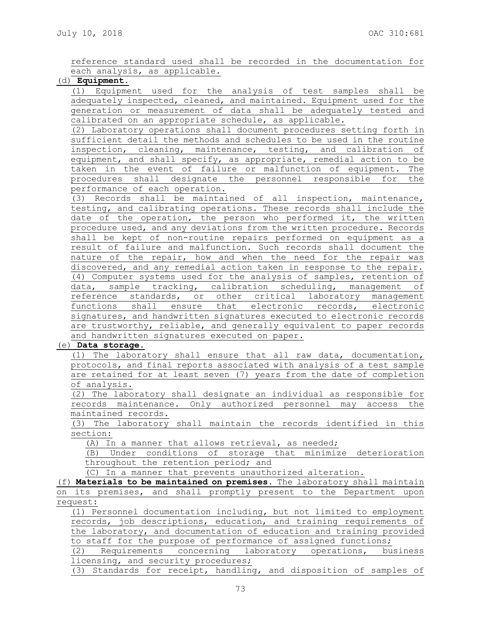reference standard used shall be recorded in the documentation for each analysis, as applicable.

## (d) **Equipment.**

(1) Equipment used for the analysis of test samples shall be adequately inspected, cleaned, and maintained. Equipment used for the generation or measurement of data shall be adequately tested and calibrated on an appropriate schedule, as applicable.

(2) Laboratory operations shall document procedures setting forth in sufficient detail the methods and schedules to be used in the routine inspection, cleaning, maintenance, testing, and calibration of equipment, and shall specify, as appropriate, remedial action to be taken in the event of failure or malfunction of equipment. The procedures shall designate the personnel responsible for the performance of each operation.

(3) Records shall be maintained of all inspection, maintenance, testing, and calibrating operations. These records shall include the date of the operation, the person who performed it, the written procedure used, and any deviations from the written procedure. Records shall be kept of non-routine repairs performed on equipment as a result of failure and malfunction. Such records shall document the nature of the repair, how and when the need for the repair was discovered, and any remedial action taken in response to the repair. (4) Computer systems used for the analysis of samples, retention of data, sample tracking, calibration scheduling, management of reference standards, or other critical laboratory management functions shall ensure that electronic records, electronic signatures, and handwritten signatures executed to electronic records are trustworthy, reliable, and generally equivalent to paper records and handwritten signatures executed on paper.

## (e) **Data storage.**

(1) The laboratory shall ensure that all raw data, documentation, protocols, and final reports associated with analysis of a test sample are retained for at least seven (7) years from the date of completion of analysis.

(2) The laboratory shall designate an individual as responsible for records maintenance. Only authorized personnel may access the maintained records.

(3) The laboratory shall maintain the records identified in this section:

(A) In a manner that allows retrieval, as needed;

(B) Under conditions of storage that minimize deterioration throughout the retention period; and

(C) In a manner that prevents unauthorized alteration.

(f) **Materials to be maintained on premises.** The laboratory shall maintain on its premises, and shall promptly present to the Department upon request:

(1) Personnel documentation including, but not limited to employment records, job descriptions, education, and training requirements of the laboratory, and documentation of education and training provided to staff for the purpose of performance of assigned functions;

(2) Requirements concerning laboratory operations, business licensing, and security procedures;

(3) Standards for receipt, handling, and disposition of samples of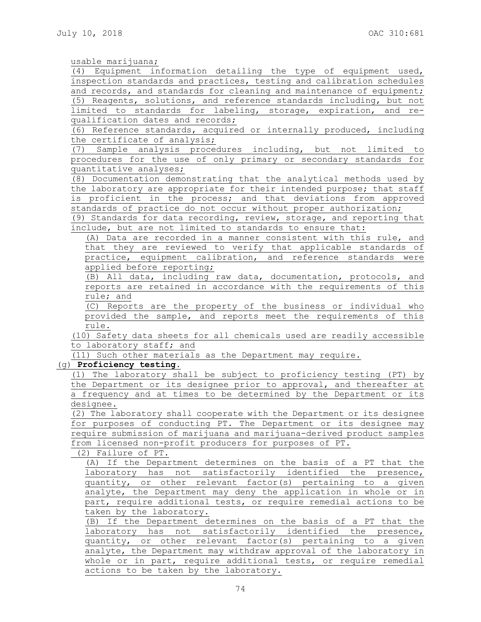usable marijuana;

(4) Equipment information detailing the type of equipment used, inspection standards and practices, testing and calibration schedules and records, and standards for cleaning and maintenance of equipment; (5) Reagents, solutions, and reference standards including, but not limited to standards for labeling, storage, expiration, and requalification dates and records;

(6) Reference standards, acquired or internally produced, including the certificate of analysis;

(7) Sample analysis procedures including, but not limited to procedures for the use of only primary or secondary standards for quantitative analyses;

(8) Documentation demonstrating that the analytical methods used by the laboratory are appropriate for their intended purpose; that staff is proficient in the process; and that deviations from approved standards of practice do not occur without proper authorization;

(9) Standards for data recording, review, storage, and reporting that include, but are not limited to standards to ensure that:

(A) Data are recorded in a manner consistent with this rule, and that they are reviewed to verify that applicable standards of practice, equipment calibration, and reference standards were applied before reporting;

(B) All data, including raw data, documentation, protocols, and reports are retained in accordance with the requirements of this rule; and

(C) Reports are the property of the business or individual who provided the sample, and reports meet the requirements of this rule.

(10) Safety data sheets for all chemicals used are readily accessible to laboratory staff; and

(11) Such other materials as the Department may require.

(g) **Proficiency testing.**

(1) The laboratory shall be subject to proficiency testing (PT) by the Department or its designee prior to approval, and thereafter at a frequency and at times to be determined by the Department or its designee.

(2) The laboratory shall cooperate with the Department or its designee for purposes of conducting PT. The Department or its designee may require submission of marijuana and marijuana-derived product samples from licensed non-profit producers for purposes of PT.

(2) Failure of PT.

(A) If the Department determines on the basis of a PT that the laboratory has not satisfactorily identified the presence, quantity, or other relevant factor(s) pertaining to a given analyte, the Department may deny the application in whole or in part, require additional tests, or require remedial actions to be taken by the laboratory.

(B) If the Department determines on the basis of a PT that the laboratory has not satisfactorily identified the presence, quantity, or other relevant factor(s) pertaining to a given analyte, the Department may withdraw approval of the laboratory in whole or in part, require additional tests, or require remedial actions to be taken by the laboratory.